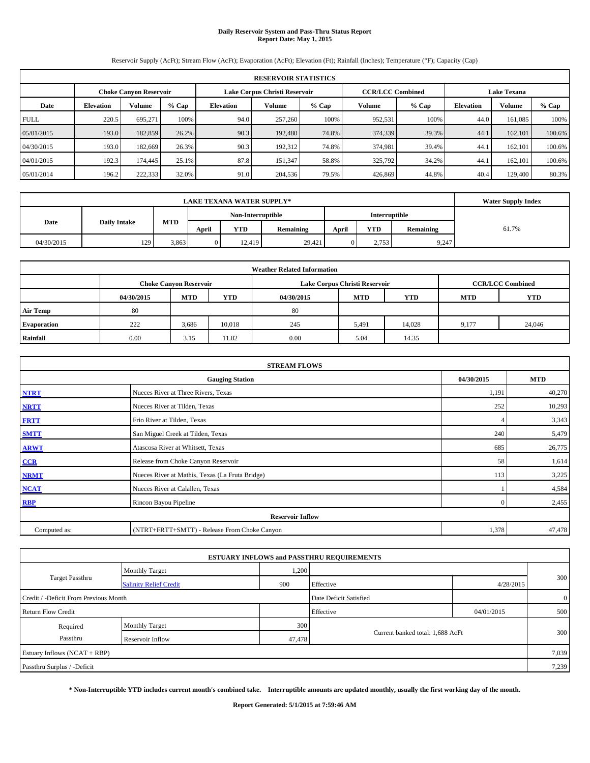# **Daily Reservoir System and Pass-Thru Status Report Report Date: May 1, 2015**

Reservoir Supply (AcFt); Stream Flow (AcFt); Evaporation (AcFt); Elevation (Ft); Rainfall (Inches); Temperature (°F); Capacity (Cap)

|             | <b>RESERVOIR STATISTICS</b>                                                                                     |               |         |                  |         |         |         |         |                  |         |         |  |
|-------------|-----------------------------------------------------------------------------------------------------------------|---------------|---------|------------------|---------|---------|---------|---------|------------------|---------|---------|--|
|             | <b>CCR/LCC Combined</b><br><b>Lake Texana</b><br>Lake Corpus Christi Reservoir<br><b>Choke Canvon Reservoir</b> |               |         |                  |         |         |         |         |                  |         |         |  |
| Date        | <b>Elevation</b>                                                                                                | <b>Volume</b> | $%$ Cap | <b>Elevation</b> | Volume  | $%$ Cap | Volume  | $%$ Cap | <b>Elevation</b> | Volume  | $%$ Cap |  |
| <b>FULL</b> | 220.5                                                                                                           | 695.271       | 100%    | 94.0             | 257,260 | 100%    | 952,531 | 100%    | 44.0             | 161.085 | 100%    |  |
| 05/01/2015  | 193.0                                                                                                           | 182,859       | 26.2%   | 90.3             | 192,480 | 74.8%   | 374,339 | 39.3%   | 44.1             | 162,101 | 100.6%  |  |
| 04/30/2015  | 193.0                                                                                                           | 182.669       | 26.3%   | 90.3             | 192.312 | 74.8%   | 374,981 | 39.4%   | 44.1             | 162,101 | 100.6%  |  |
| 04/01/2015  | 192.3                                                                                                           | 174,445       | 25.1%   | 87.8             | 151,347 | 58.8%   | 325,792 | 34.2%   | 44.1             | 162,101 | 100.6%  |  |
| 05/01/2014  | 196.2                                                                                                           | 222,333       | 32.0%   | 91.0             | 204,536 | 79.5%   | 426,869 | 44.8%   | 40.4             | 129,400 | 80.3%   |  |

|                             | <b>Water Supply Index</b> |                                           |       |            |           |       |            |           |       |
|-----------------------------|---------------------------|-------------------------------------------|-------|------------|-----------|-------|------------|-----------|-------|
|                             |                           | Non-Interruptible<br><b>Interruptible</b> |       |            |           |       |            |           |       |
| <b>Daily Intake</b><br>Date |                           | <b>MTD</b>                                | April | <b>YTD</b> | Remaining | April | <b>YTD</b> | Remaining | 61.7% |
| 04/30/2015                  | 129                       | 3,863                                     |       | 12.419     | 29,421    |       | 2.753      | 9,247     |       |

| <b>Weather Related Information</b> |            |                               |            |            |                               |                         |       |        |  |  |  |
|------------------------------------|------------|-------------------------------|------------|------------|-------------------------------|-------------------------|-------|--------|--|--|--|
|                                    |            | <b>Choke Canyon Reservoir</b> |            |            | Lake Corpus Christi Reservoir | <b>CCR/LCC Combined</b> |       |        |  |  |  |
|                                    | 04/30/2015 | <b>MTD</b>                    | <b>YTD</b> | 04/30/2015 | <b>MTD</b>                    | <b>YTD</b>              |       |        |  |  |  |
| <b>Air Temp</b>                    | 80         |                               |            | 80         |                               |                         |       |        |  |  |  |
| <b>Evaporation</b>                 | 222        | 3.686                         | 10,018     | 245        | 5,491                         | 14,028                  | 9,177 | 24,046 |  |  |  |
| Rainfall                           | 0.00       | 3.15                          | 11.82      | 0.00       | 5.04                          | 14.35                   |       |        |  |  |  |

| <b>STREAM FLOWS</b> |                                                    |                |        |  |  |  |  |  |  |
|---------------------|----------------------------------------------------|----------------|--------|--|--|--|--|--|--|
|                     | 04/30/2015<br><b>MTD</b><br><b>Gauging Station</b> |                |        |  |  |  |  |  |  |
| <b>NTRT</b>         | Nueces River at Three Rivers, Texas                | 1,191          | 40,270 |  |  |  |  |  |  |
| <b>NRTT</b>         | Nueces River at Tilden, Texas                      | 252            | 10,293 |  |  |  |  |  |  |
| <b>FRTT</b>         | Frio River at Tilden, Texas                        |                | 3,343  |  |  |  |  |  |  |
| <b>SMTT</b>         | San Miguel Creek at Tilden, Texas                  | 240            | 5,479  |  |  |  |  |  |  |
| <b>ARWT</b>         | Atascosa River at Whitsett, Texas                  | 685            | 26,775 |  |  |  |  |  |  |
| CCR                 | Release from Choke Canyon Reservoir                | 58             | 1,614  |  |  |  |  |  |  |
| <b>NRMT</b>         | Nueces River at Mathis, Texas (La Fruta Bridge)    | 113            | 3,225  |  |  |  |  |  |  |
| <b>NCAT</b>         | Nueces River at Calallen, Texas                    |                | 4,584  |  |  |  |  |  |  |
| <b>RBP</b>          | Rincon Bayou Pipeline                              | $\overline{0}$ | 2,455  |  |  |  |  |  |  |
|                     | <b>Reservoir Inflow</b>                            |                |        |  |  |  |  |  |  |
| Computed as:        | (NTRT+FRTT+SMTT) - Release From Choke Canyon       |                |        |  |  |  |  |  |  |

|                                       |                               |        | <b>ESTUARY INFLOWS and PASSTHRU REQUIREMENTS</b> |            |                |
|---------------------------------------|-------------------------------|--------|--------------------------------------------------|------------|----------------|
|                                       | <b>Monthly Target</b>         | 1,200  |                                                  |            |                |
| <b>Target Passthru</b>                | <b>Salinity Relief Credit</b> | 900    | Effective                                        | 4/28/2015  | 300            |
| Credit / -Deficit From Previous Month |                               |        | Date Deficit Satisfied                           |            | $\overline{0}$ |
| <b>Return Flow Credit</b>             |                               |        | Effective                                        | 04/01/2015 | 500            |
| Required                              | Monthly Target                | 300    |                                                  |            |                |
| Passthru                              | Reservoir Inflow              | 47,478 | Current banked total: 1,688 AcFt                 |            | 300            |
| Estuary Inflows (NCAT + RBP)          |                               |        |                                                  |            | 7,039          |
| Passthru Surplus / -Deficit           |                               |        |                                                  |            | 7,239          |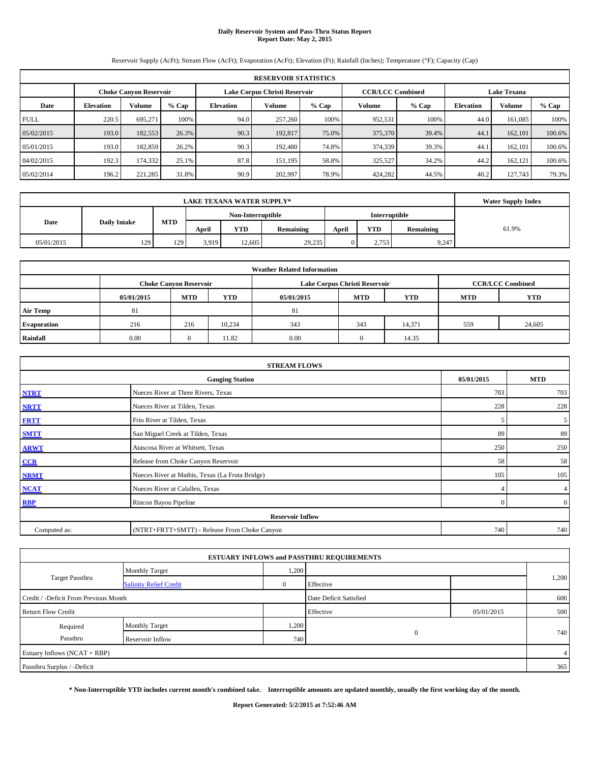# **Daily Reservoir System and Pass-Thru Status Report Report Date: May 2, 2015**

Reservoir Supply (AcFt); Stream Flow (AcFt); Evaporation (AcFt); Elevation (Ft); Rainfall (Inches); Temperature (°F); Capacity (Cap)

|             | <b>RESERVOIR STATISTICS</b>                                                                                     |               |         |                  |         |         |         |         |                  |               |         |  |
|-------------|-----------------------------------------------------------------------------------------------------------------|---------------|---------|------------------|---------|---------|---------|---------|------------------|---------------|---------|--|
|             | <b>CCR/LCC Combined</b><br><b>Lake Texana</b><br>Lake Corpus Christi Reservoir<br><b>Choke Canvon Reservoir</b> |               |         |                  |         |         |         |         |                  |               |         |  |
| Date        | <b>Elevation</b>                                                                                                | <b>Volume</b> | $%$ Cap | <b>Elevation</b> | Volume  | $%$ Cap | Volume  | $%$ Cap | <b>Elevation</b> | <b>Volume</b> | $%$ Cap |  |
| <b>FULL</b> | 220.5                                                                                                           | 695.271       | 100%    | 94.0             | 257,260 | 100%    | 952,531 | 100%    | 44.0             | 161.085       | 100%    |  |
| 05/02/2015  | 193.0                                                                                                           | 182,553       | 26.3%   | 90.3             | 192,817 | 75.0%   | 375,370 | 39.4%   | 44.1             | 162,101       | 100.6%  |  |
| 05/01/2015  | 193.0                                                                                                           | 182,859       | 26.2%   | 90.3             | 192,480 | 74.8%   | 374,339 | 39.3%   | 44.1             | 162.101       | 100.6%  |  |
| 04/02/2015  | 192.3                                                                                                           | 174,332       | 25.1%   | 87.8             | 151,195 | 58.8%   | 325,527 | 34.2%   | 44.2             | 162,121       | 100.6%  |  |
| 05/02/2014  | 196.2                                                                                                           | 221,285       | 31.8%   | 90.9             | 202,997 | 78.9%   | 424,282 | 44.5%   | 40.2             | 127,743       | 79.3%   |  |

|                             | <b>LAKE TEXANA WATER SUPPLY*</b> |                                           |       |            |           |       |            |           |       |  |  |
|-----------------------------|----------------------------------|-------------------------------------------|-------|------------|-----------|-------|------------|-----------|-------|--|--|
|                             |                                  | <b>Interruptible</b><br>Non-Interruptible |       |            |           |       |            |           |       |  |  |
| <b>Daily Intake</b><br>Date |                                  | <b>MTD</b>                                | April | <b>YTD</b> | Remaining | April | <b>YTD</b> | Remaining | 61.9% |  |  |
| 05/01/2015                  | 129                              | 129                                       | 3.919 | 12.605     | 29,235    |       | 2.753      | 9,247     |       |  |  |

| <b>Weather Related Information</b> |                                                                                  |                               |        |      |                               |                         |     |            |  |  |  |
|------------------------------------|----------------------------------------------------------------------------------|-------------------------------|--------|------|-------------------------------|-------------------------|-----|------------|--|--|--|
|                                    |                                                                                  | <b>Choke Canyon Reservoir</b> |        |      | Lake Corpus Christi Reservoir | <b>CCR/LCC Combined</b> |     |            |  |  |  |
|                                    | <b>MTD</b><br><b>YTD</b><br><b>MTD</b><br><b>YTD</b><br>05/01/2015<br>05/01/2015 |                               |        |      |                               |                         |     | <b>YTD</b> |  |  |  |
| <b>Air Temp</b>                    | 81                                                                               |                               |        | 81   |                               |                         |     |            |  |  |  |
| <b>Evaporation</b>                 | 216                                                                              | 216                           | 10.234 | 343  | 343                           | 14,371                  | 559 | 24,605     |  |  |  |
| Rainfall                           | 0.00                                                                             | $_{0}$                        | 11.82  | 0.00 | $\Omega$                      | 14.35                   |     |            |  |  |  |

| <b>STREAM FLOWS</b> |                                                    |          |                |  |  |  |  |  |  |  |
|---------------------|----------------------------------------------------|----------|----------------|--|--|--|--|--|--|--|
|                     | 05/01/2015<br><b>MTD</b><br><b>Gauging Station</b> |          |                |  |  |  |  |  |  |  |
| <b>NTRT</b>         | Nueces River at Three Rivers, Texas                | 703      | 703            |  |  |  |  |  |  |  |
| <b>NRTT</b>         | Nueces River at Tilden, Texas                      | 228      | 228            |  |  |  |  |  |  |  |
| <b>FRTT</b>         | Frio River at Tilden, Texas                        | h        | 5 <sup>5</sup> |  |  |  |  |  |  |  |
| <b>SMTT</b>         | San Miguel Creek at Tilden, Texas                  | 89       | 89             |  |  |  |  |  |  |  |
| <b>ARWT</b>         | Atascosa River at Whitsett, Texas                  | 250      | 250            |  |  |  |  |  |  |  |
| CCR                 | Release from Choke Canyon Reservoir                | 58       | 58             |  |  |  |  |  |  |  |
| <b>NRMT</b>         | Nueces River at Mathis, Texas (La Fruta Bridge)    | 105      | 105            |  |  |  |  |  |  |  |
| <b>NCAT</b>         | Nueces River at Calallen, Texas                    |          | $\overline{4}$ |  |  |  |  |  |  |  |
| <b>RBP</b>          | Rincon Bayou Pipeline                              | $\Omega$ | $\overline{0}$ |  |  |  |  |  |  |  |
|                     | <b>Reservoir Inflow</b>                            |          |                |  |  |  |  |  |  |  |
| Computed as:        | (NTRT+FRTT+SMTT) - Release From Choke Canyon       |          |                |  |  |  |  |  |  |  |

|                                                     |                               |              | <b>ESTUARY INFLOWS and PASSTHRU REQUIREMENTS</b> |            |       |  |  |
|-----------------------------------------------------|-------------------------------|--------------|--------------------------------------------------|------------|-------|--|--|
|                                                     | <b>Monthly Target</b>         | 1,200        |                                                  |            |       |  |  |
| <b>Target Passthru</b>                              | <b>Salinity Relief Credit</b> | $\mathbf{0}$ | Effective                                        |            | 1,200 |  |  |
| Credit / -Deficit From Previous Month               |                               |              | Date Deficit Satisfied                           |            | 600   |  |  |
| <b>Return Flow Credit</b>                           |                               |              | Effective                                        | 05/01/2015 | 500   |  |  |
| Required                                            | <b>Monthly Target</b>         | 1,200        |                                                  |            | 740   |  |  |
| $\mathbf{0}$<br>Passthru<br>740<br>Reservoir Inflow |                               |              |                                                  |            |       |  |  |
| Estuary Inflows (NCAT + RBP)                        |                               |              |                                                  |            | 4     |  |  |
| Passthru Surplus / -Deficit                         |                               |              |                                                  |            | 365   |  |  |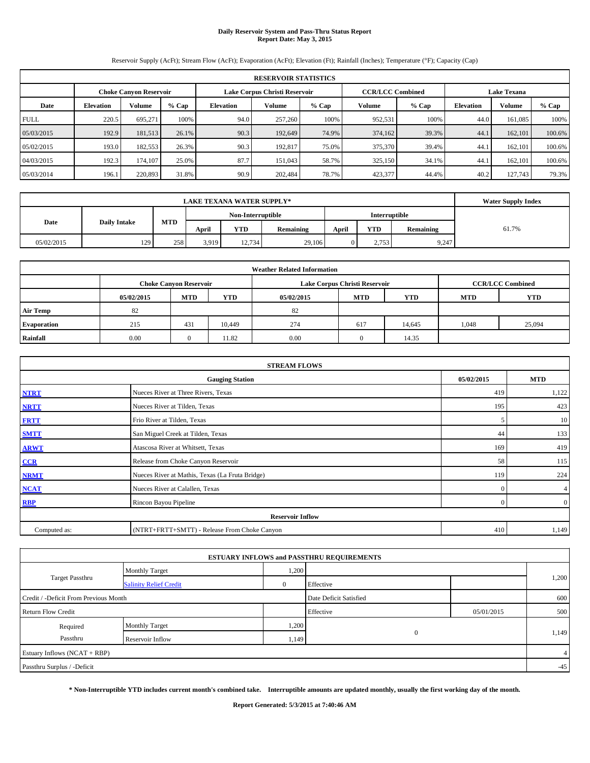# **Daily Reservoir System and Pass-Thru Status Report Report Date: May 3, 2015**

Reservoir Supply (AcFt); Stream Flow (AcFt); Evaporation (AcFt); Elevation (Ft); Rainfall (Inches); Temperature (°F); Capacity (Cap)

|             | <b>RESERVOIR STATISTICS</b>                                                                                     |               |         |                  |         |         |               |         |                  |               |         |  |  |
|-------------|-----------------------------------------------------------------------------------------------------------------|---------------|---------|------------------|---------|---------|---------------|---------|------------------|---------------|---------|--|--|
|             | <b>CCR/LCC Combined</b><br><b>Lake Texana</b><br>Lake Corpus Christi Reservoir<br><b>Choke Canvon Reservoir</b> |               |         |                  |         |         |               |         |                  |               |         |  |  |
| Date        | <b>Elevation</b>                                                                                                | <b>Volume</b> | $%$ Cap | <b>Elevation</b> | Volume  | $%$ Cap | <b>Volume</b> | $%$ Cap | <b>Elevation</b> | <b>Volume</b> | $%$ Cap |  |  |
| <b>FULL</b> | 220.5                                                                                                           | 695.271       | 100%    | 94.0             | 257,260 | 100%    | 952,531       | 100%    | 44.0             | 161.085       | 100%    |  |  |
| 05/03/2015  | 192.9                                                                                                           | 181,513       | 26.1%   | 90.3             | 192,649 | 74.9%   | 374,162       | 39.3%   | 44.1             | 162,101       | 100.6%  |  |  |
| 05/02/2015  | 193.0                                                                                                           | 182.553       | 26.3%   | 90.3             | 192.817 | 75.0%   | 375,370       | 39.4%   | 44.1             | 162,101       | 100.6%  |  |  |
| 04/03/2015  | 192.3                                                                                                           | 174,107       | 25.0%   | 87.7             | 151,043 | 58.7%   | 325,150       | 34.1%   | 44.1             | 162,101       | 100.6%  |  |  |
| 05/03/2014  | 196.1                                                                                                           | 220,893       | 31.8%   | 90.9             | 202,484 | 78.7%   | 423,377       | 44.4%   | 40.2             | 127,743       | 79.3%   |  |  |

|                             | <b>Water Supply Index</b> |            |       |                   |                  |       |            |           |       |
|-----------------------------|---------------------------|------------|-------|-------------------|------------------|-------|------------|-----------|-------|
| Date<br><b>Daily Intake</b> |                           | <b>MTD</b> |       | Non-Interruptible |                  |       |            |           |       |
|                             |                           |            | April | YTD               | <b>Remaining</b> | April | <b>YTD</b> | Remaining | 61.7% |
| 05/02/2015                  | 129                       | 258        | 3.919 | 12.734            | 29,106           |       | 2.753      | 9,247     |       |

| <b>Weather Related Information</b> |            |                               |            |            |                               |                         |       |        |  |  |
|------------------------------------|------------|-------------------------------|------------|------------|-------------------------------|-------------------------|-------|--------|--|--|
|                                    |            | <b>Choke Canyon Reservoir</b> |            |            | Lake Corpus Christi Reservoir | <b>CCR/LCC Combined</b> |       |        |  |  |
|                                    | 05/02/2015 | <b>MTD</b>                    | <b>YTD</b> | 05/02/2015 | <b>MTD</b>                    | <b>YTD</b>              |       |        |  |  |
| <b>Air Temp</b>                    | 82         |                               |            | 82         |                               |                         |       |        |  |  |
| <b>Evaporation</b>                 | 215        | 431                           | 10,449     | 274        | 617                           | 14,645                  | 1,048 | 25,094 |  |  |
| Rainfall                           | 0.00       | 0                             | 11.82      | 0.00       | $\Omega$                      | 14.35                   |       |        |  |  |

| <b>STREAM FLOWS</b> |                                                 |              |                |  |  |  |  |  |  |
|---------------------|-------------------------------------------------|--------------|----------------|--|--|--|--|--|--|
|                     | 05/02/2015                                      | <b>MTD</b>   |                |  |  |  |  |  |  |
| <b>NTRT</b>         | Nueces River at Three Rivers, Texas             | 419          | 1,122          |  |  |  |  |  |  |
| <b>NRTT</b>         | Nueces River at Tilden, Texas                   | 195          | 423            |  |  |  |  |  |  |
| <b>FRTT</b>         | Frio River at Tilden, Texas                     | 5            | 10             |  |  |  |  |  |  |
| <b>SMTT</b>         | San Miguel Creek at Tilden, Texas               | 44           | 133            |  |  |  |  |  |  |
| <b>ARWT</b>         | Atascosa River at Whitsett, Texas               | 169          | 419            |  |  |  |  |  |  |
| $CCR$               | Release from Choke Canyon Reservoir             | 58           | 115            |  |  |  |  |  |  |
| <b>NRMT</b>         | Nueces River at Mathis, Texas (La Fruta Bridge) | 119          | 224            |  |  |  |  |  |  |
| <b>NCAT</b>         | Nueces River at Calallen, Texas                 | $\mathbf{0}$ | $\overline{4}$ |  |  |  |  |  |  |
| <b>RBP</b>          | Rincon Bayou Pipeline                           | $\Omega$     | $\overline{0}$ |  |  |  |  |  |  |
|                     | <b>Reservoir Inflow</b>                         |              |                |  |  |  |  |  |  |
| Computed as:        | (NTRT+FRTT+SMTT) - Release From Choke Canyon    | 410          | 1,149          |  |  |  |  |  |  |

|                                       |                               |                        | <b>ESTUARY INFLOWS and PASSTHRU REQUIREMENTS</b> |            |       |  |
|---------------------------------------|-------------------------------|------------------------|--------------------------------------------------|------------|-------|--|
|                                       | <b>Monthly Target</b>         | 1,200                  |                                                  |            |       |  |
| <b>Target Passthru</b>                | <b>Salinity Relief Credit</b> | $\mathbf{0}$           | Effective                                        |            | 1,200 |  |
| Credit / -Deficit From Previous Month |                               | Date Deficit Satisfied |                                                  | 600        |       |  |
| <b>Return Flow Credit</b>             |                               |                        | Effective                                        | 05/01/2015 | 500   |  |
| Required                              | <b>Monthly Target</b>         | 1,200                  |                                                  |            |       |  |
| Passthru                              | Reservoir Inflow              | 1,149                  | $\mathbf{0}$                                     |            | 1,149 |  |
| Estuary Inflows (NCAT + RBP)          |                               |                        |                                                  |            | 4     |  |
| Passthru Surplus / -Deficit           |                               |                        |                                                  |            | $-45$ |  |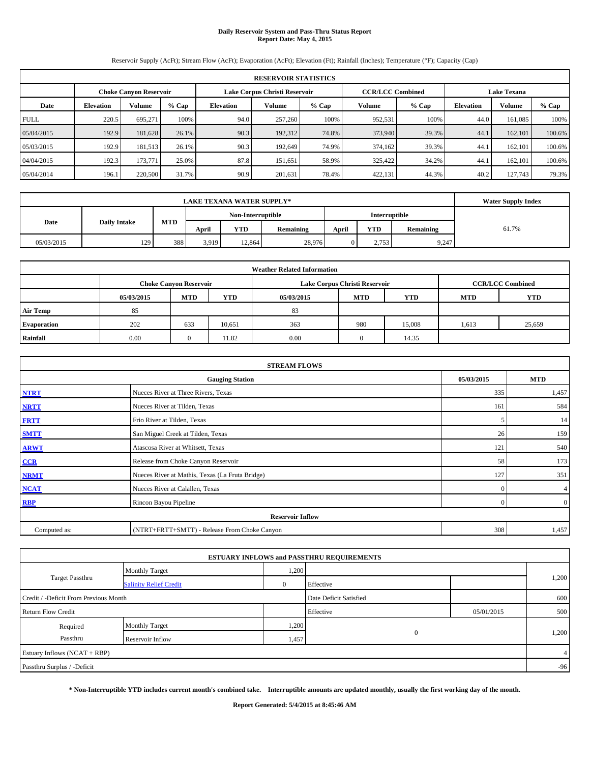# **Daily Reservoir System and Pass-Thru Status Report Report Date: May 4, 2015**

Reservoir Supply (AcFt); Stream Flow (AcFt); Evaporation (AcFt); Elevation (Ft); Rainfall (Inches); Temperature (°F); Capacity (Cap)

| <b>RESERVOIR STATISTICS</b> |                  |                               |         |                  |                               |         |                                               |         |                  |         |         |  |
|-----------------------------|------------------|-------------------------------|---------|------------------|-------------------------------|---------|-----------------------------------------------|---------|------------------|---------|---------|--|
|                             |                  | <b>Choke Canvon Reservoir</b> |         |                  | Lake Corpus Christi Reservoir |         | <b>CCR/LCC Combined</b><br><b>Lake Texana</b> |         |                  |         |         |  |
| Date                        | <b>Elevation</b> | <b>Volume</b>                 | $%$ Cap | <b>Elevation</b> | Volume                        | $%$ Cap | Volume                                        | $%$ Cap | <b>Elevation</b> | Volume  | $%$ Cap |  |
| <b>FULL</b>                 | 220.5            | 695.271                       | 100%    | 94.0             | 257,260                       | 100%    | 952,531                                       | 100%    | 44.0             | 161.085 | 100%    |  |
| 05/04/2015                  | 192.9            | 181,628                       | 26.1%   | 90.3             | 192,312                       | 74.8%   | 373,940                                       | 39.3%   | 44.1             | 162,101 | 100.6%  |  |
| 05/03/2015                  | 192.9            | 181,513                       | 26.1%   | 90.3             | 192,649                       | 74.9%   | 374,162                                       | 39.3%   | 44.1             | 162,101 | 100.6%  |  |
| 04/04/2015                  | 192.3            | 173,771                       | 25.0%   | 87.8             | 151,651                       | 58.9%   | 325,422                                       | 34.2%   | 44.1             | 162,101 | 100.6%  |  |
| 05/04/2014                  | 196.1            | 220,500                       | 31.7%   | 90.9             | 201,631                       | 78.4%   | 422,131                                       | 44.3%   | 40.2             | 127,743 | 79.3%   |  |

|            | <b>Water Supply Index</b> |            |       |                   |                  |       |               |           |       |
|------------|---------------------------|------------|-------|-------------------|------------------|-------|---------------|-----------|-------|
|            |                           |            |       | Non-Interruptible |                  |       | Interruptible |           |       |
| Date       | <b>Daily Intake</b>       | <b>MTD</b> | April | <b>YTD</b>        | <b>Remaining</b> | April | YTD           | Remaining | 61.7% |
| 05/03/2015 | 129                       | 388        | 3.919 | 12,864            | 28,976           |       | 2.753         | 9.247     |       |

| <b>Weather Related Information</b> |            |                               |            |            |                               |                         |            |            |  |  |
|------------------------------------|------------|-------------------------------|------------|------------|-------------------------------|-------------------------|------------|------------|--|--|
|                                    |            | <b>Choke Canyon Reservoir</b> |            |            | Lake Corpus Christi Reservoir | <b>CCR/LCC Combined</b> |            |            |  |  |
|                                    | 05/03/2015 | <b>MTD</b>                    | <b>YTD</b> | 05/03/2015 | <b>MTD</b>                    | <b>YTD</b>              | <b>MTD</b> | <b>YTD</b> |  |  |
| <b>Air Temp</b>                    | 85         |                               |            | 83         |                               |                         |            |            |  |  |
| <b>Evaporation</b>                 | 202        | 633                           | 10,651     | 363        | 980                           | 15,008                  | 1,613      | 25,659     |  |  |
| Rainfall                           | 0.00       | 0                             | 11.82      | 0.00       | $\Omega$                      | 14.35                   |            |            |  |  |

| <b>STREAM FLOWS</b>                                |                                                 |                |                |  |  |  |  |  |  |  |
|----------------------------------------------------|-------------------------------------------------|----------------|----------------|--|--|--|--|--|--|--|
| 05/03/2015<br><b>MTD</b><br><b>Gauging Station</b> |                                                 |                |                |  |  |  |  |  |  |  |
| <b>NTRT</b>                                        | Nueces River at Three Rivers, Texas             | 335            | 1,457          |  |  |  |  |  |  |  |
| <b>NRTT</b>                                        | Nueces River at Tilden, Texas                   | 161            | 584            |  |  |  |  |  |  |  |
| <b>FRTT</b>                                        | Frio River at Tilden, Texas                     | 5              | 14             |  |  |  |  |  |  |  |
| <b>SMTT</b>                                        | San Miguel Creek at Tilden, Texas               | 26             | 159            |  |  |  |  |  |  |  |
| <b>ARWT</b>                                        | Atascosa River at Whitsett, Texas               | 121            | 540            |  |  |  |  |  |  |  |
| CCR                                                | Release from Choke Canyon Reservoir             | 58             | 173            |  |  |  |  |  |  |  |
| <b>NRMT</b>                                        | Nueces River at Mathis, Texas (La Fruta Bridge) | 127            | 351            |  |  |  |  |  |  |  |
| <b>NCAT</b>                                        | Nueces River at Calallen, Texas                 | $\mathbf{0}$   | $\overline{4}$ |  |  |  |  |  |  |  |
| <b>RBP</b>                                         | Rincon Bayou Pipeline                           | $\overline{0}$ | $\overline{0}$ |  |  |  |  |  |  |  |
|                                                    | <b>Reservoir Inflow</b>                         |                |                |  |  |  |  |  |  |  |
| Computed as:                                       | (NTRT+FRTT+SMTT) - Release From Choke Canyon    |                |                |  |  |  |  |  |  |  |

|                                       |                               |              | <b>ESTUARY INFLOWS and PASSTHRU REQUIREMENTS</b> |            |       |
|---------------------------------------|-------------------------------|--------------|--------------------------------------------------|------------|-------|
|                                       | <b>Monthly Target</b>         | 1,200        |                                                  |            |       |
| <b>Target Passthru</b>                | <b>Salinity Relief Credit</b> | $\mathbf{0}$ | Effective                                        |            | 1,200 |
| Credit / -Deficit From Previous Month |                               |              | Date Deficit Satisfied                           |            | 600   |
| <b>Return Flow Credit</b>             |                               |              | Effective                                        | 05/01/2015 | 500   |
| Required                              | <b>Monthly Target</b>         | 1,200        |                                                  |            |       |
| Passthru                              | Reservoir Inflow              | 1,457        | $\mathbf{0}$                                     |            | 1,200 |
| Estuary Inflows (NCAT + RBP)          |                               |              |                                                  |            | 4     |
| Passthru Surplus / -Deficit           |                               |              |                                                  |            | $-96$ |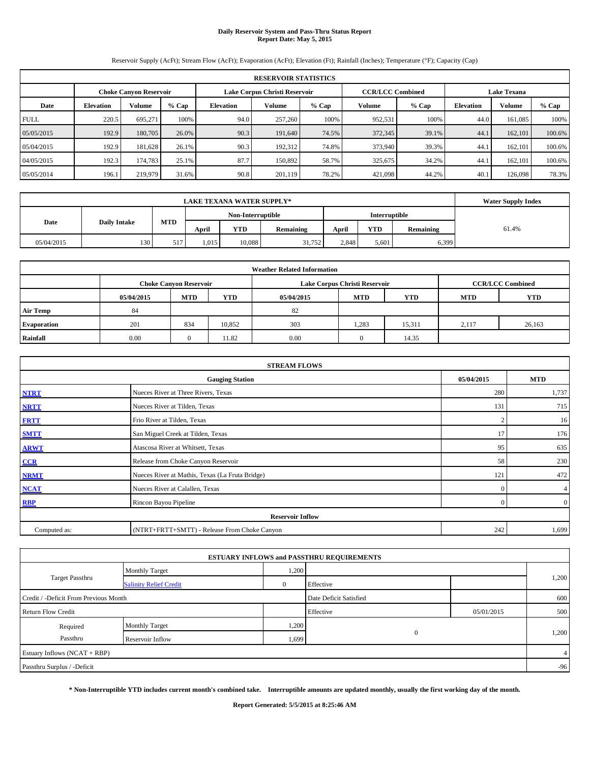# **Daily Reservoir System and Pass-Thru Status Report Report Date: May 5, 2015**

Reservoir Supply (AcFt); Stream Flow (AcFt); Evaporation (AcFt); Elevation (Ft); Rainfall (Inches); Temperature (°F); Capacity (Cap)

| <b>RESERVOIR STATISTICS</b> |                  |                               |         |                  |                               |         |                         |         |                    |         |         |
|-----------------------------|------------------|-------------------------------|---------|------------------|-------------------------------|---------|-------------------------|---------|--------------------|---------|---------|
|                             |                  | <b>Choke Canvon Reservoir</b> |         |                  | Lake Corpus Christi Reservoir |         | <b>CCR/LCC Combined</b> |         | <b>Lake Texana</b> |         |         |
| Date                        | <b>Elevation</b> | <b>Volume</b>                 | $%$ Cap | <b>Elevation</b> | Volume                        | $%$ Cap | Volume                  | $%$ Cap | <b>Elevation</b>   | Volume  | $%$ Cap |
| <b>FULL</b>                 | 220.5            | 695.271                       | 100%    | 94.0             | 257,260                       | 100%    | 952,531                 | 100%    | 44.0               | 161.085 | 100%    |
| 05/05/2015                  | 192.9            | 180,705                       | 26.0%   | 90.3             | 191,640                       | 74.5%   | 372,345                 | 39.1%   | 44.1               | 162,101 | 100.6%  |
| 05/04/2015                  | 192.9            | 181,628                       | 26.1%   | 90.3             | 192.312                       | 74.8%   | 373,940                 | 39.3%   | 44.1               | 162,101 | 100.6%  |
| 04/05/2015                  | 192.3            | 174.783                       | 25.1%   | 87.7             | 150.892                       | 58.7%   | 325,675                 | 34.2%   | 44.1               | 162,101 | 100.6%  |
| 05/05/2014                  | 196.1            | 219,979                       | 31.6%   | 90.8             | 201,119                       | 78.2%   | 421,098                 | 44.2%   | 40.1               | 126,098 | 78.3%   |

|            | <b>Water Supply Index</b> |            |                   |            |           |                      |       |           |       |
|------------|---------------------------|------------|-------------------|------------|-----------|----------------------|-------|-----------|-------|
|            |                           |            | Non-Interruptible |            |           | <b>Interruptible</b> |       |           |       |
| Date       | <b>Daily Intake</b>       | <b>MTD</b> | April             | <b>YTD</b> | Remaining | April                | YTD   | Remaining | 61.4% |
| 05/04/2015 | 130                       | 517        | 1.015             | 10.088     | 31,752    | 2,848                | 5,601 | 6,399     |       |

| <b>Weather Related Information</b> |            |                               |            |            |                               |                         |            |            |  |  |
|------------------------------------|------------|-------------------------------|------------|------------|-------------------------------|-------------------------|------------|------------|--|--|
|                                    |            | <b>Choke Canyon Reservoir</b> |            |            | Lake Corpus Christi Reservoir | <b>CCR/LCC Combined</b> |            |            |  |  |
|                                    | 05/04/2015 | <b>MTD</b>                    | <b>YTD</b> | 05/04/2015 | <b>MTD</b>                    | <b>YTD</b>              | <b>MTD</b> | <b>YTD</b> |  |  |
| <b>Air Temp</b>                    | 84         |                               |            | 82         |                               |                         |            |            |  |  |
| <b>Evaporation</b>                 | 201        | 834                           | 10,852     | 303        | 1,283                         | 15,311                  | 2,117      | 26,163     |  |  |
| Rainfall                           | 0.00       | 0                             | 11.82      | 0.00       | $\Omega$                      | 14.35                   |            |            |  |  |

| <b>STREAM FLOWS</b>                                |                                                 |                |                |  |  |  |  |  |  |  |
|----------------------------------------------------|-------------------------------------------------|----------------|----------------|--|--|--|--|--|--|--|
| 05/04/2015<br><b>MTD</b><br><b>Gauging Station</b> |                                                 |                |                |  |  |  |  |  |  |  |
| <b>NTRT</b>                                        | Nueces River at Three Rivers, Texas             |                |                |  |  |  |  |  |  |  |
| <b>NRTT</b>                                        | Nueces River at Tilden, Texas                   | 131            | 715            |  |  |  |  |  |  |  |
| <b>FRTT</b>                                        | Frio River at Tilden, Texas                     |                | 16             |  |  |  |  |  |  |  |
| <b>SMTT</b>                                        | San Miguel Creek at Tilden, Texas               | 17             | 176            |  |  |  |  |  |  |  |
| <b>ARWT</b>                                        | Atascosa River at Whitsett, Texas               | 95             | 635            |  |  |  |  |  |  |  |
| CCR                                                | Release from Choke Canyon Reservoir             | 58             | 230            |  |  |  |  |  |  |  |
| <b>NRMT</b>                                        | Nueces River at Mathis, Texas (La Fruta Bridge) | 121            | 472            |  |  |  |  |  |  |  |
| <b>NCAT</b>                                        | Nueces River at Calallen, Texas                 | $\mathbf{0}$   | $\overline{4}$ |  |  |  |  |  |  |  |
| <b>RBP</b>                                         | Rincon Bayou Pipeline                           | $\overline{0}$ | $\overline{0}$ |  |  |  |  |  |  |  |
|                                                    | <b>Reservoir Inflow</b>                         |                |                |  |  |  |  |  |  |  |
| Computed as:                                       | (NTRT+FRTT+SMTT) - Release From Choke Canyon    |                |                |  |  |  |  |  |  |  |

|                                       |                               |              | <b>ESTUARY INFLOWS and PASSTHRU REQUIREMENTS</b> |            |       |
|---------------------------------------|-------------------------------|--------------|--------------------------------------------------|------------|-------|
|                                       | <b>Monthly Target</b>         | 1,200        |                                                  |            |       |
| <b>Target Passthru</b>                | <b>Salinity Relief Credit</b> | $\mathbf{0}$ | Effective                                        |            | 1,200 |
| Credit / -Deficit From Previous Month |                               |              | Date Deficit Satisfied                           |            | 600   |
| <b>Return Flow Credit</b>             |                               |              | Effective                                        | 05/01/2015 | 500   |
| Required                              | <b>Monthly Target</b>         | 1,200        |                                                  |            |       |
| Passthru                              | Reservoir Inflow              | 1,699        | $\mathbf{0}$                                     |            | 1,200 |
| Estuary Inflows (NCAT + RBP)          |                               |              |                                                  |            | 4     |
| Passthru Surplus / -Deficit           |                               |              |                                                  |            | $-96$ |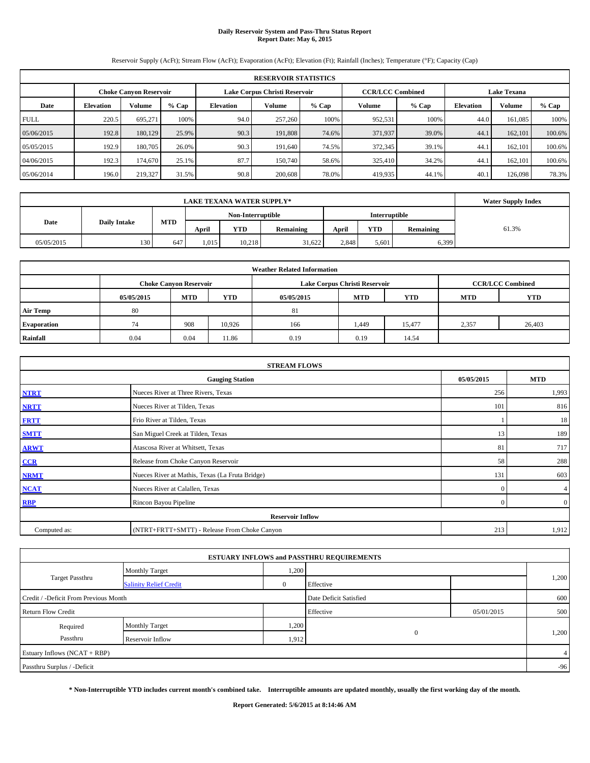# **Daily Reservoir System and Pass-Thru Status Report Report Date: May 6, 2015**

Reservoir Supply (AcFt); Stream Flow (AcFt); Evaporation (AcFt); Elevation (Ft); Rainfall (Inches); Temperature (°F); Capacity (Cap)

|             | <b>RESERVOIR STATISTICS</b> |                               |         |                  |                               |         |                         |         |                  |                    |        |  |
|-------------|-----------------------------|-------------------------------|---------|------------------|-------------------------------|---------|-------------------------|---------|------------------|--------------------|--------|--|
|             |                             | <b>Choke Canvon Reservoir</b> |         |                  | Lake Corpus Christi Reservoir |         | <b>CCR/LCC Combined</b> |         |                  | <b>Lake Texana</b> |        |  |
| Date        | <b>Elevation</b>            | <b>Volume</b>                 | $%$ Cap | <b>Elevation</b> | Volume                        | $%$ Cap | <b>Volume</b>           | $%$ Cap | <b>Elevation</b> | Volume             |        |  |
| <b>FULL</b> | 220.5                       | 695.271                       | 100%    | 94.0             | 257,260                       | 100%    | 952,531                 | 100%    | 44.0             | 161.085            | 100%   |  |
| 05/06/2015  | 192.8                       | 180,129                       | 25.9%   | 90.3             | 191.808                       | 74.6%   | 371,937                 | 39.0%   | 44.1             | 162,101            | 100.6% |  |
| 05/05/2015  | 192.9                       | 180,705                       | 26.0%   | 90.3             | 191.640                       | 74.5%   | 372,345                 | 39.1%   | 44.1             | 162,101            | 100.6% |  |
| 04/06/2015  | 192.3                       | 174,670                       | 25.1%   | 87.7             | 150,740                       | 58.6%   | 325,410                 | 34.2%   | 44.1             | 162,101            | 100.6% |  |
| 05/06/2014  | 196.0                       | 219,327                       | 31.5%   | 90.8             | 200,608                       | 78.0%   | 419,935                 | 44.1%   | 40.1             | 126,098            | 78.3%  |  |

|            | <b>Water Supply Index</b> |            |       |                   |           |       |               |           |       |
|------------|---------------------------|------------|-------|-------------------|-----------|-------|---------------|-----------|-------|
|            |                           |            |       | Non-Interruptible |           |       | Interruptible |           |       |
| Date       | <b>Daily Intake</b>       | <b>MTD</b> | April | <b>YTD</b>        | Remaining | April | <b>YTD</b>    | Remaining | 61.3% |
| 05/05/2015 | 130                       | 647        | 1,015 | 10,218            | 31,622    | 2,848 | 5.601         | 6,399     |       |

| <b>Weather Related Information</b> |            |                               |            |            |                               |                         |       |        |  |  |  |
|------------------------------------|------------|-------------------------------|------------|------------|-------------------------------|-------------------------|-------|--------|--|--|--|
|                                    |            | <b>Choke Canyon Reservoir</b> |            |            | Lake Corpus Christi Reservoir | <b>CCR/LCC Combined</b> |       |        |  |  |  |
|                                    | 05/05/2015 | <b>MTD</b>                    | <b>MTD</b> | <b>YTD</b> |                               |                         |       |        |  |  |  |
| <b>Air Temp</b>                    | 80         |                               |            | 81         |                               |                         |       |        |  |  |  |
| Evaporation                        | 74         | 908                           | 10,926     | 166        | 1,449                         | 15,477                  | 2,357 | 26,403 |  |  |  |
| Rainfall                           | 0.04       | 0.04                          | 11.86      | 0.19       | 0.19                          | 14.54                   |       |        |  |  |  |

| <b>STREAM FLOWS</b> |                                                 |              |                |  |  |  |  |  |  |
|---------------------|-------------------------------------------------|--------------|----------------|--|--|--|--|--|--|
|                     | <b>Gauging Station</b>                          |              |                |  |  |  |  |  |  |
| <b>NTRT</b>         | Nueces River at Three Rivers, Texas             | 256          | 1,993          |  |  |  |  |  |  |
| <b>NRTT</b>         | Nueces River at Tilden, Texas                   | 101          | 816            |  |  |  |  |  |  |
| <b>FRTT</b>         | Frio River at Tilden, Texas                     |              | 18             |  |  |  |  |  |  |
| <b>SMTT</b>         | San Miguel Creek at Tilden, Texas               | 13           | 189            |  |  |  |  |  |  |
| <b>ARWT</b>         | Atascosa River at Whitsett, Texas               | 81           | 717            |  |  |  |  |  |  |
| CCR                 | Release from Choke Canyon Reservoir             | 58           | 288            |  |  |  |  |  |  |
| <b>NRMT</b>         | Nueces River at Mathis, Texas (La Fruta Bridge) | 131          | 603            |  |  |  |  |  |  |
| <b>NCAT</b>         | Nueces River at Calallen, Texas                 | $\mathbf{0}$ | 4 <sub>1</sub> |  |  |  |  |  |  |
| <b>RBP</b>          | Rincon Bayou Pipeline                           | $\Omega$     | $\overline{0}$ |  |  |  |  |  |  |
|                     | <b>Reservoir Inflow</b>                         |              |                |  |  |  |  |  |  |
| Computed as:        | (NTRT+FRTT+SMTT) - Release From Choke Canyon    | 213          | 1,912          |  |  |  |  |  |  |

|                                       |                               |              | <b>ESTUARY INFLOWS and PASSTHRU REQUIREMENTS</b> |            |       |
|---------------------------------------|-------------------------------|--------------|--------------------------------------------------|------------|-------|
|                                       | <b>Monthly Target</b>         | 1,200        |                                                  |            |       |
| <b>Target Passthru</b>                | <b>Salinity Relief Credit</b> | $\mathbf{0}$ | Effective                                        |            | 1,200 |
| Credit / -Deficit From Previous Month |                               |              | Date Deficit Satisfied                           |            | 600   |
| <b>Return Flow Credit</b>             |                               |              | Effective                                        | 05/01/2015 | 500   |
| Required                              | <b>Monthly Target</b>         | 1,200        |                                                  |            |       |
| Passthru                              | Reservoir Inflow              | 1,912        | $\mathbf{0}$                                     |            | 1,200 |
| Estuary Inflows (NCAT + RBP)          |                               |              |                                                  |            | 4     |
| Passthru Surplus / -Deficit           |                               |              |                                                  |            | $-96$ |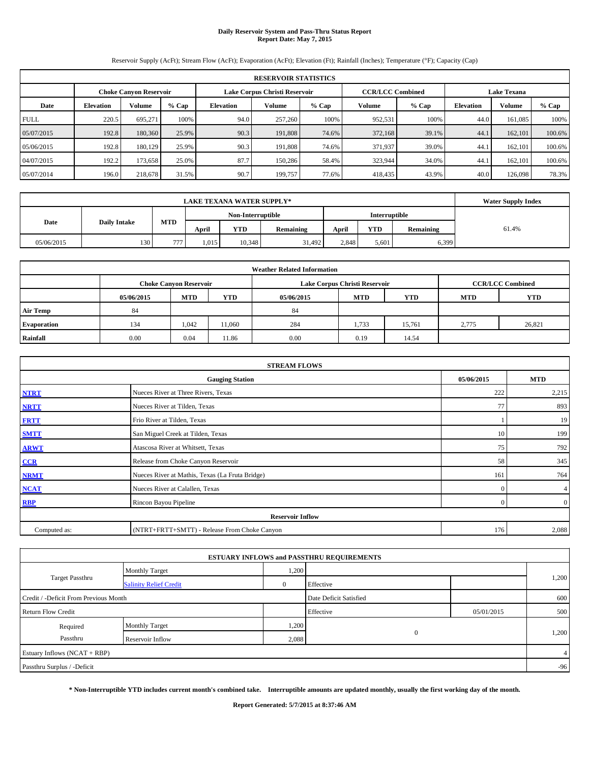# **Daily Reservoir System and Pass-Thru Status Report Report Date: May 7, 2015**

Reservoir Supply (AcFt); Stream Flow (AcFt); Evaporation (AcFt); Elevation (Ft); Rainfall (Inches); Temperature (°F); Capacity (Cap)

|             | <b>RESERVOIR STATISTICS</b> |                               |         |                               |         |         |                         |         |                    |         |        |  |
|-------------|-----------------------------|-------------------------------|---------|-------------------------------|---------|---------|-------------------------|---------|--------------------|---------|--------|--|
|             |                             | <b>Choke Canvon Reservoir</b> |         | Lake Corpus Christi Reservoir |         |         | <b>CCR/LCC Combined</b> |         | <b>Lake Texana</b> |         |        |  |
| Date        | <b>Elevation</b>            | <b>Volume</b>                 | $%$ Cap | <b>Elevation</b>              | Volume  | $%$ Cap | Volume                  | $%$ Cap | <b>Elevation</b>   | Volume  |        |  |
| <b>FULL</b> | 220.5                       | 695.271                       | 100%    | 94.0                          | 257,260 | 100%    | 952,531                 | 100%    | 44.0               | 161.085 | 100%   |  |
| 05/07/2015  | 192.8                       | 180,360                       | 25.9%   | 90.3                          | 191,808 | 74.6%   | 372,168                 | 39.1%   | 44.1               | 162,101 | 100.6% |  |
| 05/06/2015  | 192.8                       | 180,129                       | 25.9%   | 90.3                          | 191.808 | 74.6%   | 371,937                 | 39.0%   | 44.1               | 162.101 | 100.6% |  |
| 04/07/2015  | 192.2                       | 173,658                       | 25.0%   | 87.7                          | 150,286 | 58.4%   | 323,944                 | 34.0%   | 44.1               | 162,101 | 100.6% |  |
| 05/07/2014  | 196.0                       | 218,678                       | 31.5%   | 90.7                          | 199,757 | 77.6%   | 418,435                 | 43.9%   | 40.0               | 126,098 | 78.3%  |  |

|            | <b>Water Supply Index</b> |            |       |                   |           |       |               |           |       |
|------------|---------------------------|------------|-------|-------------------|-----------|-------|---------------|-----------|-------|
|            |                           |            |       | Non-Interruptible |           |       | Interruptible |           |       |
| Date       | <b>Daily Intake</b>       | <b>MTD</b> | April | <b>YTD</b>        | Remaining | April | <b>YTD</b>    | Remaining | 61.4% |
| 05/06/2015 | 130                       | 777        | 1,015 | 10,348            | 31,492    | 2,848 | 5.601         | 6,399     |       |

| <b>Weather Related Information</b> |            |                               |        |            |                               |                         |       |        |  |  |  |
|------------------------------------|------------|-------------------------------|--------|------------|-------------------------------|-------------------------|-------|--------|--|--|--|
|                                    |            | <b>Choke Canyon Reservoir</b> |        |            | Lake Corpus Christi Reservoir | <b>CCR/LCC Combined</b> |       |        |  |  |  |
|                                    | 05/06/2015 | <b>MTD</b>                    | YTD    | 05/06/2015 | <b>MTD</b>                    | <b>YTD</b>              |       |        |  |  |  |
| <b>Air Temp</b>                    | 84         |                               |        | 84         |                               |                         |       |        |  |  |  |
| Evaporation                        | 134        | 1.042                         | 11,060 | 284        | 1,733                         | 15,761                  | 2,775 | 26,821 |  |  |  |
| Rainfall                           | 0.00       | 0.04                          | 11.86  | 0.00       | 0.19                          | 14.54                   |       |        |  |  |  |

|              | <b>STREAM FLOWS</b>                             |            |                |
|--------------|-------------------------------------------------|------------|----------------|
|              | 05/06/2015                                      | <b>MTD</b> |                |
| <b>NTRT</b>  | Nueces River at Three Rivers, Texas             | 222        | 2,215          |
| <b>NRTT</b>  | Nueces River at Tilden, Texas                   | 77         | 893            |
| <b>FRTT</b>  | Frio River at Tilden, Texas                     |            | 19             |
| <b>SMTT</b>  | San Miguel Creek at Tilden, Texas               | 10         | 199            |
| <b>ARWT</b>  | Atascosa River at Whitsett, Texas               | 75         | 792            |
| CCR          | Release from Choke Canyon Reservoir             | 58         | 345            |
| <b>NRMT</b>  | Nueces River at Mathis, Texas (La Fruta Bridge) | 161        | 764            |
| <b>NCAT</b>  | Nueces River at Calallen, Texas                 | $\Omega$   | $\overline{4}$ |
| <b>RBP</b>   | Rincon Bayou Pipeline                           | $\Omega$   | $\overline{0}$ |
|              | <b>Reservoir Inflow</b>                         |            |                |
| Computed as: | (NTRT+FRTT+SMTT) - Release From Choke Canyon    | 176        | 2,088          |

|                                       |                               |          | <b>ESTUARY INFLOWS and PASSTHRU REQUIREMENTS</b> |            |                |
|---------------------------------------|-------------------------------|----------|--------------------------------------------------|------------|----------------|
|                                       | <b>Monthly Target</b>         | 1,200    |                                                  |            |                |
| <b>Target Passthru</b>                | <b>Salinity Relief Credit</b> | $\Omega$ | Effective                                        |            | 1,200          |
| Credit / -Deficit From Previous Month |                               |          | Date Deficit Satisfied                           |            | 600            |
| <b>Return Flow Credit</b>             |                               |          | Effective                                        | 05/01/2015 | 500            |
| Required                              | <b>Monthly Target</b>         | 1,200    |                                                  |            |                |
| Passthru                              | Reservoir Inflow              | 2,088    | $\mathbf{0}$                                     |            | 1,200          |
| Estuary Inflows (NCAT + RBP)          |                               |          |                                                  |            | $\overline{4}$ |
| Passthru Surplus / -Deficit           |                               |          |                                                  |            | $-96$          |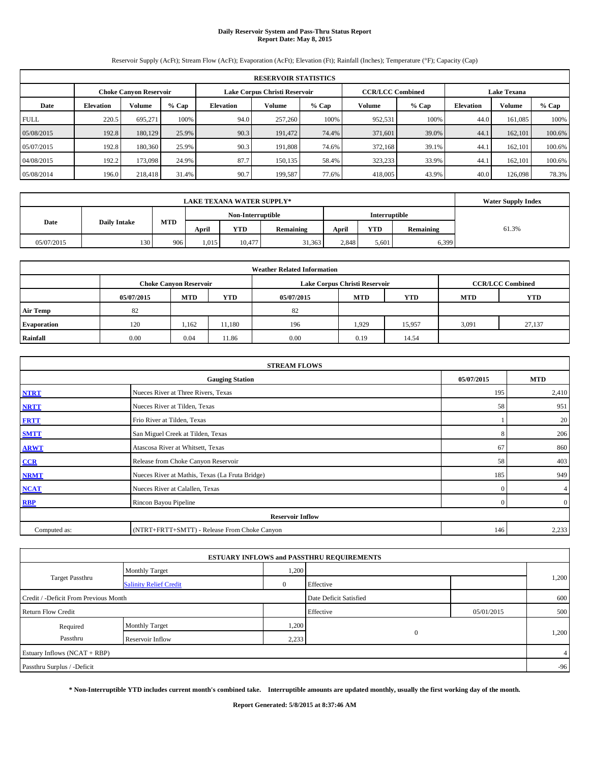# **Daily Reservoir System and Pass-Thru Status Report Report Date: May 8, 2015**

Reservoir Supply (AcFt); Stream Flow (AcFt); Evaporation (AcFt); Elevation (Ft); Rainfall (Inches); Temperature (°F); Capacity (Cap)

|             | <b>RESERVOIR STATISTICS</b> |                               |         |                  |                               |         |         |                         |                    |               |        |  |
|-------------|-----------------------------|-------------------------------|---------|------------------|-------------------------------|---------|---------|-------------------------|--------------------|---------------|--------|--|
|             |                             | <b>Choke Canvon Reservoir</b> |         |                  | Lake Corpus Christi Reservoir |         |         | <b>CCR/LCC Combined</b> | <b>Lake Texana</b> |               |        |  |
| Date        | <b>Elevation</b>            | <b>Volume</b>                 | $%$ Cap | <b>Elevation</b> | Volume                        | $%$ Cap | Volume  | $%$ Cap                 | <b>Elevation</b>   | <b>Volume</b> |        |  |
| <b>FULL</b> | 220.5                       | 695.271                       | 100%    | 94.0             | 257,260                       | 100%    | 952,531 | 100%                    | 44.0               | 161.085       | 100%   |  |
| 05/08/2015  | 192.8                       | 180,129                       | 25.9%   | 90.3             | 191,472                       | 74.4%   | 371,601 | 39.0%                   | 44.1               | 162,101       | 100.6% |  |
| 05/07/2015  | 192.8                       | 180,360                       | 25.9%   | 90.3             | 191.808                       | 74.6%   | 372,168 | 39.1%                   | 44.1               | 162.101       | 100.6% |  |
| 04/08/2015  | 192.2                       | 173,098                       | 24.9%   | 87.7             | 150.135                       | 58.4%   | 323,233 | 33.9%                   | 44.1               | 162,101       | 100.6% |  |
| 05/08/2014  | 196.0                       | 218,418                       | 31.4%   | 90.7             | 199,587                       | 77.6%   | 418,005 | 43.9%                   | 40.0               | 126,098       | 78.3%  |  |

|            | <b>LAKE TEXANA WATER SUPPLY*</b> |            |       |                   |           |       |               |           |       |  |  |  |
|------------|----------------------------------|------------|-------|-------------------|-----------|-------|---------------|-----------|-------|--|--|--|
|            |                                  |            |       | Non-Interruptible |           |       | Interruptible |           |       |  |  |  |
| Date       | <b>Daily Intake</b>              | <b>MTD</b> | April | <b>YTD</b>        | Remaining | April | <b>YTD</b>    | Remaining | 61.3% |  |  |  |
| 05/07/2015 | 130                              | 906        | 1,015 | 10.477            | 31,363    | 2,848 | 5.601         | 6,399     |       |  |  |  |

| <b>Weather Related Information</b> |            |                                                                                           |        |            |            |            |            |            |  |  |  |  |  |
|------------------------------------|------------|-------------------------------------------------------------------------------------------|--------|------------|------------|------------|------------|------------|--|--|--|--|--|
|                                    |            | <b>CCR/LCC Combined</b><br>Lake Corpus Christi Reservoir<br><b>Choke Canyon Reservoir</b> |        |            |            |            |            |            |  |  |  |  |  |
|                                    | 05/07/2015 | <b>MTD</b>                                                                                | YTD    | 05/07/2015 | <b>MTD</b> | <b>YTD</b> | <b>MTD</b> | <b>YTD</b> |  |  |  |  |  |
| <b>Air Temp</b>                    | 82         |                                                                                           |        | 82         |            |            |            |            |  |  |  |  |  |
| Evaporation                        | 120        | 1,162                                                                                     | 11,180 | 196        | 1,929      | 15,957     | 3,091      | 27,137     |  |  |  |  |  |
| Rainfall                           | 0.00       | 0.04                                                                                      | 11.86  | 0.00       | 0.19       | 14.54      |            |            |  |  |  |  |  |

|                                      | <b>STREAM FLOWS</b>                             |              |                  |  |  |  |  |  |
|--------------------------------------|-------------------------------------------------|--------------|------------------|--|--|--|--|--|
| 05/07/2015<br><b>Gauging Station</b> |                                                 |              |                  |  |  |  |  |  |
| <b>NTRT</b>                          | Nueces River at Three Rivers, Texas             | 195          | 2,410            |  |  |  |  |  |
| <b>NRTT</b>                          | Nueces River at Tilden, Texas                   | 58           | 951              |  |  |  |  |  |
| <b>FRTT</b>                          | Frio River at Tilden, Texas                     |              | 20               |  |  |  |  |  |
| <b>SMTT</b>                          | San Miguel Creek at Tilden, Texas               | 8            | 206              |  |  |  |  |  |
| <b>ARWT</b>                          | Atascosa River at Whitsett, Texas               | 67           | 860              |  |  |  |  |  |
| CCR                                  | Release from Choke Canyon Reservoir             | 58           | 403              |  |  |  |  |  |
| <b>NRMT</b>                          | Nueces River at Mathis, Texas (La Fruta Bridge) | 185          | 949              |  |  |  |  |  |
| <b>NCAT</b>                          | Nueces River at Calallen, Texas                 | $\Omega$     | 4 <sub>1</sub>   |  |  |  |  |  |
| <b>RBP</b>                           | Rincon Bayou Pipeline                           | $\mathbf{0}$ | $\boldsymbol{0}$ |  |  |  |  |  |
|                                      | <b>Reservoir Inflow</b>                         |              |                  |  |  |  |  |  |
| Computed as:                         | (NTRT+FRTT+SMTT) - Release From Choke Canyon    | 146          | 2,233            |  |  |  |  |  |

|                                       |                               |       | <b>ESTUARY INFLOWS and PASSTHRU REQUIREMENTS</b> |            |                |
|---------------------------------------|-------------------------------|-------|--------------------------------------------------|------------|----------------|
|                                       | <b>Monthly Target</b>         | 1,200 |                                                  |            |                |
| <b>Target Passthru</b>                | <b>Salinity Relief Credit</b> |       | Effective                                        |            | 1,200          |
| Credit / -Deficit From Previous Month |                               |       | Date Deficit Satisfied                           |            | 600            |
| <b>Return Flow Credit</b>             |                               |       | Effective                                        | 05/01/2015 | 500            |
| Required                              | <b>Monthly Target</b>         | 1,200 |                                                  |            |                |
| Passthru                              | Reservoir Inflow              | 2,233 | $\mathbf{0}$                                     |            | 1,200          |
| Estuary Inflows (NCAT + RBP)          |                               |       |                                                  |            | $\overline{4}$ |
| Passthru Surplus / -Deficit           |                               |       |                                                  |            | $-96$          |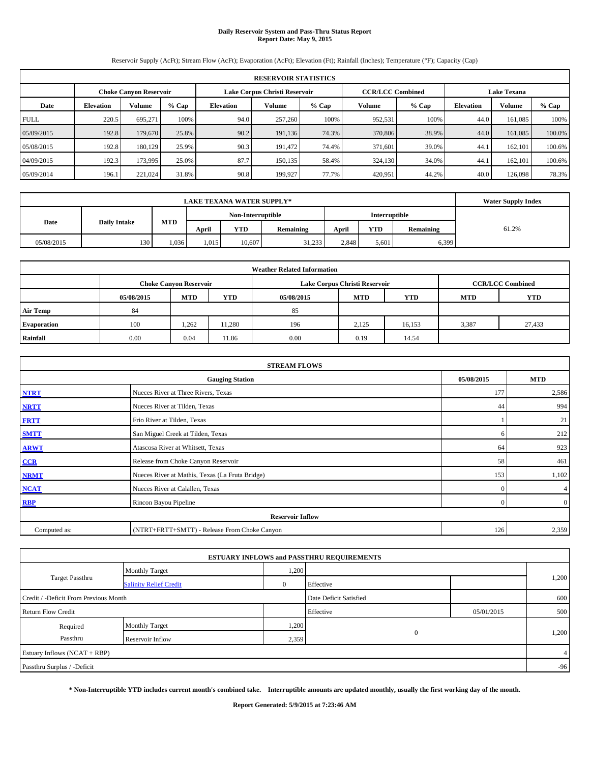# **Daily Reservoir System and Pass-Thru Status Report Report Date: May 9, 2015**

Reservoir Supply (AcFt); Stream Flow (AcFt); Evaporation (AcFt); Elevation (Ft); Rainfall (Inches); Temperature (°F); Capacity (Cap)

|             | <b>RESERVOIR STATISTICS</b>                                                                                     |               |         |                  |         |         |               |         |                  |         |         |  |  |  |  |
|-------------|-----------------------------------------------------------------------------------------------------------------|---------------|---------|------------------|---------|---------|---------------|---------|------------------|---------|---------|--|--|--|--|
|             | <b>CCR/LCC Combined</b><br><b>Lake Texana</b><br>Lake Corpus Christi Reservoir<br><b>Choke Canvon Reservoir</b> |               |         |                  |         |         |               |         |                  |         |         |  |  |  |  |
| Date        | <b>Elevation</b>                                                                                                | <b>Volume</b> | $%$ Cap | <b>Elevation</b> | Volume  | $%$ Cap | <b>Volume</b> | $%$ Cap | <b>Elevation</b> | Volume  | $%$ Cap |  |  |  |  |
| <b>FULL</b> | 220.5                                                                                                           | 695.271       | 100%    | 94.0             | 257,260 | 100%    | 952,531       | 100%    | 44.0             | 161.085 | 100%    |  |  |  |  |
| 05/09/2015  | 192.8                                                                                                           | 179,670       | 25.8%   | 90.2             | 191.136 | 74.3%   | 370,806       | 38.9%   | 44.0             | 161,085 | 100.0%  |  |  |  |  |
| 05/08/2015  | 192.8                                                                                                           | 180.129       | 25.9%   | 90.3             | 191.472 | 74.4%   | 371.601       | 39.0%   | 44.1             | 162,101 | 100.6%  |  |  |  |  |
| 04/09/2015  | 192.3                                                                                                           | 173,995       | 25.0%   | 87.7             | 150.135 | 58.4%   | 324,130       | 34.0%   | 44.1             | 162,101 | 100.6%  |  |  |  |  |
| 05/09/2014  | 196.1                                                                                                           | 221,024       | 31.8%   | 90.8             | 199.927 | 77.7%   | 420,951       | 44.2%   | 40.0             | 126,098 | 78.3%   |  |  |  |  |

|                                    | <b>LAKE TEXANA WATER SUPPLY*</b> |      |       |                   |           |       |               |           |       |  |  |
|------------------------------------|----------------------------------|------|-------|-------------------|-----------|-------|---------------|-----------|-------|--|--|
|                                    |                                  |      |       | Non-Interruptible |           |       | Interruptible |           |       |  |  |
| MTD<br>Date<br><b>Daily Intake</b> |                                  |      | April | <b>YTD</b>        | Remaining | April | YTD           | Remaining | 61.2% |  |  |
| 05/08/2015                         | 130                              | .036 | 1.015 | 10.607            | 31,233    | 2.848 | 5.601         | 6,399     |       |  |  |

| <b>Weather Related Information</b> |            |                                                                                           |        |            |            |            |            |            |  |  |  |  |  |
|------------------------------------|------------|-------------------------------------------------------------------------------------------|--------|------------|------------|------------|------------|------------|--|--|--|--|--|
|                                    |            | <b>CCR/LCC Combined</b><br>Lake Corpus Christi Reservoir<br><b>Choke Canyon Reservoir</b> |        |            |            |            |            |            |  |  |  |  |  |
|                                    | 05/08/2015 | <b>MTD</b>                                                                                | YTD    | 05/08/2015 | <b>MTD</b> | <b>YTD</b> | <b>MTD</b> | <b>YTD</b> |  |  |  |  |  |
| <b>Air Temp</b>                    | 84         |                                                                                           |        | 85         |            |            |            |            |  |  |  |  |  |
| Evaporation                        | 100        | 1,262                                                                                     | 11,280 | 196        | 2,125      | 16,153     | 3,387      | 27,433     |  |  |  |  |  |
| Rainfall                           | 0.00       | 0.04                                                                                      | 11.86  | 0.00       | 0.19       | 14.54      |            |            |  |  |  |  |  |

|              | <b>STREAM FLOWS</b>                                |              |                |  |  |  |  |  |  |
|--------------|----------------------------------------------------|--------------|----------------|--|--|--|--|--|--|
|              | 05/08/2015<br><b>MTD</b><br><b>Gauging Station</b> |              |                |  |  |  |  |  |  |
| <b>NTRT</b>  | Nueces River at Three Rivers, Texas                | 177          | 2,586          |  |  |  |  |  |  |
| <b>NRTT</b>  | Nueces River at Tilden, Texas                      | 44           | 994            |  |  |  |  |  |  |
| <b>FRTT</b>  | Frio River at Tilden, Texas                        |              | 21             |  |  |  |  |  |  |
| <b>SMTT</b>  | San Miguel Creek at Tilden, Texas                  | 6            | 212            |  |  |  |  |  |  |
| <b>ARWT</b>  | Atascosa River at Whitsett, Texas                  | 64           | 923            |  |  |  |  |  |  |
| CCR          | Release from Choke Canyon Reservoir                | 58           | 461            |  |  |  |  |  |  |
| <b>NRMT</b>  | Nueces River at Mathis, Texas (La Fruta Bridge)    | 153          | 1,102          |  |  |  |  |  |  |
| <b>NCAT</b>  | Nueces River at Calallen, Texas                    | $\mathbf{0}$ | 4 <sub>1</sub> |  |  |  |  |  |  |
| <b>RBP</b>   | Rincon Bayou Pipeline                              | $\Omega$     | $\overline{0}$ |  |  |  |  |  |  |
|              | <b>Reservoir Inflow</b>                            |              |                |  |  |  |  |  |  |
| Computed as: | (NTRT+FRTT+SMTT) - Release From Choke Canyon       | 126          | 2,359          |  |  |  |  |  |  |

|                                       |                               |          | <b>ESTUARY INFLOWS and PASSTHRU REQUIREMENTS</b> |            |                |
|---------------------------------------|-------------------------------|----------|--------------------------------------------------|------------|----------------|
|                                       | <b>Monthly Target</b>         | 1,200    |                                                  |            |                |
| <b>Target Passthru</b>                | <b>Salinity Relief Credit</b> | $\Omega$ | Effective                                        |            | 1,200          |
| Credit / -Deficit From Previous Month |                               |          | Date Deficit Satisfied                           |            | 600            |
| <b>Return Flow Credit</b>             |                               |          | Effective                                        | 05/01/2015 | 500            |
| Required                              | <b>Monthly Target</b>         | 1,200    |                                                  |            |                |
| Passthru                              | Reservoir Inflow              | 2,359    | $\mathbf{0}$                                     |            | 1,200          |
| Estuary Inflows (NCAT + RBP)          |                               |          |                                                  |            | $\overline{4}$ |
| Passthru Surplus / -Deficit           |                               |          |                                                  |            | $-96$          |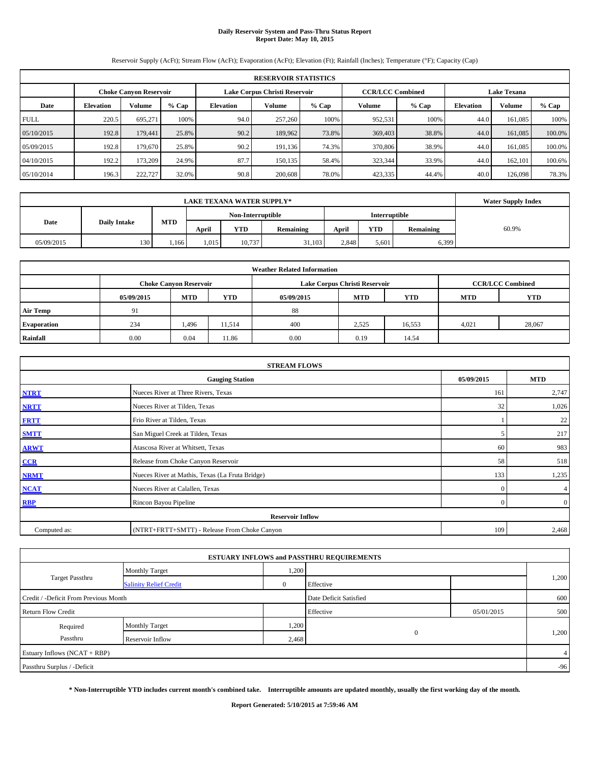# **Daily Reservoir System and Pass-Thru Status Report Report Date: May 10, 2015**

Reservoir Supply (AcFt); Stream Flow (AcFt); Evaporation (AcFt); Elevation (Ft); Rainfall (Inches); Temperature (°F); Capacity (Cap)

|             | <b>RESERVOIR STATISTICS</b>                                                                                     |               |         |                  |         |         |               |         |                  |         |         |  |  |  |  |
|-------------|-----------------------------------------------------------------------------------------------------------------|---------------|---------|------------------|---------|---------|---------------|---------|------------------|---------|---------|--|--|--|--|
|             | <b>CCR/LCC Combined</b><br><b>Lake Texana</b><br>Lake Corpus Christi Reservoir<br><b>Choke Canvon Reservoir</b> |               |         |                  |         |         |               |         |                  |         |         |  |  |  |  |
| Date        | <b>Elevation</b>                                                                                                | <b>Volume</b> | $%$ Cap | <b>Elevation</b> | Volume  | $%$ Cap | <b>Volume</b> | $%$ Cap | <b>Elevation</b> | Volume  | $%$ Cap |  |  |  |  |
| <b>FULL</b> | 220.5                                                                                                           | 695.271       | 100%    | 94.0             | 257,260 | 100%    | 952,531       | 100%    | 44.0             | 161.085 | 100%    |  |  |  |  |
| 05/10/2015  | 192.8                                                                                                           | 179,441       | 25.8%   | 90.2             | 189,962 | 73.8%   | 369,403       | 38.8%   | 44.0             | 161,085 | 100.0%  |  |  |  |  |
| 05/09/2015  | 192.8                                                                                                           | 179,670       | 25.8%   | 90.2             | 191.136 | 74.3%   | 370,806       | 38.9%   | 44.0             | 161.085 | 100.0%  |  |  |  |  |
| 04/10/2015  | 192.2                                                                                                           | 173,209       | 24.9%   | 87.7             | 150.135 | 58.4%   | 323,344       | 33.9%   | 44.0             | 162,101 | 100.6%  |  |  |  |  |
| 05/10/2014  | 196.3                                                                                                           | 222,727       | 32.0%   | 90.8             | 200,608 | 78.0%   | 423,335       | 44.4%   | 40.0             | 126,098 | 78.3%   |  |  |  |  |

|                             | <b>LAKE TEXANA WATER SUPPLY*</b> |       |                                           |        |                  |       |            |           |       |  |  |
|-----------------------------|----------------------------------|-------|-------------------------------------------|--------|------------------|-------|------------|-----------|-------|--|--|
|                             |                                  |       | <b>Interruptible</b><br>Non-Interruptible |        |                  |       |            |           |       |  |  |
| Date<br><b>Daily Intake</b> |                                  | MTD   | April                                     | YTD    | <b>Remaining</b> | April | <b>YTD</b> | Remaining | 60.9% |  |  |
| 05/09/2015                  | 130                              | .,166 | .015                                      | 10.737 | 31,103           | 2.848 | 5.601      | 6,399     |       |  |  |

| <b>Weather Related Information</b> |            |                               |            |            |                               |                         |            |            |  |  |  |  |
|------------------------------------|------------|-------------------------------|------------|------------|-------------------------------|-------------------------|------------|------------|--|--|--|--|
|                                    |            | <b>Choke Canvon Reservoir</b> |            |            | Lake Corpus Christi Reservoir | <b>CCR/LCC Combined</b> |            |            |  |  |  |  |
|                                    | 05/09/2015 | <b>MTD</b>                    | <b>YTD</b> | 05/09/2015 | <b>MTD</b>                    | <b>YTD</b>              | <b>MTD</b> | <b>YTD</b> |  |  |  |  |
| <b>Air Temp</b>                    | 91         |                               |            | 88         |                               |                         |            |            |  |  |  |  |
| Evaporation                        | 234        | 1,496                         | 11,514     | 400        | 2,525                         | 16,553                  | 4,021      | 28,067     |  |  |  |  |
| Rainfall                           | 0.00       | 0.04                          | 11.86      | 0.00       | 0.19                          | 14.54                   |            |            |  |  |  |  |

| <b>STREAM FLOWS</b> |                                                 |            |                |  |  |  |  |  |  |  |
|---------------------|-------------------------------------------------|------------|----------------|--|--|--|--|--|--|--|
|                     | <b>Gauging Station</b>                          | 05/09/2015 | <b>MTD</b>     |  |  |  |  |  |  |  |
| <b>NTRT</b>         | Nueces River at Three Rivers, Texas             | 161        | 2,747          |  |  |  |  |  |  |  |
| <b>NRTT</b>         | Nueces River at Tilden, Texas                   | 32         | 1,026          |  |  |  |  |  |  |  |
| <b>FRTT</b>         | Frio River at Tilden, Texas                     |            | 22             |  |  |  |  |  |  |  |
| <b>SMTT</b>         | San Miguel Creek at Tilden, Texas               |            | 217            |  |  |  |  |  |  |  |
| <b>ARWT</b>         | 60                                              | 983        |                |  |  |  |  |  |  |  |
| CCR                 | Release from Choke Canyon Reservoir             | 58         | 518            |  |  |  |  |  |  |  |
| <b>NRMT</b>         | Nueces River at Mathis, Texas (La Fruta Bridge) | 133        | 1,235          |  |  |  |  |  |  |  |
| <b>NCAT</b>         | Nueces River at Calallen, Texas                 | $\Omega$   | $\overline{4}$ |  |  |  |  |  |  |  |
| <b>RBP</b>          | Rincon Bayou Pipeline                           |            |                |  |  |  |  |  |  |  |
|                     | <b>Reservoir Inflow</b>                         |            |                |  |  |  |  |  |  |  |
| Computed as:        | (NTRT+FRTT+SMTT) - Release From Choke Canyon    |            |                |  |  |  |  |  |  |  |

|                                       |                               |              | <b>ESTUARY INFLOWS and PASSTHRU REQUIREMENTS</b> |            |       |  |
|---------------------------------------|-------------------------------|--------------|--------------------------------------------------|------------|-------|--|
|                                       | <b>Monthly Target</b>         | 1,200        |                                                  |            |       |  |
| <b>Target Passthru</b>                | <b>Salinity Relief Credit</b> | $\mathbf{0}$ | Effective                                        |            | 1,200 |  |
| Credit / -Deficit From Previous Month |                               |              | Date Deficit Satisfied                           |            | 600   |  |
| <b>Return Flow Credit</b>             |                               |              | Effective                                        | 05/01/2015 | 500   |  |
| Required                              | <b>Monthly Target</b>         | 1,200        |                                                  |            |       |  |
| Passthru                              | Reservoir Inflow              | 2,468        | $\mathbf{0}$                                     |            | 1,200 |  |
| Estuary Inflows (NCAT + RBP)          |                               |              |                                                  |            |       |  |
| Passthru Surplus / -Deficit           |                               |              |                                                  |            | $-96$ |  |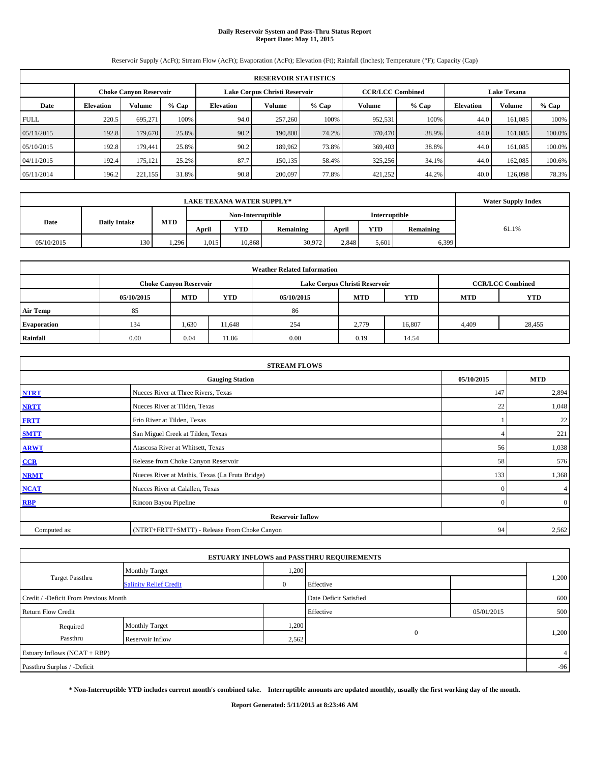# **Daily Reservoir System and Pass-Thru Status Report Report Date: May 11, 2015**

Reservoir Supply (AcFt); Stream Flow (AcFt); Evaporation (AcFt); Elevation (Ft); Rainfall (Inches); Temperature (°F); Capacity (Cap)

|             | <b>RESERVOIR STATISTICS</b> |                               |         |                               |         |         |                         |         |                    |         |         |  |
|-------------|-----------------------------|-------------------------------|---------|-------------------------------|---------|---------|-------------------------|---------|--------------------|---------|---------|--|
|             |                             | <b>Choke Canvon Reservoir</b> |         | Lake Corpus Christi Reservoir |         |         | <b>CCR/LCC Combined</b> |         | <b>Lake Texana</b> |         |         |  |
| Date        | <b>Elevation</b>            | <b>Volume</b>                 | $%$ Cap | <b>Elevation</b>              | Volume  | $%$ Cap | <b>Volume</b>           | $%$ Cap | <b>Elevation</b>   | Volume  | $%$ Cap |  |
| <b>FULL</b> | 220.5                       | 695.271                       | 100%    | 94.0                          | 257,260 | 100%    | 952,531                 | 100%    | 44.0               | 161.085 | 100%    |  |
| 05/11/2015  | 192.8                       | 179,670                       | 25.8%   | 90.2                          | 190,800 | 74.2%   | 370,470                 | 38.9%   | 44.0               | 161,085 | 100.0%  |  |
| 05/10/2015  | 192.8                       | 179,441                       | 25.8%   | 90.2                          | 189.962 | 73.8%   | 369,403                 | 38.8%   | 44.0               | 161.085 | 100.0%  |  |
| 04/11/2015  | 192.4                       | 175,121                       | 25.2%   | 87.7                          | 150.135 | 58.4%   | 325,256                 | 34.1%   | 44.0               | 162,085 | 100.6%  |  |
| 05/11/2014  | 196.2                       | 221,155                       | 31.8%   | 90.8                          | 200,097 | 77.8%   | 421,252                 | 44.2%   | 40.0               | 126,098 | 78.3%   |  |

| <b>LAKE TEXANA WATER SUPPLY*</b> |                     |            |       |                   |                  |       |                      |           | <b>Water Supply Index</b> |
|----------------------------------|---------------------|------------|-------|-------------------|------------------|-------|----------------------|-----------|---------------------------|
|                                  |                     |            |       | Non-Interruptible |                  |       | <b>Interruptible</b> |           |                           |
| Date                             | <b>Daily Intake</b> | <b>MTD</b> | April | YTD               | <b>Remaining</b> | April | <b>YTD</b>           | Remaining | 61.1%                     |
| 05/10/2015                       | 130                 | 1.296      | .015  | 10.868            | 30,972           | 2.848 | 5.601                | 6,399     |                           |

| <b>Weather Related Information</b> |            |                               |        |            |                               |                         |            |            |  |  |
|------------------------------------|------------|-------------------------------|--------|------------|-------------------------------|-------------------------|------------|------------|--|--|
|                                    |            | <b>Choke Canyon Reservoir</b> |        |            | Lake Corpus Christi Reservoir | <b>CCR/LCC Combined</b> |            |            |  |  |
|                                    | 05/10/2015 | <b>MTD</b>                    | YTD    | 05/10/2015 | <b>MTD</b>                    | <b>YTD</b>              | <b>MTD</b> | <b>YTD</b> |  |  |
| <b>Air Temp</b>                    | 85         |                               |        | 86         |                               |                         |            |            |  |  |
| Evaporation                        | 134        | 1,630                         | 11,648 | 254        | 2,779                         | 16,807                  | 4,409      | 28,455     |  |  |
| Rainfall                           | 0.00       | 0.04                          | 11.86  | 0.00       | 0.19                          | 14.54                   |            |            |  |  |

| <b>STREAM FLOWS</b> |                                                 |            |                |  |  |  |  |  |  |  |
|---------------------|-------------------------------------------------|------------|----------------|--|--|--|--|--|--|--|
|                     | <b>Gauging Station</b>                          | 05/10/2015 | <b>MTD</b>     |  |  |  |  |  |  |  |
| <b>NTRT</b>         | Nueces River at Three Rivers, Texas             | 147        | 2,894          |  |  |  |  |  |  |  |
| <b>NRTT</b>         | Nueces River at Tilden, Texas                   | 22         | 1,048          |  |  |  |  |  |  |  |
| <b>FRTT</b>         | Frio River at Tilden, Texas                     |            | 22             |  |  |  |  |  |  |  |
| <b>SMTT</b>         | San Miguel Creek at Tilden, Texas               |            | 221            |  |  |  |  |  |  |  |
| <b>ARWT</b>         | 56                                              | 1,038      |                |  |  |  |  |  |  |  |
| CCR                 | Release from Choke Canyon Reservoir             | 58         | 576            |  |  |  |  |  |  |  |
| <b>NRMT</b>         | Nueces River at Mathis, Texas (La Fruta Bridge) | 133        | 1,368          |  |  |  |  |  |  |  |
| <b>NCAT</b>         | Nueces River at Calallen, Texas                 | $\Omega$   | $\overline{4}$ |  |  |  |  |  |  |  |
| <b>RBP</b>          | Rincon Bayou Pipeline                           |            |                |  |  |  |  |  |  |  |
|                     | <b>Reservoir Inflow</b>                         |            |                |  |  |  |  |  |  |  |
| Computed as:        | (NTRT+FRTT+SMTT) - Release From Choke Canyon    |            |                |  |  |  |  |  |  |  |

| <b>ESTUARY INFLOWS and PASSTHRU REQUIREMENTS</b> |                               |                        |              |            |       |  |  |  |  |  |
|--------------------------------------------------|-------------------------------|------------------------|--------------|------------|-------|--|--|--|--|--|
|                                                  | <b>Monthly Target</b>         | 1,200                  |              |            |       |  |  |  |  |  |
| <b>Target Passthru</b>                           | <b>Salinity Relief Credit</b> | $\Omega$               | Effective    |            | 1,200 |  |  |  |  |  |
| Credit / -Deficit From Previous Month            |                               | Date Deficit Satisfied |              | 600        |       |  |  |  |  |  |
| <b>Return Flow Credit</b>                        |                               |                        | Effective    | 05/01/2015 | 500   |  |  |  |  |  |
| Required                                         | <b>Monthly Target</b>         | 1,200                  |              |            |       |  |  |  |  |  |
| Passthru                                         | Reservoir Inflow              | 2,562                  | $\mathbf{0}$ |            | 1,200 |  |  |  |  |  |
| Estuary Inflows (NCAT + RBP)                     |                               |                        |              |            |       |  |  |  |  |  |
| Passthru Surplus / -Deficit                      |                               |                        |              |            | $-96$ |  |  |  |  |  |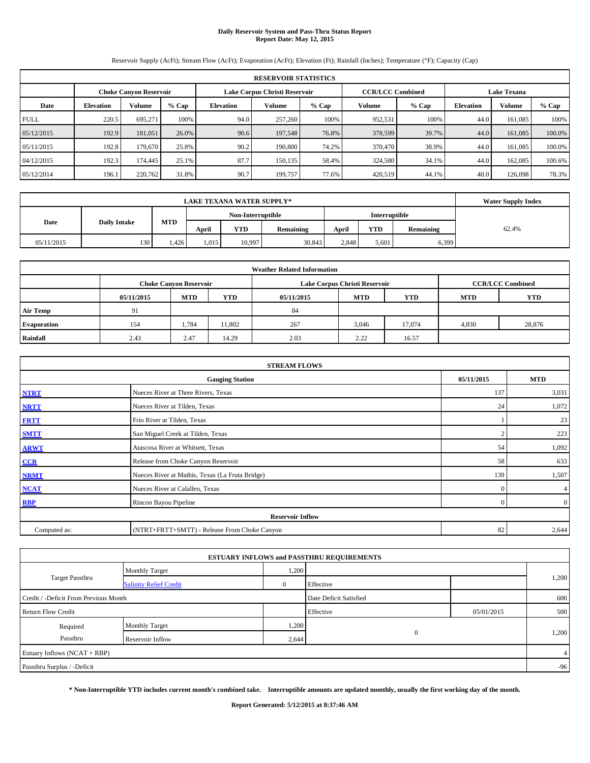# **Daily Reservoir System and Pass-Thru Status Report Report Date: May 12, 2015**

Reservoir Supply (AcFt); Stream Flow (AcFt); Evaporation (AcFt); Elevation (Ft); Rainfall (Inches); Temperature (°F); Capacity (Cap)

|             | <b>RESERVOIR STATISTICS</b>   |               |         |                               |         |         |                         |         |                    |               |         |  |
|-------------|-------------------------------|---------------|---------|-------------------------------|---------|---------|-------------------------|---------|--------------------|---------------|---------|--|
|             | <b>Choke Canvon Reservoir</b> |               |         | Lake Corpus Christi Reservoir |         |         | <b>CCR/LCC Combined</b> |         | <b>Lake Texana</b> |               |         |  |
| Date        | <b>Elevation</b>              | <b>Volume</b> | $%$ Cap | <b>Elevation</b>              | Volume  | $%$ Cap | Volume                  | $%$ Cap | <b>Elevation</b>   | <b>Volume</b> | $%$ Cap |  |
| <b>FULL</b> | 220.5                         | 695.271       | 100%    | 94.0                          | 257,260 | 100%    | 952,531                 | 100%    | 44.0               | 161.085       | 100%    |  |
| 05/12/2015  | 192.9                         | 181.051       | 26.0%   | 90.6                          | 197,548 | 76.8%   | 378,599                 | 39.7%   | 44.0               | 161,085       | 100.0%  |  |
| 05/11/2015  | 192.8                         | 179,670       | 25.8%   | 90.2                          | 190,800 | 74.2%   | 370,470                 | 38.9%   | 44.0               | 161.085       | 100.0%  |  |
| 04/12/2015  | 192.3                         | 174,445       | 25.1%   | 87.7                          | 150.135 | 58.4%   | 324,580                 | 34.1%   | 44.0               | 162,085       | 100.6%  |  |
| 05/12/2014  | 196.1                         | 220,762       | 31.8%   | 90.7                          | 199,757 | 77.6%   | 420,519                 | 44.1%   | 40.0               | 126,098       | 78.3%   |  |

| <b>LAKE TEXANA WATER SUPPLY*</b> |                     |       |                   |            |           |               |            |           | <b>Water Supply Index</b> |
|----------------------------------|---------------------|-------|-------------------|------------|-----------|---------------|------------|-----------|---------------------------|
|                                  |                     |       | Non-Interruptible |            |           | Interruptible |            |           |                           |
| Date                             | <b>Daily Intake</b> | MTD   | April             | <b>YTD</b> | Remaining | April         | <b>YTD</b> | Remaining | 62.4%                     |
| 05/11/2015                       | 130                 | 1.426 | 1.015             | 10.997     | 30,843    | 2.848         | 5.601      | 6,399     |                           |

| <b>Weather Related Information</b> |            |                               |        |            |                               |                         |            |            |  |  |
|------------------------------------|------------|-------------------------------|--------|------------|-------------------------------|-------------------------|------------|------------|--|--|
|                                    |            | <b>Choke Canyon Reservoir</b> |        |            | Lake Corpus Christi Reservoir | <b>CCR/LCC Combined</b> |            |            |  |  |
|                                    | 05/11/2015 | <b>MTD</b>                    | YTD    | 05/11/2015 | <b>MTD</b>                    | <b>YTD</b>              | <b>MTD</b> | <b>YTD</b> |  |  |
| <b>Air Temp</b>                    | 91         |                               |        | 84         |                               |                         |            |            |  |  |
| Evaporation                        | 154        | 1,784                         | 11,802 | 267        | 3,046                         | 17,074                  | 4,830      | 28,876     |  |  |
| Rainfall                           | 2.43       | 2.47                          | 14.29  | 2.03       | 2.22                          | 16.57                   |            |            |  |  |

| <b>STREAM FLOWS</b> |                                                 |            |                |  |  |  |  |  |  |  |
|---------------------|-------------------------------------------------|------------|----------------|--|--|--|--|--|--|--|
|                     | <b>Gauging Station</b>                          | 05/11/2015 | <b>MTD</b>     |  |  |  |  |  |  |  |
| <b>NTRT</b>         | Nueces River at Three Rivers, Texas             | 137        | 3,031          |  |  |  |  |  |  |  |
| <b>NRTT</b>         | Nueces River at Tilden, Texas                   | 24         | 1,072          |  |  |  |  |  |  |  |
| <b>FRTT</b>         | Frio River at Tilden, Texas                     |            | 23             |  |  |  |  |  |  |  |
| <b>SMTT</b>         | San Miguel Creek at Tilden, Texas               |            | 223            |  |  |  |  |  |  |  |
| <b>ARWT</b>         | Atascosa River at Whitsett, Texas               | 54         | 1,092          |  |  |  |  |  |  |  |
| CCR                 | Release from Choke Canyon Reservoir             | 58         | 633            |  |  |  |  |  |  |  |
| <b>NRMT</b>         | Nueces River at Mathis, Texas (La Fruta Bridge) | 139        | 1,507          |  |  |  |  |  |  |  |
| <b>NCAT</b>         | Nueces River at Calallen, Texas                 | $\Omega$   | $\overline{4}$ |  |  |  |  |  |  |  |
| <b>RBP</b>          | Rincon Bayou Pipeline                           |            |                |  |  |  |  |  |  |  |
|                     | <b>Reservoir Inflow</b>                         |            |                |  |  |  |  |  |  |  |
| Computed as:        | (NTRT+FRTT+SMTT) - Release From Choke Canyon    |            |                |  |  |  |  |  |  |  |

| <b>ESTUARY INFLOWS and PASSTHRU REQUIREMENTS</b> |                               |              |                        |            |       |  |  |  |  |  |  |
|--------------------------------------------------|-------------------------------|--------------|------------------------|------------|-------|--|--|--|--|--|--|
|                                                  | <b>Monthly Target</b>         | 1,200        |                        |            | 1,200 |  |  |  |  |  |  |
| <b>Target Passthru</b>                           | <b>Salinity Relief Credit</b> | $\mathbf{0}$ | Effective              |            |       |  |  |  |  |  |  |
| Credit / -Deficit From Previous Month            |                               |              | Date Deficit Satisfied |            | 600   |  |  |  |  |  |  |
| <b>Return Flow Credit</b>                        |                               |              | Effective              | 05/01/2015 | 500   |  |  |  |  |  |  |
| Required                                         | <b>Monthly Target</b>         | 1,200        |                        |            |       |  |  |  |  |  |  |
| Passthru                                         | Reservoir Inflow              | 2,644        | $\mathbf{0}$           |            | 1,200 |  |  |  |  |  |  |
| Estuary Inflows (NCAT + RBP)                     |                               |              |                        |            |       |  |  |  |  |  |  |
| Passthru Surplus / -Deficit                      |                               |              |                        |            | $-96$ |  |  |  |  |  |  |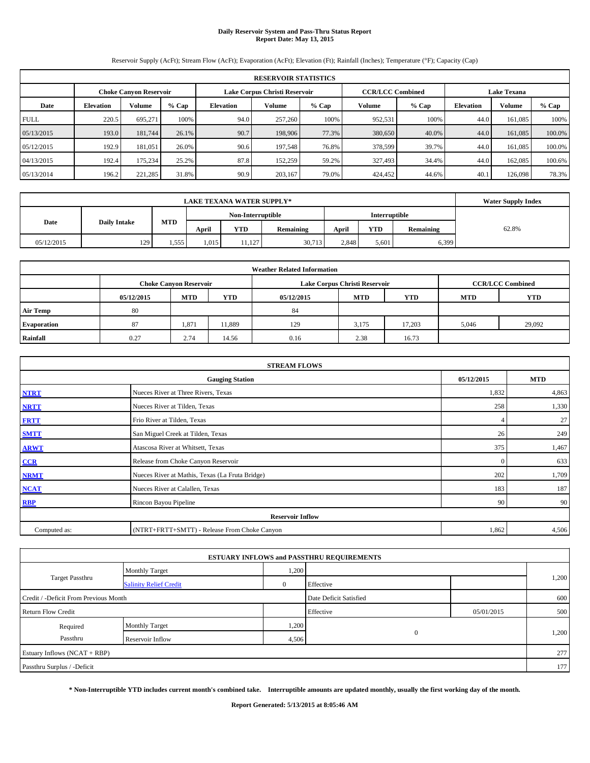# **Daily Reservoir System and Pass-Thru Status Report Report Date: May 13, 2015**

Reservoir Supply (AcFt); Stream Flow (AcFt); Evaporation (AcFt); Elevation (Ft); Rainfall (Inches); Temperature (°F); Capacity (Cap)

| <b>RESERVOIR STATISTICS</b> |                                                                                                                 |               |         |                  |         |         |         |         |                  |         |         |  |
|-----------------------------|-----------------------------------------------------------------------------------------------------------------|---------------|---------|------------------|---------|---------|---------|---------|------------------|---------|---------|--|
|                             | <b>CCR/LCC Combined</b><br><b>Lake Texana</b><br>Lake Corpus Christi Reservoir<br><b>Choke Canvon Reservoir</b> |               |         |                  |         |         |         |         |                  |         |         |  |
| Date                        | <b>Elevation</b>                                                                                                | <b>Volume</b> | $%$ Cap | <b>Elevation</b> | Volume  | $%$ Cap | Volume  | $%$ Cap | <b>Elevation</b> | Volume  | $%$ Cap |  |
| <b>FULL</b>                 | 220.5                                                                                                           | 695.271       | 100%    | 94.0             | 257,260 | 100%    | 952,531 | 100%    | 44.0             | 161.085 | 100%    |  |
| 05/13/2015                  | 193.0                                                                                                           | 181,744       | 26.1%   | 90.7             | 198,906 | 77.3%   | 380,650 | 40.0%   | 44.0             | 161,085 | 100.0%  |  |
| 05/12/2015                  | 192.9                                                                                                           | 181.051       | 26.0%   | 90.6             | 197.548 | 76.8%   | 378,599 | 39.7%   | 44.0             | 161.085 | 100.0%  |  |
| 04/13/2015                  | 192.4                                                                                                           | 175.234       | 25.2%   | 87.8             | 152,259 | 59.2%   | 327,493 | 34.4%   | 44.0             | 162,085 | 100.6%  |  |
| 05/13/2014                  | 196.2                                                                                                           | 221,285       | 31.8%   | 90.9             | 203,167 | 79.0%   | 424,452 | 44.6%   | 40.1             | 126,098 | 78.3%   |  |

|                             | <b>LAKE TEXANA WATER SUPPLY*</b> |                                                                      |                                    |            |           |       |            |           |       |  |  |
|-----------------------------|----------------------------------|----------------------------------------------------------------------|------------------------------------|------------|-----------|-------|------------|-----------|-------|--|--|
|                             |                                  |                                                                      | Interruptible<br>Non-Interruptible |            |           |       |            |           |       |  |  |
| Date<br><b>Daily Intake</b> |                                  | MTD                                                                  | April                              | <b>YTD</b> | Remaining | April | <b>YTD</b> | Remaining | 62.8% |  |  |
| 05/12/2015                  |                                  | 30.713<br>6,399<br>2.848<br>5.601<br>1.015<br>11.127<br>129<br>1.555 |                                    |            |           |       |            |           |       |  |  |

| <b>Weather Related Information</b> |            |                               |            |                                                                    |                               |                         |       |        |  |  |  |
|------------------------------------|------------|-------------------------------|------------|--------------------------------------------------------------------|-------------------------------|-------------------------|-------|--------|--|--|--|
|                                    |            | <b>Choke Canyon Reservoir</b> |            |                                                                    | Lake Corpus Christi Reservoir | <b>CCR/LCC Combined</b> |       |        |  |  |  |
|                                    | 05/12/2015 | <b>MTD</b>                    | <b>YTD</b> | <b>YTD</b><br><b>MTD</b><br><b>YTD</b><br><b>MTD</b><br>05/12/2015 |                               |                         |       |        |  |  |  |
| <b>Air Temp</b>                    | 80         |                               |            | 84                                                                 |                               |                         |       |        |  |  |  |
| Evaporation                        | 87         | 1,871                         | 11,889     | 129                                                                | 3,175                         | 17,203                  | 5,046 | 29,092 |  |  |  |
| Rainfall                           | 0.27       | 2.74                          | 14.56      | 0.16                                                               | 2.38                          | 16.73                   |       |        |  |  |  |

| <b>STREAM FLOWS</b>                                |                                                 |          |       |  |  |  |  |  |  |
|----------------------------------------------------|-------------------------------------------------|----------|-------|--|--|--|--|--|--|
| 05/12/2015<br><b>MTD</b><br><b>Gauging Station</b> |                                                 |          |       |  |  |  |  |  |  |
| <b>NTRT</b>                                        | Nueces River at Three Rivers, Texas             | 1,832    | 4,863 |  |  |  |  |  |  |
| <b>NRTT</b>                                        | Nueces River at Tilden, Texas                   | 258      | 1,330 |  |  |  |  |  |  |
| <b>FRTT</b>                                        | Frio River at Tilden, Texas                     |          | 27    |  |  |  |  |  |  |
| <b>SMTT</b>                                        | San Miguel Creek at Tilden, Texas               | 26       | 249   |  |  |  |  |  |  |
| <b>ARWT</b>                                        | Atascosa River at Whitsett, Texas               | 375      | 1,467 |  |  |  |  |  |  |
| CCR                                                | Release from Choke Canyon Reservoir             | $\Omega$ | 633   |  |  |  |  |  |  |
| <b>NRMT</b>                                        | Nueces River at Mathis, Texas (La Fruta Bridge) | 202      | 1,709 |  |  |  |  |  |  |
| <b>NCAT</b>                                        | Nueces River at Calallen, Texas                 | 183      | 187   |  |  |  |  |  |  |
| <b>RBP</b>                                         | Rincon Bayou Pipeline                           | 90       | 90    |  |  |  |  |  |  |
|                                                    | <b>Reservoir Inflow</b>                         |          |       |  |  |  |  |  |  |
| Computed as:                                       | (NTRT+FRTT+SMTT) - Release From Choke Canyon    |          |       |  |  |  |  |  |  |

|                                                                 |                               |          | <b>ESTUARY INFLOWS and PASSTHRU REQUIREMENTS</b> |  |       |  |  |
|-----------------------------------------------------------------|-------------------------------|----------|--------------------------------------------------|--|-------|--|--|
|                                                                 | <b>Monthly Target</b>         | 1,200    |                                                  |  |       |  |  |
| <b>Target Passthru</b>                                          | <b>Salinity Relief Credit</b> | $\Omega$ | Effective                                        |  | 1,200 |  |  |
| Credit / -Deficit From Previous Month<br>Date Deficit Satisfied |                               |          |                                                  |  |       |  |  |
| Effective<br>05/01/2015<br><b>Return Flow Credit</b>            |                               |          |                                                  |  | 500   |  |  |
| Required                                                        | <b>Monthly Target</b>         | 1,200    |                                                  |  | 1,200 |  |  |
| $\mathbf{0}$<br>Passthru<br>4,506<br>Reservoir Inflow           |                               |          |                                                  |  |       |  |  |
| Estuary Inflows (NCAT + RBP)                                    |                               |          |                                                  |  |       |  |  |
| Passthru Surplus / -Deficit                                     |                               |          |                                                  |  |       |  |  |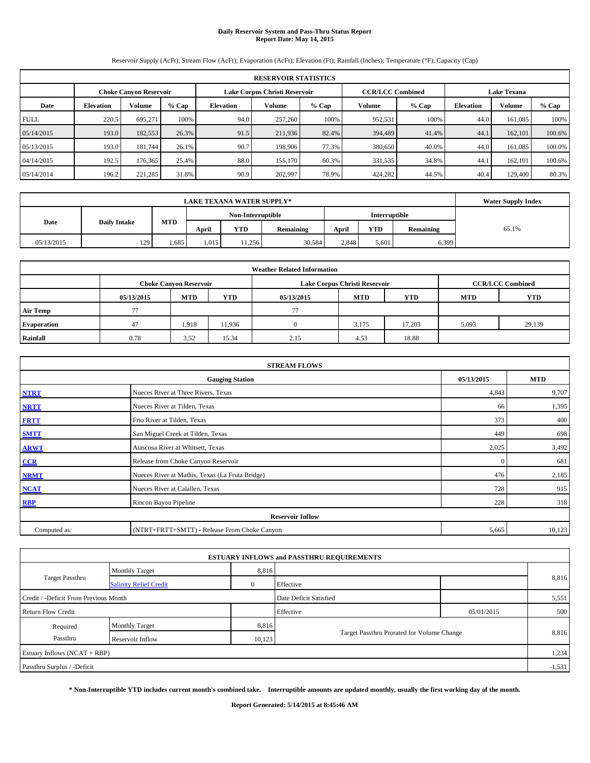# **Daily Reservoir System and Pass-Thru Status Report Report Date: May 14, 2015**

Reservoir Supply (AcFt); Stream Flow (AcFt); Evaporation (AcFt); Elevation (Ft); Rainfall (Inches); Temperature (°F); Capacity (Cap)

| <b>RESERVOIR STATISTICS</b> |                                                                                                                 |               |         |                  |         |         |               |         |      |               |         |  |  |
|-----------------------------|-----------------------------------------------------------------------------------------------------------------|---------------|---------|------------------|---------|---------|---------------|---------|------|---------------|---------|--|--|
|                             | <b>CCR/LCC Combined</b><br><b>Lake Texana</b><br>Lake Corpus Christi Reservoir<br><b>Choke Canvon Reservoir</b> |               |         |                  |         |         |               |         |      |               |         |  |  |
| Date                        | <b>Elevation</b>                                                                                                | <b>Volume</b> | $%$ Cap | <b>Elevation</b> | Volume  | $%$ Cap | <b>Volume</b> | $%$ Cap |      | <b>Volume</b> | $%$ Cap |  |  |
| <b>FULL</b>                 | 220.5                                                                                                           | 695.271       | 100%    | 94.0             | 257,260 | 100%    | 952,531       | 100%    | 44.0 | 161.085       | 100%    |  |  |
| 05/14/2015                  | 193.0                                                                                                           | 182,553       | 26.3%   | 91.5             | 211.936 | 82.4%   | 394,489       | 41.4%   | 44.1 | 162,101       | 100.6%  |  |  |
| 05/13/2015                  | 193.0                                                                                                           | 181,744       | 26.1%   | 90.7             | 198,906 | 77.3%   | 380,650       | 40.0%   | 44.0 | 161.085       | 100.0%  |  |  |
| 04/14/2015                  | 192.5                                                                                                           | 176,365       | 25.4%   | 88.0             | 155,170 | 60.3%   | 331,535       | 34.8%   | 44.1 | 162,101       | 100.6%  |  |  |
| 05/14/2014                  | 196.2                                                                                                           | 221,285       | 31.8%   | 90.9             | 202,997 | 78.9%   | 424,282       | 44.5%   | 40.4 | 129,400       | 80.3%   |  |  |

|                             | <b>LAKE TEXANA WATER SUPPLY*</b> |                                                                      |                                    |            |           |       |            |           |       |  |  |
|-----------------------------|----------------------------------|----------------------------------------------------------------------|------------------------------------|------------|-----------|-------|------------|-----------|-------|--|--|
|                             |                                  |                                                                      | Interruptible<br>Non-Interruptible |            |           |       |            |           |       |  |  |
| Date<br><b>Daily Intake</b> |                                  | MTD                                                                  | April                              | <b>YTD</b> | Remaining | April | <b>YTD</b> | Remaining | 65.1% |  |  |
| 05/13/2015                  |                                  | 30,584<br>6,399<br>2.848<br>5.601<br>129<br>1.015<br>11.256<br>1.685 |                                    |            |           |       |            |           |       |  |  |

| <b>Weather Related Information</b> |            |                               |            |                                                      |                               |                         |       |        |  |  |  |
|------------------------------------|------------|-------------------------------|------------|------------------------------------------------------|-------------------------------|-------------------------|-------|--------|--|--|--|
|                                    |            | <b>Choke Canyon Reservoir</b> |            |                                                      | Lake Corpus Christi Reservoir | <b>CCR/LCC Combined</b> |       |        |  |  |  |
|                                    | 05/13/2015 | <b>MTD</b>                    | <b>YTD</b> | <b>MTD</b><br><b>YTD</b><br><b>MTD</b><br>05/13/2015 |                               |                         |       |        |  |  |  |
| <b>Air Temp</b>                    | 77         |                               |            | 77                                                   |                               |                         |       |        |  |  |  |
| Evaporation                        | 47         | 1,918                         | 11,936     |                                                      | 3,175                         | 17,203                  | 5,093 | 29,139 |  |  |  |
| Rainfall                           | 0.78       | 3.52                          | 15.34      | 2.15                                                 | 4.53                          | 18.88                   |       |        |  |  |  |

| <b>STREAM FLOWS</b>                                |                                                 |              |       |  |  |  |  |  |  |
|----------------------------------------------------|-------------------------------------------------|--------------|-------|--|--|--|--|--|--|
| 05/13/2015<br><b>MTD</b><br><b>Gauging Station</b> |                                                 |              |       |  |  |  |  |  |  |
| <b>NTRT</b>                                        | Nueces River at Three Rivers, Texas             | 4,843        | 9,707 |  |  |  |  |  |  |
| <b>NRTT</b>                                        | Nueces River at Tilden, Texas                   | 66           | 1,395 |  |  |  |  |  |  |
| <b>FRTT</b>                                        | Frio River at Tilden, Texas                     | 373          | 400   |  |  |  |  |  |  |
| <b>SMTT</b>                                        | San Miguel Creek at Tilden, Texas               | 449          | 698   |  |  |  |  |  |  |
| <b>ARWT</b>                                        | Atascosa River at Whitsett, Texas               | 2,025        | 3,492 |  |  |  |  |  |  |
| $CCR$                                              | Release from Choke Canyon Reservoir             | $\mathbf{0}$ | 681   |  |  |  |  |  |  |
| <b>NRMT</b>                                        | Nueces River at Mathis, Texas (La Fruta Bridge) | 476          | 2,185 |  |  |  |  |  |  |
| <b>NCAT</b>                                        | Nueces River at Calallen, Texas                 | 728          | 915   |  |  |  |  |  |  |
| <b>RBP</b>                                         | Rincon Bayou Pipeline                           | 228          | 318   |  |  |  |  |  |  |
|                                                    | <b>Reservoir Inflow</b>                         |              |       |  |  |  |  |  |  |
| Computed as:                                       | (NTRT+FRTT+SMTT) - Release From Choke Canyon    |              |       |  |  |  |  |  |  |

|                                                                 |                               |                | <b>ESTUARY INFLOWS and PASSTHRU REQUIREMENTS</b> |            |          |  |  |
|-----------------------------------------------------------------|-------------------------------|----------------|--------------------------------------------------|------------|----------|--|--|
|                                                                 | <b>Monthly Target</b>         | 8,816          |                                                  |            |          |  |  |
| Target Passthru                                                 | <b>Salinity Relief Credit</b> | $\overline{0}$ | Effective                                        |            | 8,816    |  |  |
| Credit / -Deficit From Previous Month<br>Date Deficit Satisfied |                               |                |                                                  |            |          |  |  |
| <b>Return Flow Credit</b>                                       |                               |                | Effective                                        | 05/01/2015 | 500      |  |  |
| Required                                                        | Monthly Target                | 8,816          |                                                  |            |          |  |  |
| Passthru                                                        | Reservoir Inflow              | 10,123         | Target Passthru Prorated for Volume Change       |            | 8,816    |  |  |
| Estuary Inflows (NCAT + RBP)                                    |                               |                |                                                  |            |          |  |  |
| Passthru Surplus / -Deficit                                     |                               |                |                                                  |            | $-1,531$ |  |  |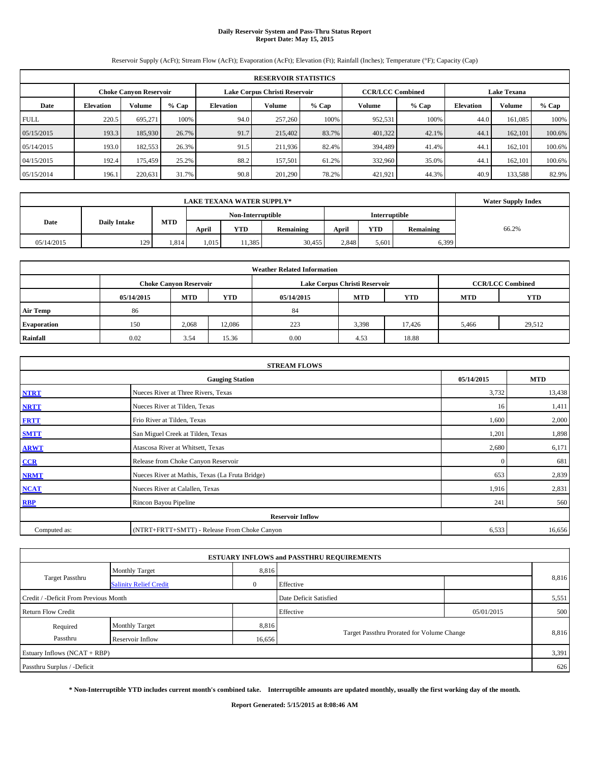# **Daily Reservoir System and Pass-Thru Status Report Report Date: May 15, 2015**

Reservoir Supply (AcFt); Stream Flow (AcFt); Evaporation (AcFt); Elevation (Ft); Rainfall (Inches); Temperature (°F); Capacity (Cap)

| <b>RESERVOIR STATISTICS</b> |                                                                                                                 |               |         |                  |         |         |         |         |                  |               |         |  |
|-----------------------------|-----------------------------------------------------------------------------------------------------------------|---------------|---------|------------------|---------|---------|---------|---------|------------------|---------------|---------|--|
|                             | <b>CCR/LCC Combined</b><br><b>Lake Texana</b><br>Lake Corpus Christi Reservoir<br><b>Choke Canvon Reservoir</b> |               |         |                  |         |         |         |         |                  |               |         |  |
| Date                        | <b>Elevation</b>                                                                                                | <b>Volume</b> | $%$ Cap | <b>Elevation</b> | Volume  | $%$ Cap | Volume  | $%$ Cap | <b>Elevation</b> | <b>Volume</b> | $%$ Cap |  |
| <b>FULL</b>                 | 220.5                                                                                                           | 695.271       | 100%    | 94.0             | 257,260 | 100%    | 952,531 | 100%    | 44.0             | 161.085       | 100%    |  |
| 05/15/2015                  | 193.3                                                                                                           | 185,930       | 26.7%   | 91.7             | 215,402 | 83.7%   | 401,322 | 42.1%   | 44.1             | 162,101       | 100.6%  |  |
| 05/14/2015                  | 193.0                                                                                                           | 182,553       | 26.3%   | 91.5             | 211.936 | 82.4%   | 394,489 | 41.4%   | 44.1             | 162.101       | 100.6%  |  |
| 04/15/2015                  | 192.4                                                                                                           | 175,459       | 25.2%   | 88.2             | 157.501 | 61.2%   | 332,960 | 35.0%   | 44.1             | 162,101       | 100.6%  |  |
| 05/15/2014                  | 196.1                                                                                                           | 220,631       | 31.7%   | 90.8             | 201,290 | 78.2%   | 421,921 | 44.3%   | 40.9             | 133,588       | 82.9%   |  |

|                             | <b>Water Supply Index</b> |       |                   |           |        |                      |           |       |  |
|-----------------------------|---------------------------|-------|-------------------|-----------|--------|----------------------|-----------|-------|--|
|                             | MTD                       |       | Non-Interruptible |           |        | <b>Interruptible</b> |           |       |  |
| Date<br><b>Daily Intake</b> |                           | April | <b>YTD</b>        | Remaining | April  | <b>YTD</b>           | Remaining | 66.2% |  |
| 05/14/2015                  | 129                       | .814  | 1,015             | 11.385    | 30,455 | 2.848                | 5,601     | 6,399 |  |

| <b>Weather Related Information</b> |            |                               |            |            |                               |                         |            |            |  |
|------------------------------------|------------|-------------------------------|------------|------------|-------------------------------|-------------------------|------------|------------|--|
|                                    |            | <b>Choke Canyon Reservoir</b> |            |            | Lake Corpus Christi Reservoir | <b>CCR/LCC Combined</b> |            |            |  |
|                                    | 05/14/2015 | <b>MTD</b>                    | <b>YTD</b> | 05/14/2015 | <b>MTD</b>                    | <b>YTD</b>              | <b>MTD</b> | <b>YTD</b> |  |
| <b>Air Temp</b>                    | 86         |                               |            | 84         |                               |                         |            |            |  |
| <b>Evaporation</b>                 | 150        | 2,068                         | 12,086     | 223        | 3,398                         | 17,426                  | 5,466      | 29,512     |  |
| Rainfall                           | 0.02       | 3.54                          | 15.36      | 0.00       | 4.53                          | 18.88                   |            |            |  |

| <b>STREAM FLOWS</b> |                                                 |              |            |  |  |  |  |  |  |
|---------------------|-------------------------------------------------|--------------|------------|--|--|--|--|--|--|
|                     | <b>Gauging Station</b>                          | 05/14/2015   | <b>MTD</b> |  |  |  |  |  |  |
| <b>NTRT</b>         | Nueces River at Three Rivers, Texas             | 3,732        | 13,438     |  |  |  |  |  |  |
| <b>NRTT</b>         | Nueces River at Tilden, Texas                   | 16           | 1,411      |  |  |  |  |  |  |
| <b>FRTT</b>         | Frio River at Tilden, Texas                     | 1,600        | 2,000      |  |  |  |  |  |  |
| <b>SMTT</b>         | San Miguel Creek at Tilden, Texas               | 1,201        | 1,898      |  |  |  |  |  |  |
| <b>ARWT</b>         | Atascosa River at Whitsett, Texas               | 2,680        | 6,171      |  |  |  |  |  |  |
| CCR                 | Release from Choke Canyon Reservoir             | $\mathbf{0}$ | 681        |  |  |  |  |  |  |
| <b>NRMT</b>         | Nueces River at Mathis, Texas (La Fruta Bridge) | 653          | 2,839      |  |  |  |  |  |  |
| <b>NCAT</b>         | Nueces River at Calallen, Texas                 | 1,916        | 2,831      |  |  |  |  |  |  |
| <b>RBP</b>          | Rincon Bayou Pipeline                           | 241          | 560        |  |  |  |  |  |  |
|                     | <b>Reservoir Inflow</b>                         |              |            |  |  |  |  |  |  |
| Computed as:        | (NTRT+FRTT+SMTT) - Release From Choke Canyon    | 6,533        | 16,656     |  |  |  |  |  |  |

|                                       |                               |              | <b>ESTUARY INFLOWS and PASSTHRU REQUIREMENTS</b> |            |       |
|---------------------------------------|-------------------------------|--------------|--------------------------------------------------|------------|-------|
|                                       | <b>Monthly Target</b>         | 8,816        |                                                  |            |       |
| <b>Target Passthru</b>                | <b>Salinity Relief Credit</b> | $\mathbf{0}$ | Effective                                        |            | 8,816 |
| Credit / -Deficit From Previous Month |                               |              | Date Deficit Satisfied                           |            | 5,551 |
| Return Flow Credit                    |                               |              | Effective                                        | 05/01/2015 | 500   |
| Required                              | <b>Monthly Target</b>         | 8,816        |                                                  |            |       |
| Passthru                              | Reservoir Inflow              | 16,656       | Target Passthru Prorated for Volume Change       |            | 8,816 |
| Estuary Inflows (NCAT + RBP)          |                               |              |                                                  |            | 3,391 |
| Passthru Surplus / -Deficit           |                               |              |                                                  |            | 626   |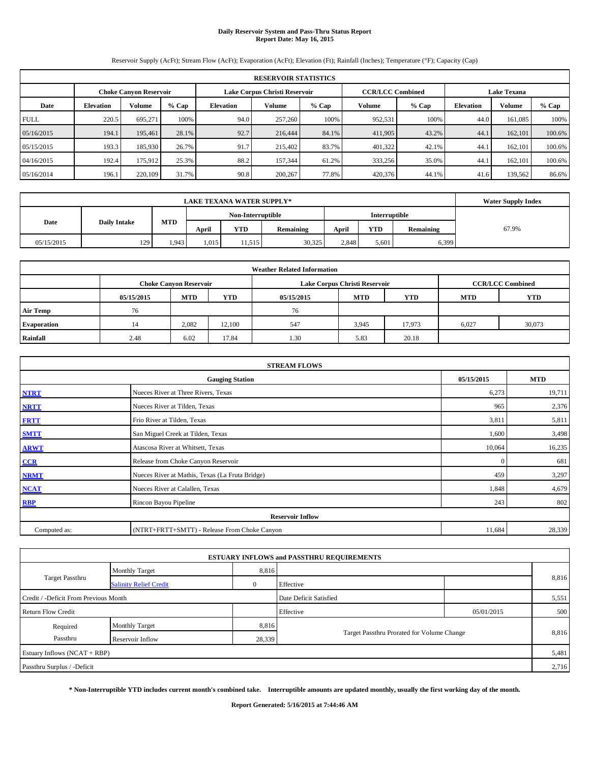# **Daily Reservoir System and Pass-Thru Status Report Report Date: May 16, 2015**

Reservoir Supply (AcFt); Stream Flow (AcFt); Evaporation (AcFt); Elevation (Ft); Rainfall (Inches); Temperature (°F); Capacity (Cap)

| <b>RESERVOIR STATISTICS</b> |                  |                               |         |                  |                               |         |                         |         |                  |                    |         |  |
|-----------------------------|------------------|-------------------------------|---------|------------------|-------------------------------|---------|-------------------------|---------|------------------|--------------------|---------|--|
|                             |                  | <b>Choke Canvon Reservoir</b> |         |                  | Lake Corpus Christi Reservoir |         | <b>CCR/LCC Combined</b> |         |                  | <b>Lake Texana</b> |         |  |
| Date                        | <b>Elevation</b> | <b>Volume</b>                 | $%$ Cap | <b>Elevation</b> | Volume                        | $%$ Cap | Volume                  | $%$ Cap | <b>Elevation</b> | <b>Volume</b>      | $%$ Cap |  |
| <b>FULL</b>                 | 220.5            | 695.271                       | 100%    | 94.0             | 257,260                       | 100%    | 952,531                 | 100%    | 44.0             | 161.085            | 100%    |  |
| 05/16/2015                  | 194.1            | 195,461                       | 28.1%   | 92.7             | 216,444                       | 84.1%   | 411,905                 | 43.2%   | 44.1             | 162,101            | 100.6%  |  |
| 05/15/2015                  | 193.3            | 185,930                       | 26.7%   | 91.7             | 215,402                       | 83.7%   | 401,322                 | 42.1%   | 44.1             | 162.101            | 100.6%  |  |
| 04/16/2015                  | 192.4            | 175.912                       | 25.3%   | 88.2             | 157,344                       | 61.2%   | 333,256                 | 35.0%   | 44.1             | 162.101            | 100.6%  |  |
| 05/16/2014                  | 196.1            | 220,109                       | 31.7%   | 90.8             | 200,267                       | 77.8%   | 420,376                 | 44.1%   | 41.6             | 139,562            | 86.6%   |  |

|            | <b>Water Supply Index</b> |       |       |                   |           |       |               |           |       |
|------------|---------------------------|-------|-------|-------------------|-----------|-------|---------------|-----------|-------|
|            |                           |       |       | Non-Interruptible |           |       | Interruptible |           |       |
| Date       | <b>Daily Intake</b>       | MTD   | April | <b>YTD</b>        | Remaining | April | <b>YTD</b>    | Remaining | 67.9% |
| 05/15/2015 | 129                       | 1.943 | 1.015 | 11.515            | 30,325    | 2,848 | 5.601         | 6,399     |       |

| <b>Weather Related Information</b> |            |                               |        |            |                               |                         |            |            |  |
|------------------------------------|------------|-------------------------------|--------|------------|-------------------------------|-------------------------|------------|------------|--|
|                                    |            | <b>Choke Canyon Reservoir</b> |        |            | Lake Corpus Christi Reservoir | <b>CCR/LCC Combined</b> |            |            |  |
|                                    | 05/15/2015 | <b>MTD</b>                    | YTD    | 05/15/2015 | <b>MTD</b>                    | <b>YTD</b>              | <b>MTD</b> | <b>YTD</b> |  |
| <b>Air Temp</b>                    | 76         |                               |        | 76         |                               |                         |            |            |  |
| Evaporation                        | 14         | 2,082                         | 12,100 | 547        | 3,945                         | 17,973                  | 6,027      | 30,073     |  |
| Rainfall                           | 2.48       | 6.02                          | 17.84  | 1.30       | 5.83                          | 20.18                   |            |            |  |

| <b>STREAM FLOWS</b> |                                                 |            |            |  |  |  |  |  |  |
|---------------------|-------------------------------------------------|------------|------------|--|--|--|--|--|--|
|                     | <b>Gauging Station</b>                          | 05/15/2015 | <b>MTD</b> |  |  |  |  |  |  |
| <b>NTRT</b>         | Nueces River at Three Rivers, Texas             | 6,273      | 19,711     |  |  |  |  |  |  |
| <b>NRTT</b>         | Nueces River at Tilden, Texas                   | 965        | 2,376      |  |  |  |  |  |  |
| <b>FRTT</b>         | Frio River at Tilden, Texas                     | 3,811      | 5,811      |  |  |  |  |  |  |
| <b>SMTT</b>         | San Miguel Creek at Tilden, Texas               | 1,600      | 3,498      |  |  |  |  |  |  |
| <b>ARWT</b>         | Atascosa River at Whitsett, Texas               | 10,064     | 16,235     |  |  |  |  |  |  |
| CCR                 | Release from Choke Canyon Reservoir             | $\Omega$   | 681        |  |  |  |  |  |  |
| <b>NRMT</b>         | Nueces River at Mathis, Texas (La Fruta Bridge) | 459        | 3,297      |  |  |  |  |  |  |
| <b>NCAT</b>         | Nueces River at Calallen, Texas                 | 1,848      | 4,679      |  |  |  |  |  |  |
| <b>RBP</b>          | Rincon Bayou Pipeline                           | 243        | 802        |  |  |  |  |  |  |
|                     | <b>Reservoir Inflow</b>                         |            |            |  |  |  |  |  |  |
| Computed as:        | (NTRT+FRTT+SMTT) - Release From Choke Canyon    | 11,684     | 28,339     |  |  |  |  |  |  |

| <b>ESTUARY INFLOWS and PASSTHRU REQUIREMENTS</b> |                               |                                                      |                        |            |       |  |  |  |  |  |
|--------------------------------------------------|-------------------------------|------------------------------------------------------|------------------------|------------|-------|--|--|--|--|--|
|                                                  | <b>Monthly Target</b>         | 8,816                                                |                        |            |       |  |  |  |  |  |
| Target Passthru                                  | <b>Salinity Relief Credit</b> | $^{(1)}$                                             | Effective              |            | 8,816 |  |  |  |  |  |
| Credit / -Deficit From Previous Month            |                               |                                                      | Date Deficit Satisfied |            | 5,551 |  |  |  |  |  |
| Return Flow Credit                               |                               |                                                      | Effective              | 05/01/2015 | 500   |  |  |  |  |  |
| Required                                         | <b>Monthly Target</b>         | 8,816                                                |                        |            |       |  |  |  |  |  |
| Passthru                                         | Reservoir Inflow              | Target Passthru Prorated for Volume Change<br>28,339 |                        |            | 8,816 |  |  |  |  |  |
| Estuary Inflows (NCAT + RBP)                     |                               |                                                      |                        |            | 5,481 |  |  |  |  |  |
| Passthru Surplus / -Deficit                      |                               |                                                      |                        |            | 2,716 |  |  |  |  |  |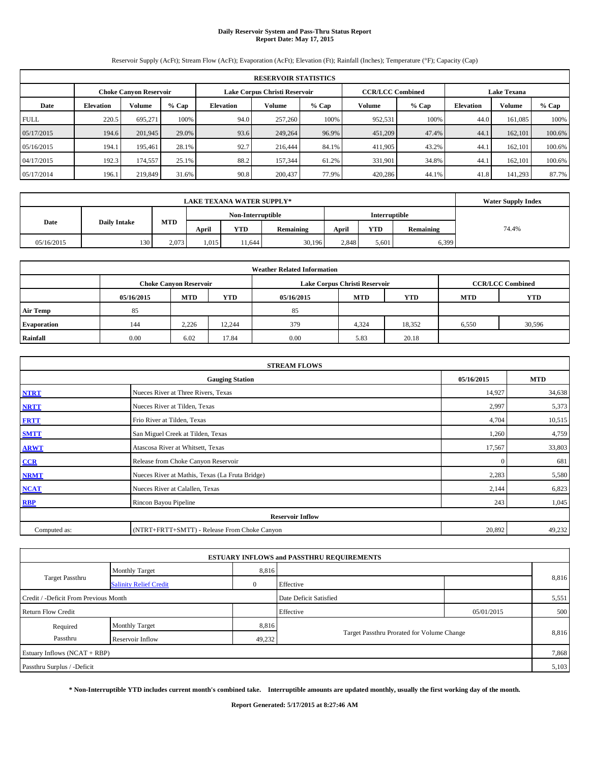# **Daily Reservoir System and Pass-Thru Status Report Report Date: May 17, 2015**

Reservoir Supply (AcFt); Stream Flow (AcFt); Evaporation (AcFt); Elevation (Ft); Rainfall (Inches); Temperature (°F); Capacity (Cap)

| <b>RESERVOIR STATISTICS</b> |                  |                               |         |                  |                               |         |                                               |         |                  |               |         |
|-----------------------------|------------------|-------------------------------|---------|------------------|-------------------------------|---------|-----------------------------------------------|---------|------------------|---------------|---------|
|                             |                  | <b>Choke Canvon Reservoir</b> |         |                  | Lake Corpus Christi Reservoir |         | <b>CCR/LCC Combined</b><br><b>Lake Texana</b> |         |                  |               |         |
| Date                        | <b>Elevation</b> | <b>Volume</b>                 | $%$ Cap | <b>Elevation</b> | Volume                        | $%$ Cap | <b>Volume</b>                                 | $%$ Cap | <b>Elevation</b> | <b>Volume</b> | $%$ Cap |
| <b>FULL</b>                 | 220.5            | 695.271                       | 100%    | 94.0             | 257,260                       | 100%    | 952,531                                       | 100%    | 44.0             | 161.085       | 100%    |
| 05/17/2015                  | 194.6            | 201,945                       | 29.0%   | 93.6             | 249,264                       | 96.9%   | 451,209                                       | 47.4%   | 44.1             | 162,101       | 100.6%  |
| 05/16/2015                  | 194.1            | 195.461                       | 28.1%   | 92.7             | 216,444                       | 84.1%   | 411.905                                       | 43.2%   | 44.1             | 162,101       | 100.6%  |
| 04/17/2015                  | 192.3            | 174.557                       | 25.1%   | 88.2             | 157,344                       | 61.2%   | 331,901                                       | 34.8%   | 44.1             | 162,101       | 100.6%  |
| 05/17/2014                  | 196.1            | 219,849                       | 31.6%   | 90.8             | 200,437                       | 77.9%   | 420,286                                       | 44.1%   | 41.8             | 141,293       | 87.7%   |

|            | <b>Water Supply Index</b> |       |       |                   |                  |       |                      |           |       |
|------------|---------------------------|-------|-------|-------------------|------------------|-------|----------------------|-----------|-------|
|            |                           |       |       | Non-Interruptible |                  |       | <b>Interruptible</b> |           |       |
| Date       | <b>Daily Intake</b>       | MTD   | April | YTD               | <b>Remaining</b> | April | <b>YTD</b>           | Remaining | 74.4% |
| 05/16/2015 | 130                       | 2.073 | .015  | 11.644            | 30,196           | 2,848 | 5.601                | 6,399     |       |

| <b>Weather Related Information</b> |            |                               |            |            |                               |                         |            |            |  |
|------------------------------------|------------|-------------------------------|------------|------------|-------------------------------|-------------------------|------------|------------|--|
|                                    |            | <b>Choke Canyon Reservoir</b> |            |            | Lake Corpus Christi Reservoir | <b>CCR/LCC Combined</b> |            |            |  |
|                                    | 05/16/2015 | <b>MTD</b>                    | <b>YTD</b> | 05/16/2015 | <b>MTD</b>                    | <b>YTD</b>              | <b>MTD</b> | <b>YTD</b> |  |
| <b>Air Temp</b>                    | 85         |                               |            | 85         |                               |                         |            |            |  |
| <b>Evaporation</b>                 | 144        | 2,226                         | 12,244     | 379        | 4,324                         | 18,352                  | 6,550      | 30,596     |  |
| Rainfall                           | 0.00       | 6.02                          | 17.84      | 0.00       | 5.83                          | 20.18                   |            |            |  |

| <b>STREAM FLOWS</b> |                                                 |          |        |  |  |  |  |  |  |
|---------------------|-------------------------------------------------|----------|--------|--|--|--|--|--|--|
|                     | <b>Gauging Station</b>                          |          |        |  |  |  |  |  |  |
| <b>NTRT</b>         | Nueces River at Three Rivers, Texas             |          |        |  |  |  |  |  |  |
| <b>NRTT</b>         | Nueces River at Tilden, Texas                   | 2,997    | 5,373  |  |  |  |  |  |  |
| <b>FRTT</b>         | Frio River at Tilden, Texas                     | 4,704    | 10,515 |  |  |  |  |  |  |
| <b>SMTT</b>         | San Miguel Creek at Tilden, Texas               | 1,260    | 4,759  |  |  |  |  |  |  |
| <b>ARWT</b>         | Atascosa River at Whitsett, Texas               | 17,567   | 33,803 |  |  |  |  |  |  |
| CCR                 | Release from Choke Canyon Reservoir             | $\bf{0}$ | 681    |  |  |  |  |  |  |
| <b>NRMT</b>         | Nueces River at Mathis, Texas (La Fruta Bridge) | 2,283    | 5,580  |  |  |  |  |  |  |
| <b>NCAT</b>         | Nueces River at Calallen, Texas                 | 2,144    | 6,823  |  |  |  |  |  |  |
| <b>RBP</b>          | Rincon Bayou Pipeline                           | 243      | 1,045  |  |  |  |  |  |  |
|                     | <b>Reservoir Inflow</b>                         |          |        |  |  |  |  |  |  |
| Computed as:        | (NTRT+FRTT+SMTT) - Release From Choke Canyon    | 20,892   | 49,232 |  |  |  |  |  |  |

|                                       |                               |              | <b>ESTUARY INFLOWS and PASSTHRU REQUIREMENTS</b> |            |       |
|---------------------------------------|-------------------------------|--------------|--------------------------------------------------|------------|-------|
|                                       | <b>Monthly Target</b>         | 8,816        |                                                  |            |       |
| <b>Target Passthru</b>                | <b>Salinity Relief Credit</b> | $\mathbf{0}$ | Effective                                        |            | 8,816 |
| Credit / -Deficit From Previous Month |                               |              | Date Deficit Satisfied                           |            | 5,551 |
| <b>Return Flow Credit</b>             |                               |              | Effective                                        | 05/01/2015 | 500   |
| Required                              | <b>Monthly Target</b>         | 8,816        |                                                  |            |       |
| Passthru                              | Reservoir Inflow              | 49,232       | Target Passthru Prorated for Volume Change       |            | 8,816 |
| Estuary Inflows (NCAT + RBP)          |                               |              |                                                  |            | 7,868 |
| Passthru Surplus / -Deficit           |                               |              |                                                  |            | 5,103 |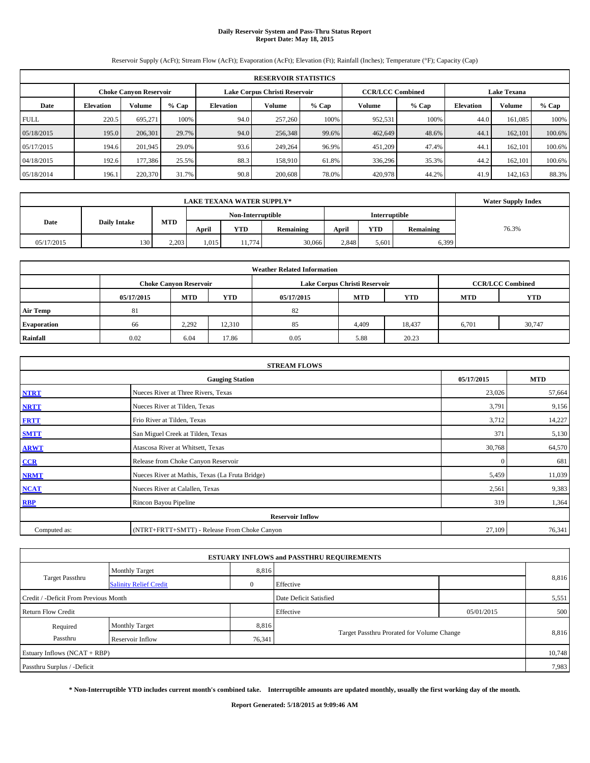# **Daily Reservoir System and Pass-Thru Status Report Report Date: May 18, 2015**

Reservoir Supply (AcFt); Stream Flow (AcFt); Evaporation (AcFt); Elevation (Ft); Rainfall (Inches); Temperature (°F); Capacity (Cap)

|             | <b>RESERVOIR STATISTICS</b> |                               |         |                                                 |                               |       |                         |         |                    |               |         |  |  |
|-------------|-----------------------------|-------------------------------|---------|-------------------------------------------------|-------------------------------|-------|-------------------------|---------|--------------------|---------------|---------|--|--|
|             |                             | <b>Choke Canvon Reservoir</b> |         |                                                 | Lake Corpus Christi Reservoir |       | <b>CCR/LCC Combined</b> |         | <b>Lake Texana</b> |               |         |  |  |
| Date        | <b>Elevation</b>            | <b>Volume</b>                 | $%$ Cap | Volume<br>$%$ Cap<br>Volume<br><b>Elevation</b> |                               |       |                         | $%$ Cap | <b>Elevation</b>   | <b>Volume</b> | $%$ Cap |  |  |
| <b>FULL</b> | 220.5                       | 695.271                       | 100%    | 94.0                                            | 257,260                       | 100%  | 952,531                 | 100%    | 44.0               | 161.085       | 100%    |  |  |
| 05/18/2015  | 195.0                       | 206,301                       | 29.7%   | 94.0                                            | 256,348                       | 99.6% | 462,649                 | 48.6%   | 44.1               | 162,101       | 100.6%  |  |  |
| 05/17/2015  | 194.6                       | 201.945                       | 29.0%   | 93.6                                            | 249,264                       | 96.9% | 451,209                 | 47.4%   | 44.1               | 162.101       | 100.6%  |  |  |
| 04/18/2015  | 192.6                       | 177.386                       | 25.5%   | 88.3                                            | 158,910                       | 61.8% | 336,296                 | 35.3%   | 44.2               | 162,101       | 100.6%  |  |  |
| 05/18/2014  | 196.1                       | 220,370                       | 31.7%   | 90.8                                            | 200,608                       | 78.0% | 420,978                 | 44.2%   | 41.9               | 142,163       | 88.3%   |  |  |

|            | <b>Water Supply Index</b> |       |       |                   |           |       |               |           |       |
|------------|---------------------------|-------|-------|-------------------|-----------|-------|---------------|-----------|-------|
|            |                           |       |       | Non-Interruptible |           |       | Interruptible |           |       |
| Date       | <b>Daily Intake</b>       | MTD   | April | <b>YTD</b>        | Remaining | April | <b>YTD</b>    | Remaining | 76.3% |
| 05/17/2015 | 130                       | 2.203 | 1.015 | 11.774            | 30,066    | 2.848 | 5.601         | 6,399     |       |

| <b>Weather Related Information</b> |            |                                                                           |        |      |                               |                         |       |        |  |  |  |
|------------------------------------|------------|---------------------------------------------------------------------------|--------|------|-------------------------------|-------------------------|-------|--------|--|--|--|
|                                    |            | <b>Choke Canyon Reservoir</b>                                             |        |      | Lake Corpus Christi Reservoir | <b>CCR/LCC Combined</b> |       |        |  |  |  |
|                                    | 05/17/2015 | YTD<br><b>MTD</b><br><b>MTD</b><br><b>YTD</b><br>05/17/2015<br><b>MTD</b> |        |      |                               |                         |       |        |  |  |  |
| <b>Air Temp</b>                    | 81         |                                                                           |        | 82   |                               |                         |       |        |  |  |  |
| Evaporation                        | 66         | 2,292                                                                     | 12,310 | 85   | 4,409                         | 18,437                  | 6,701 | 30,747 |  |  |  |
| Rainfall                           | 0.02       | 6.04                                                                      | 17.86  | 0.05 | 5.88                          | 20.23                   |       |        |  |  |  |

|              | <b>STREAM FLOWS</b>                             |              |        |  |  |  |  |
|--------------|-------------------------------------------------|--------------|--------|--|--|--|--|
|              | 05/17/2015                                      | <b>MTD</b>   |        |  |  |  |  |
| <b>NTRT</b>  | Nueces River at Three Rivers, Texas             |              |        |  |  |  |  |
| <b>NRTT</b>  | Nueces River at Tilden, Texas                   | 3,791        | 9,156  |  |  |  |  |
| <b>FRTT</b>  | Frio River at Tilden, Texas                     | 3,712        | 14,227 |  |  |  |  |
| <b>SMTT</b>  | San Miguel Creek at Tilden, Texas               | 371          | 5,130  |  |  |  |  |
| <b>ARWT</b>  | Atascosa River at Whitsett, Texas               | 30,768       | 64,570 |  |  |  |  |
| CCR          | Release from Choke Canyon Reservoir             | $\mathbf{0}$ | 681    |  |  |  |  |
| <b>NRMT</b>  | Nueces River at Mathis, Texas (La Fruta Bridge) | 5,459        | 11,039 |  |  |  |  |
| <b>NCAT</b>  | Nueces River at Calallen, Texas                 | 2,561        | 9,383  |  |  |  |  |
| <b>RBP</b>   | Rincon Bayou Pipeline                           | 319          | 1,364  |  |  |  |  |
|              | <b>Reservoir Inflow</b>                         |              |        |  |  |  |  |
| Computed as: | (NTRT+FRTT+SMTT) - Release From Choke Canyon    | 27,109       | 76,341 |  |  |  |  |

|                                                  |                       |                | <b>ESTUARY INFLOWS and PASSTHRU REQUIREMENTS</b> |            |        |
|--------------------------------------------------|-----------------------|----------------|--------------------------------------------------|------------|--------|
|                                                  | <b>Monthly Target</b> | 8,816          |                                                  |            |        |
| Target Passthru<br><b>Salinity Relief Credit</b> |                       | $\overline{0}$ | Effective                                        |            | 8,816  |
| Credit / -Deficit From Previous Month            |                       |                | Date Deficit Satisfied                           |            | 5,551  |
| <b>Return Flow Credit</b>                        |                       |                | Effective                                        | 05/01/2015 | 500    |
| Required                                         | <b>Monthly Target</b> | 8,816          |                                                  |            |        |
| Passthru                                         | Reservoir Inflow      | 76,341         | Target Passthru Prorated for Volume Change       |            | 8,816  |
| Estuary Inflows (NCAT + RBP)                     |                       |                |                                                  |            | 10,748 |
| Passthru Surplus / -Deficit                      |                       |                |                                                  |            | 7,983  |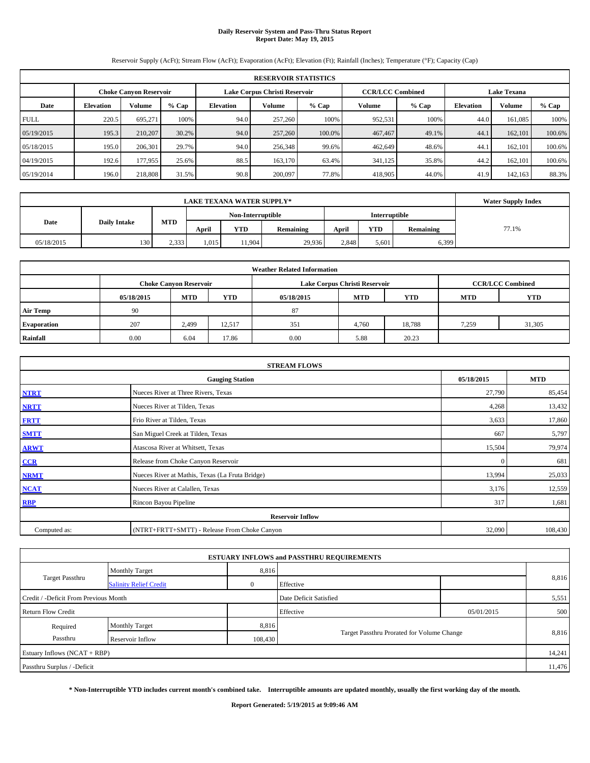# **Daily Reservoir System and Pass-Thru Status Report Report Date: May 19, 2015**

Reservoir Supply (AcFt); Stream Flow (AcFt); Evaporation (AcFt); Elevation (Ft); Rainfall (Inches); Temperature (°F); Capacity (Cap)

|             | <b>RESERVOIR STATISTICS</b> |                               |         |                  |                               |        |                         |       |                    |               |         |  |
|-------------|-----------------------------|-------------------------------|---------|------------------|-------------------------------|--------|-------------------------|-------|--------------------|---------------|---------|--|
|             |                             | <b>Choke Canyon Reservoir</b> |         |                  | Lake Corpus Christi Reservoir |        | <b>CCR/LCC Combined</b> |       | <b>Lake Texana</b> |               |         |  |
| Date        | <b>Elevation</b>            | Volume                        | $%$ Cap | <b>Elevation</b> | Volume<br>$%$ Cap             |        |                         | % Cap | <b>Elevation</b>   | <b>Volume</b> | $%$ Cap |  |
| <b>FULL</b> | 220.5                       | 695,271                       | 100%    | 94.0             | 257,260                       | 100%   | 952,531                 | 100%  | 44.0               | 161.085       | 100%    |  |
| 05/19/2015  | 195.3                       | 210,207                       | 30.2%   | 94.0             | 257,260                       | 100.0% | 467,467                 | 49.1% | 44.1               | 162,101       | 100.6%  |  |
| 05/18/2015  | 195.0                       | 206,301                       | 29.7%   | 94.0             | 256,348                       | 99.6%  | 462,649                 | 48.6% | 44.1               | 162.101       | 100.6%  |  |
| 04/19/2015  | 192.6                       | 177,955                       | 25.6%   | 88.5             | 163,170                       | 63.4%  | 341,125                 | 35.8% | 44.2               | 162,101       | 100.6%  |  |
| 05/19/2014  | 196.0                       | 218,808                       | 31.5%   | 90.8             | 200,097                       | 77.8%  | 418,905                 | 44.0% | 41.9               | 142,163       | 88.3%   |  |

|                             | <b>Water Supply Index</b> |       |                   |            |           |       |               |           |       |
|-----------------------------|---------------------------|-------|-------------------|------------|-----------|-------|---------------|-----------|-------|
|                             |                           |       | Non-Interruptible |            |           |       | Interruptible |           |       |
| Date<br><b>Daily Intake</b> |                           | MTD   | April             | <b>YTD</b> | Remaining | April | YTD           | Remaining | 77.1% |
| 05/18/2015                  | 130                       | 2.333 | 1.015             | 11.904     | 29,936    | 2.848 | 5.601         | 6,399     |       |

| <b>Weather Related Information</b> |                                                                                                |                               |        |      |                               |                         |       |        |  |  |  |
|------------------------------------|------------------------------------------------------------------------------------------------|-------------------------------|--------|------|-------------------------------|-------------------------|-------|--------|--|--|--|
|                                    |                                                                                                | <b>Choke Canyon Reservoir</b> |        |      | Lake Corpus Christi Reservoir | <b>CCR/LCC Combined</b> |       |        |  |  |  |
|                                    | <b>YTD</b><br><b>MTD</b><br><b>MTD</b><br><b>YTD</b><br><b>MTD</b><br>05/18/2015<br>05/18/2015 |                               |        |      |                               |                         |       |        |  |  |  |
| <b>Air Temp</b>                    | 90                                                                                             |                               |        | 87   |                               |                         |       |        |  |  |  |
| Evaporation                        | 207                                                                                            | 2,499                         | 12,517 | 351  | 4,760                         | 18,788                  | 7,259 | 31,305 |  |  |  |
| Rainfall                           | 0.00                                                                                           | 6.04                          | 17.86  | 0.00 | 5.88                          | 20.23                   |       |        |  |  |  |

|              | <b>STREAM FLOWS</b>                             |            |         |  |  |  |  |
|--------------|-------------------------------------------------|------------|---------|--|--|--|--|
|              | 05/18/2015                                      | <b>MTD</b> |         |  |  |  |  |
| <b>NTRT</b>  | Nueces River at Three Rivers, Texas             |            |         |  |  |  |  |
| <b>NRTT</b>  | Nueces River at Tilden, Texas                   | 4,268      | 13,432  |  |  |  |  |
| <b>FRTT</b>  | Frio River at Tilden, Texas                     | 3,633      | 17,860  |  |  |  |  |
| <b>SMTT</b>  | San Miguel Creek at Tilden, Texas               | 667        | 5,797   |  |  |  |  |
| <b>ARWT</b>  | Atascosa River at Whitsett, Texas               | 15,504     | 79,974  |  |  |  |  |
| $CCR$        | Release from Choke Canyon Reservoir             | $\bf{0}$   | 681     |  |  |  |  |
| <b>NRMT</b>  | Nueces River at Mathis, Texas (La Fruta Bridge) | 13,994     | 25,033  |  |  |  |  |
| <b>NCAT</b>  | Nueces River at Calallen, Texas                 | 3,176      | 12,559  |  |  |  |  |
| <b>RBP</b>   | Rincon Bayou Pipeline                           | 317        | 1,681   |  |  |  |  |
|              | <b>Reservoir Inflow</b>                         |            |         |  |  |  |  |
| Computed as: | (NTRT+FRTT+SMTT) - Release From Choke Canyon    | 32,090     | 108,430 |  |  |  |  |

|                                                  |                       |                | <b>ESTUARY INFLOWS and PASSTHRU REQUIREMENTS</b> |            |        |
|--------------------------------------------------|-----------------------|----------------|--------------------------------------------------|------------|--------|
|                                                  | <b>Monthly Target</b> | 8,816          |                                                  |            |        |
| Target Passthru<br><b>Salinity Relief Credit</b> |                       | $\overline{0}$ | Effective                                        |            | 8,816  |
| Credit / -Deficit From Previous Month            |                       |                | Date Deficit Satisfied                           |            | 5,551  |
| <b>Return Flow Credit</b>                        |                       |                | Effective                                        | 05/01/2015 | 500    |
| Required                                         | <b>Monthly Target</b> | 8,816          |                                                  |            |        |
| Passthru                                         | Reservoir Inflow      | 108,430        | Target Passthru Prorated for Volume Change       |            | 8,816  |
| Estuary Inflows (NCAT + RBP)                     |                       |                |                                                  |            | 14,241 |
| Passthru Surplus / -Deficit                      |                       |                |                                                  |            | 11,476 |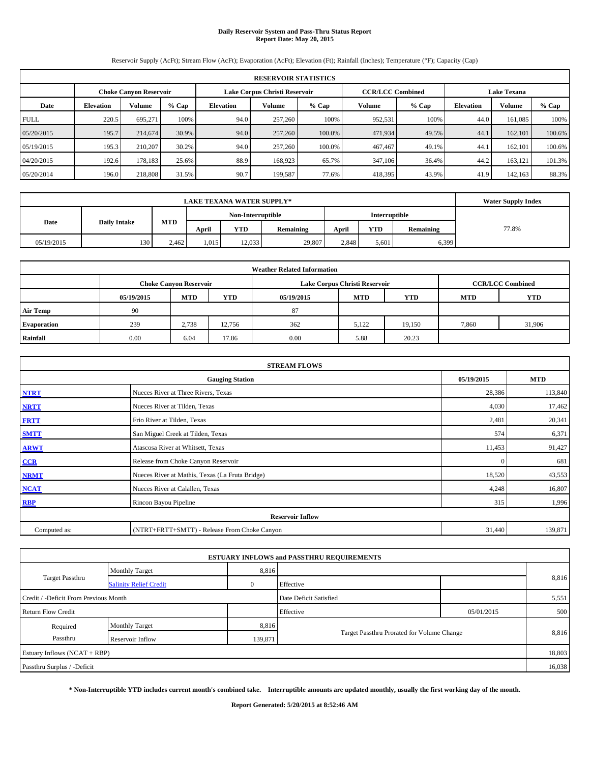# **Daily Reservoir System and Pass-Thru Status Report Report Date: May 20, 2015**

Reservoir Supply (AcFt); Stream Flow (AcFt); Evaporation (AcFt); Elevation (Ft); Rainfall (Inches); Temperature (°F); Capacity (Cap)

|             | <b>RESERVOIR STATISTICS</b> |                               |         |                  |                               |         |                                               |         |                  |               |         |  |  |
|-------------|-----------------------------|-------------------------------|---------|------------------|-------------------------------|---------|-----------------------------------------------|---------|------------------|---------------|---------|--|--|
|             |                             | <b>Choke Canvon Reservoir</b> |         |                  | Lake Corpus Christi Reservoir |         | <b>CCR/LCC Combined</b><br><b>Lake Texana</b> |         |                  |               |         |  |  |
| Date        | <b>Elevation</b>            | <b>Volume</b>                 | $%$ Cap | <b>Elevation</b> | <b>Volume</b>                 | $%$ Cap | Volume                                        | $%$ Cap | <b>Elevation</b> | <b>Volume</b> | $%$ Cap |  |  |
| <b>FULL</b> | 220.5                       | 695.271                       | 100%    | 94.0             | 257,260                       | 100%    | 952,531                                       | 100%    | 44.0             | 161.085       | 100%    |  |  |
| 05/20/2015  | 195.7                       | 214,674                       | 30.9%   | 94.0             | 257,260                       | 100.0%  | 471,934                                       | 49.5%   | 44.1             | 162,101       | 100.6%  |  |  |
| 05/19/2015  | 195.3                       | 210,207                       | 30.2%   | 94.0             | 257,260                       | 100.0%  | 467,467                                       | 49.1%   | 44.1             | 162.101       | 100.6%  |  |  |
| 04/20/2015  | 192.6                       | 178.183                       | 25.6%   | 88.9             | 168.923                       | 65.7%   | 347,106                                       | 36.4%   | 44.2             | 163.121       | 101.3%  |  |  |
| 05/20/2014  | 196.0                       | 218,808                       | 31.5%   | 90.7             | 199,587                       | 77.6%   | 418,395                                       | 43.9%   | 41.9             | 142,163       | 88.3%   |  |  |

|            | <b>Water Supply Index</b> |       |                                           |        |           |       |       |           |       |
|------------|---------------------------|-------|-------------------------------------------|--------|-----------|-------|-------|-----------|-------|
|            |                           |       | <b>Interruptible</b><br>Non-Interruptible |        |           |       |       |           |       |
| Date       | <b>Daily Intake</b>       | MTD   | April                                     | YTD    | Remaining | April | YTD   | Remaining | 77.8% |
| 05/19/2015 | 130                       | 2.462 | .015                                      | 12.033 | 29,807    | 2.848 | 5.601 | 6,399     |       |

| <b>Weather Related Information</b> |            |                                                                                           |            |            |            |            |            |            |  |  |  |  |  |
|------------------------------------|------------|-------------------------------------------------------------------------------------------|------------|------------|------------|------------|------------|------------|--|--|--|--|--|
|                                    |            | <b>CCR/LCC Combined</b><br>Lake Corpus Christi Reservoir<br><b>Choke Canyon Reservoir</b> |            |            |            |            |            |            |  |  |  |  |  |
|                                    | 05/19/2015 | <b>MTD</b>                                                                                | <b>YTD</b> | 05/19/2015 | <b>MTD</b> | <b>YTD</b> | <b>MTD</b> | <b>YTD</b> |  |  |  |  |  |
| <b>Air Temp</b>                    | 90         |                                                                                           |            | 87         |            |            |            |            |  |  |  |  |  |
| <b>Evaporation</b>                 | 239        | 2,738                                                                                     | 12,756     | 362        | 5,122      | 19,150     | 7,860      | 31,906     |  |  |  |  |  |
| Rainfall                           | 0.00       | 6.04                                                                                      | 17.86      | 0.00       | 5.88       | 20.23      |            |            |  |  |  |  |  |

|              | <b>STREAM FLOWS</b>                             |            |            |
|--------------|-------------------------------------------------|------------|------------|
|              | <b>Gauging Station</b>                          | 05/19/2015 | <b>MTD</b> |
| <b>NTRT</b>  | Nueces River at Three Rivers, Texas             | 28,386     | 113,840    |
| <b>NRTT</b>  | Nueces River at Tilden, Texas                   | 4,030      | 17,462     |
| <b>FRTT</b>  | Frio River at Tilden, Texas                     | 2,481      | 20,341     |
| <b>SMTT</b>  | San Miguel Creek at Tilden, Texas               | 574        | 6,371      |
| <b>ARWT</b>  | Atascosa River at Whitsett, Texas               | 11,453     | 91,427     |
| CCR          | Release from Choke Canyon Reservoir             | $\Omega$   | 681        |
| <b>NRMT</b>  | Nueces River at Mathis, Texas (La Fruta Bridge) | 18,520     | 43,553     |
| <b>NCAT</b>  | Nueces River at Calallen, Texas                 | 4,248      | 16,807     |
| <b>RBP</b>   | Rincon Bayou Pipeline                           | 315        | 1,996      |
|              | <b>Reservoir Inflow</b>                         |            |            |
| Computed as: | (NTRT+FRTT+SMTT) - Release From Choke Canyon    | 31,440     | 139,871    |

|                                       |                               |          | <b>ESTUARY INFLOWS and PASSTHRU REQUIREMENTS</b> |            |        |
|---------------------------------------|-------------------------------|----------|--------------------------------------------------|------------|--------|
|                                       | <b>Monthly Target</b>         | 8,816    |                                                  |            |        |
| Target Passthru                       | <b>Salinity Relief Credit</b> | $\Omega$ | Effective                                        |            | 8,816  |
| Credit / -Deficit From Previous Month |                               |          | Date Deficit Satisfied                           |            | 5,551  |
| <b>Return Flow Credit</b>             |                               |          | Effective                                        | 05/01/2015 | 500    |
| Required                              | Monthly Target                | 8,816    |                                                  |            |        |
| Passthru                              | Reservoir Inflow              | 139,871  | Target Passthru Prorated for Volume Change       |            | 8,816  |
| Estuary Inflows (NCAT + RBP)          |                               |          |                                                  |            | 18,803 |
| Passthru Surplus / -Deficit           |                               |          |                                                  |            | 16,038 |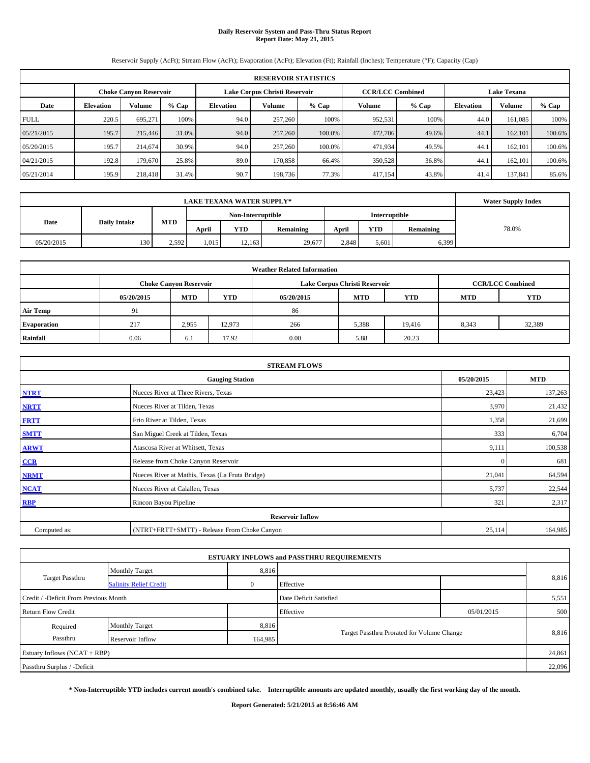# **Daily Reservoir System and Pass-Thru Status Report Report Date: May 21, 2015**

Reservoir Supply (AcFt); Stream Flow (AcFt); Evaporation (AcFt); Elevation (Ft); Rainfall (Inches); Temperature (°F); Capacity (Cap)

|             | <b>RESERVOIR STATISTICS</b>                                                                                     |               |         |                  |               |         |         |         |                  |               |         |  |  |  |  |
|-------------|-----------------------------------------------------------------------------------------------------------------|---------------|---------|------------------|---------------|---------|---------|---------|------------------|---------------|---------|--|--|--|--|
|             | <b>CCR/LCC Combined</b><br><b>Lake Texana</b><br>Lake Corpus Christi Reservoir<br><b>Choke Canvon Reservoir</b> |               |         |                  |               |         |         |         |                  |               |         |  |  |  |  |
| Date        | <b>Elevation</b>                                                                                                | <b>Volume</b> | $%$ Cap | <b>Elevation</b> | <b>Volume</b> | $%$ Cap | Volume  | $%$ Cap | <b>Elevation</b> | <b>Volume</b> | $%$ Cap |  |  |  |  |
| <b>FULL</b> | 220.5                                                                                                           | 695.271       | 100%    | 94.0             | 257,260       | 100%    | 952,531 | 100%    | 44.0             | 161.085       | 100%    |  |  |  |  |
| 05/21/2015  | 195.7                                                                                                           | 215,446       | 31.0%   | 94.0             | 257,260       | 100.0%  | 472,706 | 49.6%   | 44.1             | 162,101       | 100.6%  |  |  |  |  |
| 05/20/2015  | 195.7                                                                                                           | 214,674       | 30.9%   | 94.0             | 257,260       | 100.0%  | 471,934 | 49.5%   | 44.1             | 162.101       | 100.6%  |  |  |  |  |
| 04/21/2015  | 192.8                                                                                                           | 179,670       | 25.8%   | 89.0             | 170.858       | 66.4%   | 350,528 | 36.8%   | 44.1             | 162.101       | 100.6%  |  |  |  |  |
| 05/21/2014  | 195.9                                                                                                           | 218,418       | 31.4%   | 90.7             | 198,736       | 77.3%   | 417,154 | 43.8%   | 41.4             | 137,841       | 85.6%   |  |  |  |  |

|            | <b>Water Supply Index</b>   |       |       |                   |                  |       |                      |           |       |
|------------|-----------------------------|-------|-------|-------------------|------------------|-------|----------------------|-----------|-------|
|            |                             | MTD   |       | Non-Interruptible |                  |       | <b>Interruptible</b> |           |       |
|            | Date<br><b>Daily Intake</b> |       | April | YTD               | <b>Remaining</b> | April | <b>YTD</b>           | Remaining | 78.0% |
| 05/20/2015 | 130                         | 2.592 | .015  | 12,163            | 29,677           | 2.848 | 5.601                | 6,399     |       |

|                 | <b>Weather Related Information</b> |                                                                                           |            |            |            |            |            |            |  |  |  |  |  |  |
|-----------------|------------------------------------|-------------------------------------------------------------------------------------------|------------|------------|------------|------------|------------|------------|--|--|--|--|--|--|
|                 |                                    | <b>CCR/LCC Combined</b><br>Lake Corpus Christi Reservoir<br><b>Choke Canyon Reservoir</b> |            |            |            |            |            |            |  |  |  |  |  |  |
|                 | 05/20/2015                         | <b>MTD</b>                                                                                | <b>YTD</b> | 05/20/2015 | <b>MTD</b> | <b>YTD</b> | <b>MTD</b> | <b>YTD</b> |  |  |  |  |  |  |
| <b>Air Temp</b> | 91                                 |                                                                                           |            | 86         |            |            |            |            |  |  |  |  |  |  |
| Evaporation     | 217                                | 2,955                                                                                     | 12,973     | 266        | 5,388      | 19,416     | 8,343      | 32,389     |  |  |  |  |  |  |
| Rainfall        | 0.06                               | -6.1                                                                                      | 17.92      | 0.00       | 5.88       | 20.23      |            |            |  |  |  |  |  |  |

|              | <b>STREAM FLOWS</b>                             |              |            |
|--------------|-------------------------------------------------|--------------|------------|
|              | <b>Gauging Station</b>                          | 05/20/2015   | <b>MTD</b> |
| <b>NTRT</b>  | Nueces River at Three Rivers, Texas             | 23,423       | 137,263    |
| <b>NRTT</b>  | Nueces River at Tilden, Texas                   | 3,970        | 21,432     |
| <b>FRTT</b>  | Frio River at Tilden, Texas                     | 1,358        | 21,699     |
| <b>SMTT</b>  | San Miguel Creek at Tilden, Texas               | 333          | 6,704      |
| <b>ARWT</b>  | Atascosa River at Whitsett, Texas               | 9,111        | 100,538    |
| $CCR$        | Release from Choke Canyon Reservoir             | $\mathbf{0}$ | 681        |
| <b>NRMT</b>  | Nueces River at Mathis, Texas (La Fruta Bridge) | 21,041       | 64,594     |
| <b>NCAT</b>  | Nueces River at Calallen, Texas                 | 5,737        | 22,544     |
| <b>RBP</b>   | Rincon Bayou Pipeline                           | 321          | 2,317      |
|              | <b>Reservoir Inflow</b>                         |              |            |
| Computed as: | (NTRT+FRTT+SMTT) - Release From Choke Canyon    | 25,114       | 164,985    |

|                                       |                               |          | <b>ESTUARY INFLOWS and PASSTHRU REQUIREMENTS</b> |            |        |
|---------------------------------------|-------------------------------|----------|--------------------------------------------------|------------|--------|
|                                       | <b>Monthly Target</b>         | 8,816    |                                                  |            |        |
| Target Passthru                       | <b>Salinity Relief Credit</b> | $\Omega$ | Effective                                        |            | 8,816  |
| Credit / -Deficit From Previous Month |                               |          | Date Deficit Satisfied                           |            | 5,551  |
| <b>Return Flow Credit</b>             |                               |          | Effective                                        | 05/01/2015 | 500    |
| Required                              | Monthly Target                | 8,816    |                                                  |            |        |
| Passthru                              | Reservoir Inflow              | 164,985  | Target Passthru Prorated for Volume Change       |            | 8,816  |
| Estuary Inflows (NCAT + RBP)          |                               |          |                                                  |            | 24,861 |
| Passthru Surplus / -Deficit           |                               |          |                                                  |            | 22,096 |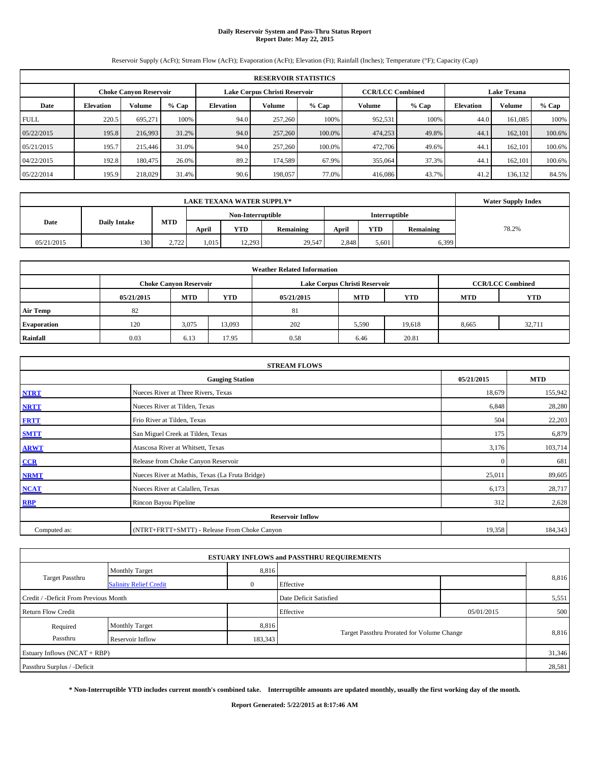# **Daily Reservoir System and Pass-Thru Status Report Report Date: May 22, 2015**

Reservoir Supply (AcFt); Stream Flow (AcFt); Evaporation (AcFt); Elevation (Ft); Rainfall (Inches); Temperature (°F); Capacity (Cap)

|             | <b>RESERVOIR STATISTICS</b>                                                                                     |               |         |                  |               |         |         |         |                  |               |         |  |  |  |  |
|-------------|-----------------------------------------------------------------------------------------------------------------|---------------|---------|------------------|---------------|---------|---------|---------|------------------|---------------|---------|--|--|--|--|
|             | <b>CCR/LCC Combined</b><br><b>Lake Texana</b><br>Lake Corpus Christi Reservoir<br><b>Choke Canvon Reservoir</b> |               |         |                  |               |         |         |         |                  |               |         |  |  |  |  |
| Date        | <b>Elevation</b>                                                                                                | <b>Volume</b> | $%$ Cap | <b>Elevation</b> | <b>Volume</b> | $%$ Cap | Volume  | $%$ Cap | <b>Elevation</b> | <b>Volume</b> | $%$ Cap |  |  |  |  |
| <b>FULL</b> | 220.5                                                                                                           | 695.271       | 100%    | 94.0             | 257,260       | 100%    | 952,531 | 100%    | 44.0             | 161.085       | 100%    |  |  |  |  |
| 05/22/2015  | 195.8                                                                                                           | 216,993       | 31.2%   | 94.0             | 257,260       | 100.0%  | 474,253 | 49.8%   | 44.1             | 162,101       | 100.6%  |  |  |  |  |
| 05/21/2015  | 195.7                                                                                                           | 215,446       | 31.0%   | 94.0             | 257,260       | 100.0%  | 472,706 | 49.6%   | 44.1             | 162.101       | 100.6%  |  |  |  |  |
| 04/22/2015  | 192.8                                                                                                           | 180,475       | 26.0%   | 89.2             | 174.589       | 67.9%   | 355,064 | 37.3%   | 44.1             | 162,101       | 100.6%  |  |  |  |  |
| 05/22/2014  | 195.9                                                                                                           | 218,029       | 31.4%   | 90.6             | 198,057       | 77.0%   | 416,086 | 43.7%   | 41.2             | 136,132       | 84.5%   |  |  |  |  |

|            | <b>LAKE TEXANA WATER SUPPLY*</b>          |      |       |                   |           |       |                      |           |       |  |  |
|------------|-------------------------------------------|------|-------|-------------------|-----------|-------|----------------------|-----------|-------|--|--|
|            |                                           |      |       | Non-Interruptible |           |       | <b>Interruptible</b> |           |       |  |  |
|            | <b>MTD</b><br><b>Daily Intake</b><br>Date |      | April | YTD               | Remaining | April | <b>YTD</b>           | Remaining | 78.2% |  |  |
| 05/21/2015 | 130                                       | 2722 | .015  | 12.293            | 29,547    | 2.848 | 5.601                | 6,399     |       |  |  |

| <b>Weather Related Information</b> |            |                                                                                           |            |            |            |            |            |            |  |  |  |  |  |
|------------------------------------|------------|-------------------------------------------------------------------------------------------|------------|------------|------------|------------|------------|------------|--|--|--|--|--|
|                                    |            | <b>CCR/LCC Combined</b><br>Lake Corpus Christi Reservoir<br><b>Choke Canvon Reservoir</b> |            |            |            |            |            |            |  |  |  |  |  |
|                                    | 05/21/2015 | <b>MTD</b>                                                                                | <b>YTD</b> | 05/21/2015 | <b>MTD</b> | <b>YTD</b> | <b>MTD</b> | <b>YTD</b> |  |  |  |  |  |
| <b>Air Temp</b>                    | 82         |                                                                                           |            | 81         |            |            |            |            |  |  |  |  |  |
| <b>Evaporation</b>                 | 120        | 3,075                                                                                     | 13,093     | 202        | 5,590      | 19,618     | 8,665      | 32,711     |  |  |  |  |  |
| Rainfall                           | 0.03       | 6.13                                                                                      | 17.95      | 0.58       | 6.46       | 20.81      |            |            |  |  |  |  |  |

|              | <b>STREAM FLOWS</b>                             |              |            |  |  |  |  |  |  |  |  |
|--------------|-------------------------------------------------|--------------|------------|--|--|--|--|--|--|--|--|
|              | <b>Gauging Station</b>                          | 05/21/2015   | <b>MTD</b> |  |  |  |  |  |  |  |  |
| <b>NTRT</b>  | Nueces River at Three Rivers, Texas             | 18,679       | 155,942    |  |  |  |  |  |  |  |  |
| <b>NRTT</b>  | Nueces River at Tilden, Texas                   | 6,848        | 28,280     |  |  |  |  |  |  |  |  |
| <b>FRTT</b>  | Frio River at Tilden, Texas                     | 504          | 22,203     |  |  |  |  |  |  |  |  |
| <b>SMTT</b>  | San Miguel Creek at Tilden, Texas               | 175          | 6,879      |  |  |  |  |  |  |  |  |
| <b>ARWT</b>  | Atascosa River at Whitsett, Texas               | 3,176        | 103,714    |  |  |  |  |  |  |  |  |
| $CCR$        | Release from Choke Canyon Reservoir             | $\mathbf{0}$ | 681        |  |  |  |  |  |  |  |  |
| <b>NRMT</b>  | Nueces River at Mathis, Texas (La Fruta Bridge) | 25,011       | 89,605     |  |  |  |  |  |  |  |  |
| <b>NCAT</b>  | Nueces River at Calallen, Texas                 | 6,173        | 28,717     |  |  |  |  |  |  |  |  |
| <b>RBP</b>   | Rincon Bayou Pipeline                           | 312          | 2,628      |  |  |  |  |  |  |  |  |
|              | <b>Reservoir Inflow</b>                         |              |            |  |  |  |  |  |  |  |  |
| Computed as: | (NTRT+FRTT+SMTT) - Release From Choke Canyon    | 19,358       | 184,343    |  |  |  |  |  |  |  |  |

|                                       |                               |          | <b>ESTUARY INFLOWS and PASSTHRU REQUIREMENTS</b> |                                            |        |  |  |
|---------------------------------------|-------------------------------|----------|--------------------------------------------------|--------------------------------------------|--------|--|--|
|                                       | <b>Monthly Target</b>         | 8,816    |                                                  |                                            |        |  |  |
| Target Passthru                       | <b>Salinity Relief Credit</b> | $\Omega$ | Effective                                        |                                            | 8,816  |  |  |
| Credit / -Deficit From Previous Month |                               |          | Date Deficit Satisfied                           |                                            | 5,551  |  |  |
| <b>Return Flow Credit</b>             |                               |          | Effective                                        | 05/01/2015                                 | 500    |  |  |
| Required                              | Monthly Target                | 8,816    |                                                  |                                            | 8,816  |  |  |
| Passthru                              | Reservoir Inflow              | 183,343  |                                                  | Target Passthru Prorated for Volume Change |        |  |  |
| Estuary Inflows (NCAT + RBP)          |                               |          |                                                  |                                            | 31,346 |  |  |
| Passthru Surplus / -Deficit           |                               |          |                                                  |                                            | 28,581 |  |  |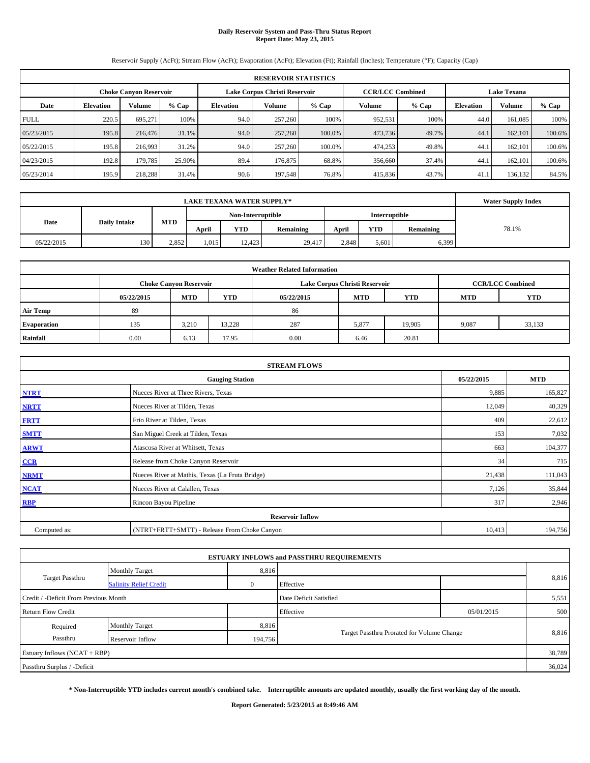# **Daily Reservoir System and Pass-Thru Status Report Report Date: May 23, 2015**

Reservoir Supply (AcFt); Stream Flow (AcFt); Evaporation (AcFt); Elevation (Ft); Rainfall (Inches); Temperature (°F); Capacity (Cap)

|             | <b>RESERVOIR STATISTICS</b>   |         |        |                               |               |        |                         |         |                    |         |         |  |  |
|-------------|-------------------------------|---------|--------|-------------------------------|---------------|--------|-------------------------|---------|--------------------|---------|---------|--|--|
|             | <b>Choke Canyon Reservoir</b> |         |        | Lake Corpus Christi Reservoir |               |        | <b>CCR/LCC Combined</b> |         | <b>Lake Texana</b> |         |         |  |  |
| Date        | <b>Elevation</b>              | Volume  | % Cap  | Elevation                     | <b>Volume</b> | % Cap  | Volume                  | $%$ Cap | <b>Elevation</b>   | Volume  | $%$ Cap |  |  |
| <b>FULL</b> | 220.5                         | 695,271 | 100%   | 94.0                          | 257,260       | 100%   | 952,531                 | 100%    | 44.0               | 161.085 | 100%    |  |  |
| 05/23/2015  | 195.8                         | 216,476 | 31.1%  | 94.0                          | 257,260       | 100.0% | 473,736                 | 49.7%   | 44.1               | 162,101 | 100.6%  |  |  |
| 05/22/2015  | 195.8                         | 216,993 | 31.2%  | 94.0                          | 257,260       | 100.0% | 474,253                 | 49.8%   | 44.1               | 162.101 | 100.6%  |  |  |
| 04/23/2015  | 192.8                         | 179,785 | 25.90% | 89.4                          | 176,875       | 68.8%  | 356,660                 | 37.4%   | 44.1               | 162.101 | 100.6%  |  |  |
| 05/23/2014  | 195.9                         | 218,288 | 31.4%  | 90.6                          | 197,548       | 76.8%  | 415,836                 | 43.7%   | 41.1               | 136,132 | 84.5%   |  |  |

|            | <b>Water Supply Index</b> |       |       |        |                   |       |       |               |       |
|------------|---------------------------|-------|-------|--------|-------------------|-------|-------|---------------|-------|
|            |                           |       |       |        | Non-Interruptible |       |       | Interruptible |       |
| Date       | <b>Daily Intake</b>       | MTD   | April | YTD    | Remaining         | April | YTD   | Remaining     | 78.1% |
| 05/22/2015 | 130                       | 2.852 | 1.015 | 12.423 | 29,417            | 2.848 | 5.601 | 6,399         |       |

| <b>Weather Related Information</b> |            |                               |            |            |                               |                         |            |            |  |  |  |
|------------------------------------|------------|-------------------------------|------------|------------|-------------------------------|-------------------------|------------|------------|--|--|--|
|                                    |            | <b>Choke Canvon Reservoir</b> |            |            | Lake Corpus Christi Reservoir | <b>CCR/LCC Combined</b> |            |            |  |  |  |
|                                    | 05/22/2015 | <b>MTD</b>                    | <b>YTD</b> | 05/22/2015 | <b>MTD</b>                    | <b>YTD</b>              | <b>MTD</b> | <b>YTD</b> |  |  |  |
| <b>Air Temp</b>                    | 89         |                               |            | 86         |                               |                         |            |            |  |  |  |
| <b>Evaporation</b>                 | 135        | 3.210                         | 13,228     | 287        | 5,877                         | 19,905                  | 9,087      | 33,133     |  |  |  |
| Rainfall                           | 0.00       | 6.13                          | 17.95      | 0.00       | 6.46                          | 20.81                   |            |            |  |  |  |

|              | <b>STREAM FLOWS</b>                             |            |            |  |  |  |  |  |  |  |
|--------------|-------------------------------------------------|------------|------------|--|--|--|--|--|--|--|
|              | <b>Gauging Station</b>                          | 05/22/2015 | <b>MTD</b> |  |  |  |  |  |  |  |
| <b>NTRT</b>  | Nueces River at Three Rivers, Texas             | 9,885      | 165,827    |  |  |  |  |  |  |  |
| <b>NRTT</b>  | Nueces River at Tilden, Texas                   | 12,049     | 40,329     |  |  |  |  |  |  |  |
| <b>FRTT</b>  | Frio River at Tilden, Texas                     | 409        | 22,612     |  |  |  |  |  |  |  |
| <b>SMTT</b>  | San Miguel Creek at Tilden, Texas               | 153        | 7,032      |  |  |  |  |  |  |  |
| <b>ARWT</b>  | Atascosa River at Whitsett, Texas               | 663        | 104,377    |  |  |  |  |  |  |  |
| CCR          | Release from Choke Canyon Reservoir             | 34         | 715        |  |  |  |  |  |  |  |
| <b>NRMT</b>  | Nueces River at Mathis, Texas (La Fruta Bridge) | 21,438     | 111,043    |  |  |  |  |  |  |  |
| <b>NCAT</b>  | Nueces River at Calallen, Texas                 | 7,126      | 35,844     |  |  |  |  |  |  |  |
| <b>RBP</b>   | Rincon Bayou Pipeline                           | 317        | 2,946      |  |  |  |  |  |  |  |
|              | <b>Reservoir Inflow</b>                         |            |            |  |  |  |  |  |  |  |
| Computed as: | (NTRT+FRTT+SMTT) - Release From Choke Canyon    | 10,413     | 194,756    |  |  |  |  |  |  |  |

|                                       |                               |          | <b>ESTUARY INFLOWS and PASSTHRU REQUIREMENTS</b> |                                            |        |  |
|---------------------------------------|-------------------------------|----------|--------------------------------------------------|--------------------------------------------|--------|--|
|                                       | <b>Monthly Target</b>         | 8,816    |                                                  |                                            |        |  |
| <b>Target Passthru</b>                | <b>Salinity Relief Credit</b> | $\Omega$ | Effective                                        |                                            | 8,816  |  |
| Credit / -Deficit From Previous Month |                               |          | Date Deficit Satisfied                           |                                            | 5,551  |  |
| <b>Return Flow Credit</b>             |                               |          | Effective                                        | 05/01/2015                                 | 500    |  |
| Required                              | <b>Monthly Target</b>         | 8,816    |                                                  |                                            | 8,816  |  |
| Passthru                              | Reservoir Inflow              | 194,756  |                                                  | Target Passthru Prorated for Volume Change |        |  |
| Estuary Inflows (NCAT + RBP)          |                               |          |                                                  |                                            | 38,789 |  |
| Passthru Surplus / -Deficit           |                               |          |                                                  |                                            | 36,024 |  |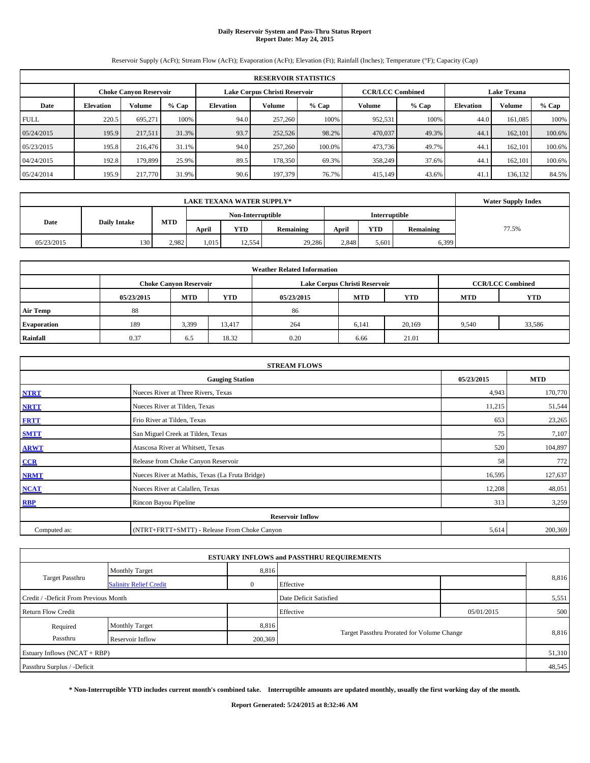# **Daily Reservoir System and Pass-Thru Status Report Report Date: May 24, 2015**

Reservoir Supply (AcFt); Stream Flow (AcFt); Evaporation (AcFt); Elevation (Ft); Rainfall (Inches); Temperature (°F); Capacity (Cap)

|             | <b>RESERVOIR STATISTICS</b>   |         |         |                               |         |         |                         |       |                    |         |        |  |  |
|-------------|-------------------------------|---------|---------|-------------------------------|---------|---------|-------------------------|-------|--------------------|---------|--------|--|--|
|             | <b>Choke Canvon Reservoir</b> |         |         | Lake Corpus Christi Reservoir |         |         | <b>CCR/LCC Combined</b> |       | <b>Lake Texana</b> |         |        |  |  |
| Date        | <b>Elevation</b>              | Volume  | $%$ Cap | <b>Elevation</b>              | Volume  | $%$ Cap | Volume                  | % Cap | <b>Elevation</b>   | Volume  | % Cap  |  |  |
| <b>FULL</b> | 220.5                         | 695.271 | 100%    | 94.0                          | 257,260 | 100%    | 952,531                 | 100%  | 44.0               | 161.085 | 100%   |  |  |
| 05/24/2015  | 195.9                         | 217,511 | 31.3%   | 93.7                          | 252,526 | 98.2%   | 470,037                 | 49.3% | 44.1               | 162,101 | 100.6% |  |  |
| 05/23/2015  | 195.8                         | 216,476 | 31.1%   | 94.0                          | 257,260 | 100.0%  | 473,736                 | 49.7% | 44.1               | 162.101 | 100.6% |  |  |
| 04/24/2015  | 192.8                         | 179,899 | 25.9%   | 89.5                          | 178,350 | 69.3%   | 358,249                 | 37.6% | 44.1               | 162,101 | 100.6% |  |  |
| 05/24/2014  | 195.9                         | 217,770 | 31.9%   | 90.6                          | 197,379 | 76.7%   | 415,149                 | 43.6% | 41.1               | 136,132 | 84.5%  |  |  |

|            | <b>Water Supply Index</b> |       |                   |            |           |       |               |           |       |
|------------|---------------------------|-------|-------------------|------------|-----------|-------|---------------|-----------|-------|
|            |                           |       | Non-Interruptible |            |           |       | Interruptible |           |       |
| Date       | <b>Daily Intake</b>       | MTD   | April             | <b>YTD</b> | Remaining | April | YTD           | Remaining | 77.5% |
| 05/23/2015 | 130                       | 2.982 | 1.015             | 12.554     | 29,286    | 2.848 | 5.601         | 6,399     |       |

| <b>Weather Related Information</b> |            |                               |            |            |                               |                         |            |            |  |  |  |
|------------------------------------|------------|-------------------------------|------------|------------|-------------------------------|-------------------------|------------|------------|--|--|--|
|                                    |            | <b>Choke Canyon Reservoir</b> |            |            | Lake Corpus Christi Reservoir | <b>CCR/LCC Combined</b> |            |            |  |  |  |
|                                    | 05/23/2015 | <b>MTD</b>                    | <b>YTD</b> | 05/23/2015 | <b>MTD</b>                    | <b>YTD</b>              | <b>MTD</b> | <b>YTD</b> |  |  |  |
| <b>Air Temp</b>                    | 88         |                               |            | 86         |                               |                         |            |            |  |  |  |
| Evaporation                        | 189        | 3,399                         | 13,417     | 264        | 6,141                         | 20,169                  | 9,540      | 33,586     |  |  |  |
| Rainfall                           | 0.37       | 6.5                           | 18.32      | 0.20       | 6.66                          | 21.01                   |            |            |  |  |  |

| <b>STREAM FLOWS</b> |                                                 |            |            |  |  |  |  |  |  |  |
|---------------------|-------------------------------------------------|------------|------------|--|--|--|--|--|--|--|
|                     | <b>Gauging Station</b>                          | 05/23/2015 | <b>MTD</b> |  |  |  |  |  |  |  |
| <b>NTRT</b>         | Nueces River at Three Rivers, Texas             | 4,943      | 170,770    |  |  |  |  |  |  |  |
| <b>NRTT</b>         | Nueces River at Tilden, Texas                   | 11,215     | 51,544     |  |  |  |  |  |  |  |
| <b>FRTT</b>         | Frio River at Tilden, Texas                     | 653        | 23,265     |  |  |  |  |  |  |  |
| <b>SMTT</b>         | San Miguel Creek at Tilden, Texas               | 75         | 7,107      |  |  |  |  |  |  |  |
| <b>ARWT</b>         | Atascosa River at Whitsett, Texas               | 520        | 104,897    |  |  |  |  |  |  |  |
| $CCR$               | Release from Choke Canyon Reservoir             | 58         | 772        |  |  |  |  |  |  |  |
| <b>NRMT</b>         | Nueces River at Mathis, Texas (La Fruta Bridge) | 16,595     | 127,637    |  |  |  |  |  |  |  |
| <b>NCAT</b>         | Nueces River at Calallen, Texas                 | 12,208     | 48,051     |  |  |  |  |  |  |  |
| <b>RBP</b>          | Rincon Bayou Pipeline                           | 313        | 3,259      |  |  |  |  |  |  |  |
|                     | <b>Reservoir Inflow</b>                         |            |            |  |  |  |  |  |  |  |
| Computed as:        | (NTRT+FRTT+SMTT) - Release From Choke Canyon    |            |            |  |  |  |  |  |  |  |

|                                       |                               |          | <b>ESTUARY INFLOWS and PASSTHRU REQUIREMENTS</b> |                                            |        |  |  |
|---------------------------------------|-------------------------------|----------|--------------------------------------------------|--------------------------------------------|--------|--|--|
|                                       | <b>Monthly Target</b>         | 8,816    |                                                  |                                            |        |  |  |
| Target Passthru                       | <b>Salinity Relief Credit</b> | $\Omega$ | Effective                                        |                                            | 8,816  |  |  |
| Credit / -Deficit From Previous Month |                               |          | Date Deficit Satisfied                           |                                            | 5,551  |  |  |
| <b>Return Flow Credit</b>             |                               |          | Effective                                        | 05/01/2015                                 | 500    |  |  |
| Required                              | Monthly Target                | 8,816    |                                                  |                                            | 8,816  |  |  |
| Passthru                              | Reservoir Inflow              | 200,369  |                                                  | Target Passthru Prorated for Volume Change |        |  |  |
| Estuary Inflows (NCAT + RBP)          |                               |          |                                                  |                                            | 51,310 |  |  |
| Passthru Surplus / -Deficit           |                               |          |                                                  |                                            | 48,545 |  |  |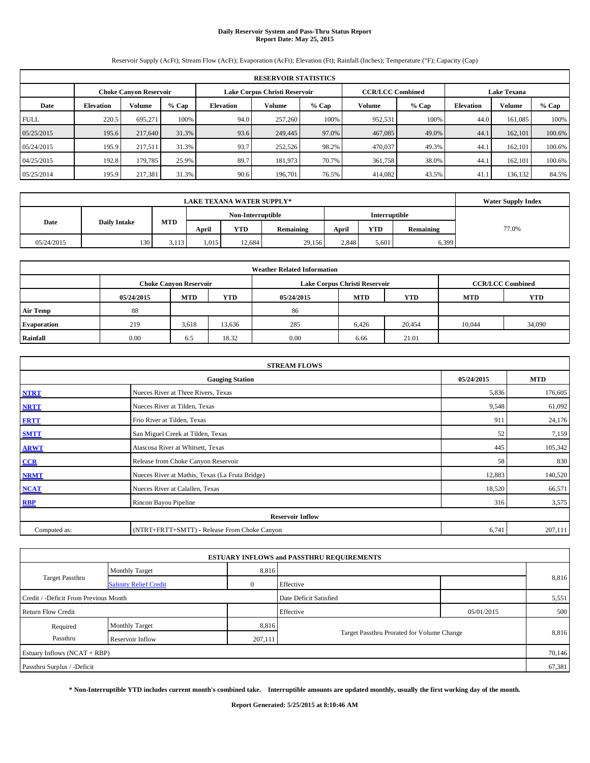# **Daily Reservoir System and Pass-Thru Status Report Report Date: May 25, 2015**

Reservoir Supply (AcFt); Stream Flow (AcFt); Evaporation (AcFt); Elevation (Ft); Rainfall (Inches); Temperature (°F); Capacity (Cap)

| <b>RESERVOIR STATISTICS</b> |                                                                                                                 |               |         |                  |         |         |         |         |                  |               |         |  |
|-----------------------------|-----------------------------------------------------------------------------------------------------------------|---------------|---------|------------------|---------|---------|---------|---------|------------------|---------------|---------|--|
|                             | <b>CCR/LCC Combined</b><br><b>Lake Texana</b><br>Lake Corpus Christi Reservoir<br><b>Choke Canvon Reservoir</b> |               |         |                  |         |         |         |         |                  |               |         |  |
| Date                        | <b>Elevation</b>                                                                                                | <b>Volume</b> | $%$ Cap | <b>Elevation</b> | Volume  | $%$ Cap | Volume  | $%$ Cap | <b>Elevation</b> | <b>Volume</b> | $%$ Cap |  |
| <b>FULL</b>                 | 220.5                                                                                                           | 695.271       | 100%    | 94.0             | 257,260 | 100%    | 952,531 | 100%    | 44.0             | 161.085       | 100%    |  |
| 05/25/2015                  | 195.6                                                                                                           | 217,640       | 31.3%   | 93.6             | 249,445 | 97.0%   | 467,085 | 49.0%   | 44.1             | 162,101       | 100.6%  |  |
| 05/24/2015                  | 195.9                                                                                                           | 217,511       | 31.3%   | 93.7             | 252,526 | 98.2%   | 470,037 | 49.3%   | 44.1             | 162.101       | 100.6%  |  |
| 04/25/2015                  | 192.8                                                                                                           | 179,785       | 25.9%   | 89.7             | 181,973 | 70.7%   | 361,758 | 38.0%   | 44.1             | 162,101       | 100.6%  |  |
| 05/25/2014                  | 195.9                                                                                                           | 217,381       | 31.3%   | 90.6             | 196,701 | 76.5%   | 414,082 | 43.5%   | 41.              | 136,132       | 84.5%   |  |

|                             | <b>Water Supply Index</b> |                   |       |            |           |                      |            |           |       |
|-----------------------------|---------------------------|-------------------|-------|------------|-----------|----------------------|------------|-----------|-------|
|                             |                           | Non-Interruptible |       |            |           | <b>Interruptible</b> |            |           |       |
| Date<br><b>Daily Intake</b> |                           | MTD               | April | <b>YTD</b> | Remaining | April                | <b>YTD</b> | Remaining | 77.0% |
| 05/24/2015                  | 130                       | 3 1 1 3<br>----   | 1,015 | 12.684     | 29,156    | 2.848                | 5,601      | 6,399     |       |

| <b>Weather Related Information</b> |            |                               |            |                                                      |                               |                         |        |        |  |  |  |
|------------------------------------|------------|-------------------------------|------------|------------------------------------------------------|-------------------------------|-------------------------|--------|--------|--|--|--|
|                                    |            | <b>Choke Canyon Reservoir</b> |            |                                                      | Lake Corpus Christi Reservoir | <b>CCR/LCC Combined</b> |        |        |  |  |  |
|                                    | 05/24/2015 | <b>MTD</b>                    | <b>YTD</b> | <b>MTD</b><br><b>YTD</b><br><b>MTD</b><br>05/24/2015 |                               |                         |        |        |  |  |  |
| <b>Air Temp</b>                    | 88         |                               |            | 86                                                   |                               |                         |        |        |  |  |  |
| <b>Evaporation</b>                 | 219        | 3,618                         | 13,636     | 285                                                  | 6.426                         | 20,454                  | 10.044 | 34,090 |  |  |  |
| Rainfall                           | 0.00       | 6.5                           | 18.32      | 0.00                                                 | 6.66                          | 21.01                   |        |        |  |  |  |

| <b>STREAM FLOWS</b> |                                                    |        |         |  |  |  |  |  |  |  |
|---------------------|----------------------------------------------------|--------|---------|--|--|--|--|--|--|--|
|                     | 05/24/2015<br><b>MTD</b><br><b>Gauging Station</b> |        |         |  |  |  |  |  |  |  |
| <b>NTRT</b>         | Nueces River at Three Rivers, Texas                | 5,836  | 176,605 |  |  |  |  |  |  |  |
| <b>NRTT</b>         | Nueces River at Tilden, Texas                      | 9,548  | 61,092  |  |  |  |  |  |  |  |
| <b>FRTT</b>         | Frio River at Tilden, Texas                        | 911    | 24,176  |  |  |  |  |  |  |  |
| <b>SMTT</b>         | San Miguel Creek at Tilden, Texas                  | 52     | 7,159   |  |  |  |  |  |  |  |
| <b>ARWT</b>         | Atascosa River at Whitsett, Texas                  | 445    | 105,342 |  |  |  |  |  |  |  |
| $CCR$               | Release from Choke Canyon Reservoir                | 58     | 830     |  |  |  |  |  |  |  |
| <b>NRMT</b>         | Nueces River at Mathis, Texas (La Fruta Bridge)    | 12,883 | 140,520 |  |  |  |  |  |  |  |
| <b>NCAT</b>         | Nueces River at Calallen, Texas                    | 18,520 | 66,571  |  |  |  |  |  |  |  |
| <b>RBP</b>          | Rincon Bayou Pipeline                              | 316    | 3,575   |  |  |  |  |  |  |  |
|                     | <b>Reservoir Inflow</b>                            |        |         |  |  |  |  |  |  |  |
| Computed as:        | (NTRT+FRTT+SMTT) - Release From Choke Canyon       |        |         |  |  |  |  |  |  |  |

|                                                                                       |                               |          | <b>ESTUARY INFLOWS and PASSTHRU REQUIREMENTS</b> |            |        |  |  |
|---------------------------------------------------------------------------------------|-------------------------------|----------|--------------------------------------------------|------------|--------|--|--|
|                                                                                       | <b>Monthly Target</b>         | 8,816    |                                                  |            |        |  |  |
| Target Passthru                                                                       | <b>Salinity Relief Credit</b> | $\Omega$ | Effective                                        |            | 8,816  |  |  |
| Credit / -Deficit From Previous Month<br>Date Deficit Satisfied                       |                               |          |                                                  |            |        |  |  |
| <b>Return Flow Credit</b>                                                             |                               |          | Effective                                        | 05/01/2015 | 500    |  |  |
| Required                                                                              | Monthly Target                | 8,816    |                                                  |            | 8,816  |  |  |
| Target Passthru Prorated for Volume Change<br>Passthru<br>Reservoir Inflow<br>207,111 |                               |          |                                                  |            |        |  |  |
| Estuary Inflows (NCAT + RBP)                                                          |                               |          |                                                  |            |        |  |  |
| Passthru Surplus / -Deficit                                                           |                               |          |                                                  |            | 67,381 |  |  |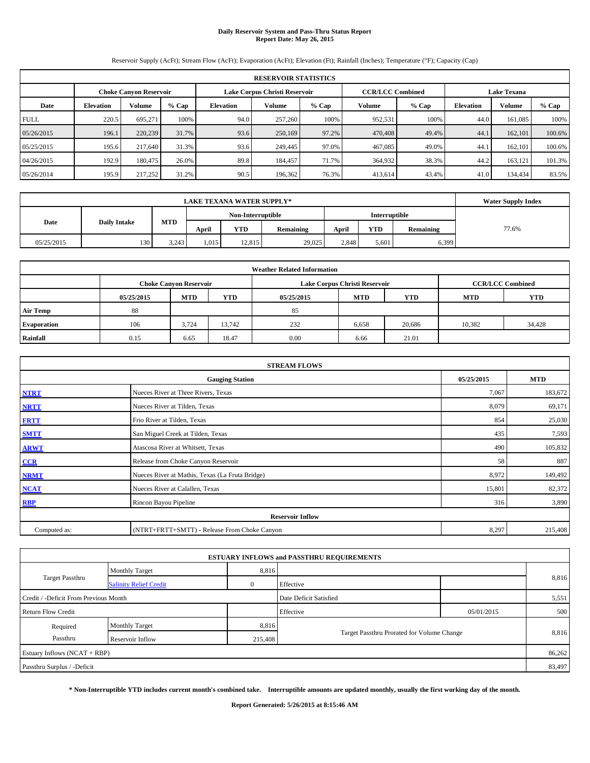# **Daily Reservoir System and Pass-Thru Status Report Report Date: May 26, 2015**

Reservoir Supply (AcFt); Stream Flow (AcFt); Evaporation (AcFt); Elevation (Ft); Rainfall (Inches); Temperature (°F); Capacity (Cap)

| <b>RESERVOIR STATISTICS</b> |                                                                                                                 |               |         |                  |         |         |               |         |                  |         |         |  |  |
|-----------------------------|-----------------------------------------------------------------------------------------------------------------|---------------|---------|------------------|---------|---------|---------------|---------|------------------|---------|---------|--|--|
|                             | <b>CCR/LCC Combined</b><br><b>Lake Texana</b><br>Lake Corpus Christi Reservoir<br><b>Choke Canvon Reservoir</b> |               |         |                  |         |         |               |         |                  |         |         |  |  |
| Date                        | <b>Elevation</b>                                                                                                | <b>Volume</b> | $%$ Cap | <b>Elevation</b> | Volume  | $%$ Cap | <b>Volume</b> | $%$ Cap | <b>Elevation</b> | Volume  | $%$ Cap |  |  |
| <b>FULL</b>                 | 220.5                                                                                                           | 695.271       | 100%    | 94.0             | 257,260 | 100%    | 952,531       | 100%    | 44.0             | 161.085 | 100%    |  |  |
| 05/26/2015                  | 196.1                                                                                                           | 220,239       | 31.7%   | 93.6             | 250,169 | 97.2%   | 470,408       | 49.4%   | 44.1             | 162,101 | 100.6%  |  |  |
| 05/25/2015                  | 195.6                                                                                                           | 217,640       | 31.3%   | 93.6             | 249,445 | 97.0%   | 467,085       | 49.0%   | 44.1             | 162,101 | 100.6%  |  |  |
| 04/26/2015                  | 192.9                                                                                                           | 180,475       | 26.0%   | 89.8             | 184.457 | 71.7%   | 364,932       | 38.3%   | 44.2             | 163,121 | 101.3%  |  |  |
| 05/26/2014                  | 195.9                                                                                                           | 217,252       | 31.2%   | 90.5             | 196.362 | 76.3%   | 413,614       | 43.4%   | 41.0             | 134.434 | 83.5%   |  |  |

|                             | <b>Water Supply Index</b> |       |                   |            |                      |       |            |           |       |
|-----------------------------|---------------------------|-------|-------------------|------------|----------------------|-------|------------|-----------|-------|
|                             |                           |       | Non-Interruptible |            | <b>Interruptible</b> |       |            |           |       |
| Date<br><b>Daily Intake</b> |                           | MTD   | April             | <b>YTD</b> | Remaining            | April | <b>YTD</b> | Remaining | 77.6% |
| 05/25/2015                  | 130                       | 3.243 | 1,015             | 12.815     | 29,025               | 2.848 | 5,601      | 6,399     |       |

| <b>Weather Related Information</b> |            |                               |                                                                                  |      |                               |                         |        |        |  |  |  |
|------------------------------------|------------|-------------------------------|----------------------------------------------------------------------------------|------|-------------------------------|-------------------------|--------|--------|--|--|--|
|                                    |            | <b>Choke Canyon Reservoir</b> |                                                                                  |      | Lake Corpus Christi Reservoir | <b>CCR/LCC Combined</b> |        |        |  |  |  |
|                                    | 05/25/2015 | <b>MTD</b>                    | <b>YTD</b><br><b>YTD</b><br><b>MTD</b><br><b>YTD</b><br><b>MTD</b><br>05/25/2015 |      |                               |                         |        |        |  |  |  |
| <b>Air Temp</b>                    | 88         |                               |                                                                                  | 85   |                               |                         |        |        |  |  |  |
| <b>Evaporation</b>                 | 106        | 3.724                         | 13.742                                                                           | 232  | 6,658                         | 20,686                  | 10,382 | 34,428 |  |  |  |
| Rainfall                           | 0.15       | 6.65                          | 18.47                                                                            | 0.00 | 6.66                          | 21.01                   |        |        |  |  |  |

| <b>STREAM FLOWS</b> |                                                    |        |         |  |  |  |  |  |  |
|---------------------|----------------------------------------------------|--------|---------|--|--|--|--|--|--|
|                     | 05/25/2015<br><b>MTD</b><br><b>Gauging Station</b> |        |         |  |  |  |  |  |  |
| <b>NTRT</b>         | Nueces River at Three Rivers, Texas                | 7,067  | 183,672 |  |  |  |  |  |  |
| <b>NRTT</b>         | Nueces River at Tilden, Texas                      | 8,079  | 69,171  |  |  |  |  |  |  |
| <b>FRTT</b>         | Frio River at Tilden, Texas                        | 854    | 25,030  |  |  |  |  |  |  |
| <b>SMTT</b>         | San Miguel Creek at Tilden, Texas                  | 435    | 7,593   |  |  |  |  |  |  |
| <b>ARWT</b>         | Atascosa River at Whitsett, Texas                  | 490    | 105,832 |  |  |  |  |  |  |
| CCR                 | Release from Choke Canyon Reservoir                | 58     | 887     |  |  |  |  |  |  |
| <b>NRMT</b>         | Nueces River at Mathis, Texas (La Fruta Bridge)    | 8,972  | 149,492 |  |  |  |  |  |  |
| <b>NCAT</b>         | Nueces River at Calallen, Texas                    | 15,801 | 82,372  |  |  |  |  |  |  |
| <b>RBP</b>          | Rincon Bayou Pipeline                              | 316    | 3,890   |  |  |  |  |  |  |
|                     | <b>Reservoir Inflow</b>                            |        |         |  |  |  |  |  |  |
| Computed as:        | (NTRT+FRTT+SMTT) - Release From Choke Canyon       |        |         |  |  |  |  |  |  |

|                                                                 |                               |          | <b>ESTUARY INFLOWS and PASSTHRU REQUIREMENTS</b> |            |        |  |
|-----------------------------------------------------------------|-------------------------------|----------|--------------------------------------------------|------------|--------|--|
|                                                                 | <b>Monthly Target</b>         | 8,816    |                                                  |            |        |  |
| Target Passthru                                                 | <b>Salinity Relief Credit</b> | $\Omega$ | Effective                                        |            | 8,816  |  |
| Credit / -Deficit From Previous Month<br>Date Deficit Satisfied |                               |          |                                                  |            |        |  |
| <b>Return Flow Credit</b>                                       |                               |          | Effective                                        | 05/01/2015 | 500    |  |
| Required                                                        | Monthly Target                | 8,816    |                                                  |            |        |  |
| Passthru                                                        | Reservoir Inflow              | 215,408  | Target Passthru Prorated for Volume Change       |            | 8,816  |  |
| Estuary Inflows (NCAT + RBP)                                    |                               |          |                                                  |            | 86,262 |  |
| Passthru Surplus / -Deficit                                     |                               |          |                                                  |            | 83,497 |  |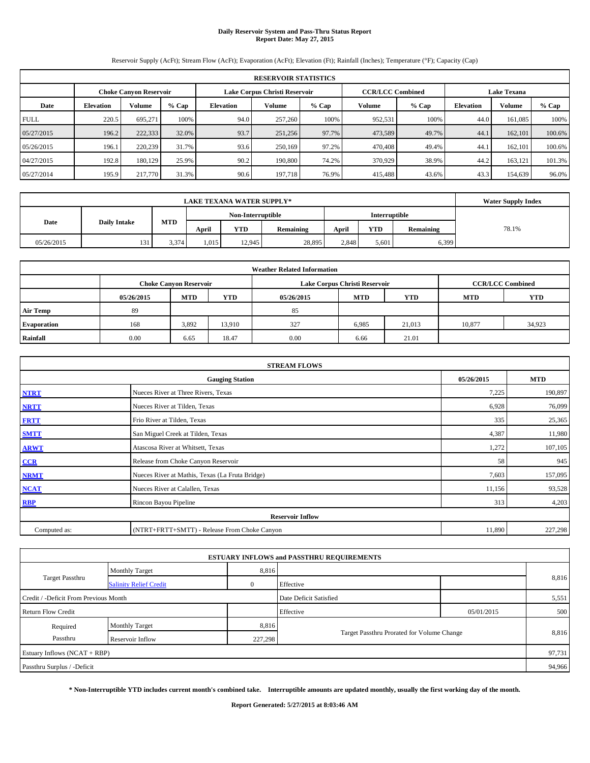# **Daily Reservoir System and Pass-Thru Status Report Report Date: May 27, 2015**

Reservoir Supply (AcFt); Stream Flow (AcFt); Evaporation (AcFt); Elevation (Ft); Rainfall (Inches); Temperature (°F); Capacity (Cap)

| <b>RESERVOIR STATISTICS</b> |                                                                                                                 |               |         |                  |         |         |         |         |                  |         |         |  |
|-----------------------------|-----------------------------------------------------------------------------------------------------------------|---------------|---------|------------------|---------|---------|---------|---------|------------------|---------|---------|--|
|                             | <b>CCR/LCC Combined</b><br><b>Lake Texana</b><br>Lake Corpus Christi Reservoir<br><b>Choke Canvon Reservoir</b> |               |         |                  |         |         |         |         |                  |         |         |  |
| Date                        | <b>Elevation</b>                                                                                                | <b>Volume</b> | $%$ Cap | <b>Elevation</b> | Volume  | $%$ Cap | Volume  | $%$ Cap | <b>Elevation</b> | Volume  | $%$ Cap |  |
| <b>FULL</b>                 | 220.5                                                                                                           | 695.271       | 100%    | 94.0             | 257,260 | 100%    | 952,531 | 100%    | 44.0             | 161.085 | 100%    |  |
| 05/27/2015                  | 196.2                                                                                                           | 222,333       | 32.0%   | 93.7             | 251,256 | 97.7%   | 473,589 | 49.7%   | 44.1             | 162,101 | 100.6%  |  |
| 05/26/2015                  | 196.1                                                                                                           | 220,239       | 31.7%   | 93.6             | 250,169 | 97.2%   | 470,408 | 49.4%   | 44.1             | 162.101 | 100.6%  |  |
| 04/27/2015                  | 192.8                                                                                                           | 180,129       | 25.9%   | 90.2             | 190,800 | 74.2%   | 370,929 | 38.9%   | 44.2             | 163,121 | 101.3%  |  |
| 05/27/2014                  | 195.9                                                                                                           | 217,770       | 31.3%   | 90.6             | 197,718 | 76.9%   | 415,488 | 43.6%   | 43.3             | 154,639 | 96.0%   |  |

|                             | <b>Water Supply Index</b> |       |                   |            |           |                      |            |           |       |
|-----------------------------|---------------------------|-------|-------------------|------------|-----------|----------------------|------------|-----------|-------|
|                             |                           |       | Non-Interruptible |            |           | <b>Interruptible</b> |            |           |       |
| Date<br><b>Daily Intake</b> |                           | MTD   | April             | <b>YTD</b> | Remaining | April                | <b>YTD</b> | Remaining | 78.1% |
| 05/26/2015                  |                           | 3,374 | 1,015             | 12.945     | 28,895    | 2.848                | 5,601      | 6,399     |       |

| <b>Weather Related Information</b> |            |                               |            |            |                               |                         |            |            |  |
|------------------------------------|------------|-------------------------------|------------|------------|-------------------------------|-------------------------|------------|------------|--|
|                                    |            | <b>Choke Canyon Reservoir</b> |            |            | Lake Corpus Christi Reservoir | <b>CCR/LCC Combined</b> |            |            |  |
|                                    | 05/26/2015 | <b>MTD</b>                    | <b>YTD</b> | 05/26/2015 | <b>MTD</b>                    | <b>YTD</b>              | <b>MTD</b> | <b>YTD</b> |  |
| <b>Air Temp</b>                    | 89         |                               |            | 85         |                               |                         |            |            |  |
| <b>Evaporation</b>                 | 168        | 3,892                         | 13.910     | 327        | 6,985                         | 21.013                  | 10.877     | 34,923     |  |
| Rainfall                           | 0.00       | 6.65                          | 18.47      | 0.00       | 6.66                          | 21.01                   |            |            |  |

| <b>STREAM FLOWS</b> |                                                 |        |         |  |  |  |  |  |  |
|---------------------|-------------------------------------------------|--------|---------|--|--|--|--|--|--|
|                     | <b>Gauging Station</b>                          |        |         |  |  |  |  |  |  |
| <b>NTRT</b>         | Nueces River at Three Rivers, Texas             | 7,225  | 190,897 |  |  |  |  |  |  |
| <b>NRTT</b>         | Nueces River at Tilden, Texas                   | 6,928  | 76,099  |  |  |  |  |  |  |
| <b>FRTT</b>         | Frio River at Tilden, Texas                     | 335    | 25,365  |  |  |  |  |  |  |
| <b>SMTT</b>         | San Miguel Creek at Tilden, Texas               | 4,387  | 11,980  |  |  |  |  |  |  |
| <b>ARWT</b>         | Atascosa River at Whitsett, Texas               | 1,272  | 107,105 |  |  |  |  |  |  |
| $CCR$               | Release from Choke Canyon Reservoir             | 58     | 945     |  |  |  |  |  |  |
| <b>NRMT</b>         | Nueces River at Mathis, Texas (La Fruta Bridge) | 7,603  | 157,095 |  |  |  |  |  |  |
| <b>NCAT</b>         | Nueces River at Calallen, Texas                 | 11,156 | 93,528  |  |  |  |  |  |  |
| <b>RBP</b>          | Rincon Bayou Pipeline                           | 313    | 4,203   |  |  |  |  |  |  |
|                     | <b>Reservoir Inflow</b>                         |        |         |  |  |  |  |  |  |
| Computed as:        | (NTRT+FRTT+SMTT) - Release From Choke Canyon    | 11,890 | 227,298 |  |  |  |  |  |  |

|                                       |                               |          | <b>ESTUARY INFLOWS and PASSTHRU REQUIREMENTS</b> |            |        |
|---------------------------------------|-------------------------------|----------|--------------------------------------------------|------------|--------|
|                                       | <b>Monthly Target</b>         | 8,816    |                                                  |            |        |
| Target Passthru                       | <b>Salinity Relief Credit</b> | $\Omega$ | Effective                                        |            | 8,816  |
| Credit / -Deficit From Previous Month |                               |          | Date Deficit Satisfied                           |            | 5,551  |
| <b>Return Flow Credit</b>             |                               |          | Effective                                        | 05/01/2015 | 500    |
| Required                              | Monthly Target                | 8,816    |                                                  |            |        |
| Passthru                              | Reservoir Inflow              | 227,298  | Target Passthru Prorated for Volume Change       |            | 8,816  |
| Estuary Inflows (NCAT + RBP)          |                               |          |                                                  |            | 97,731 |
| Passthru Surplus / -Deficit           |                               |          |                                                  |            | 94,966 |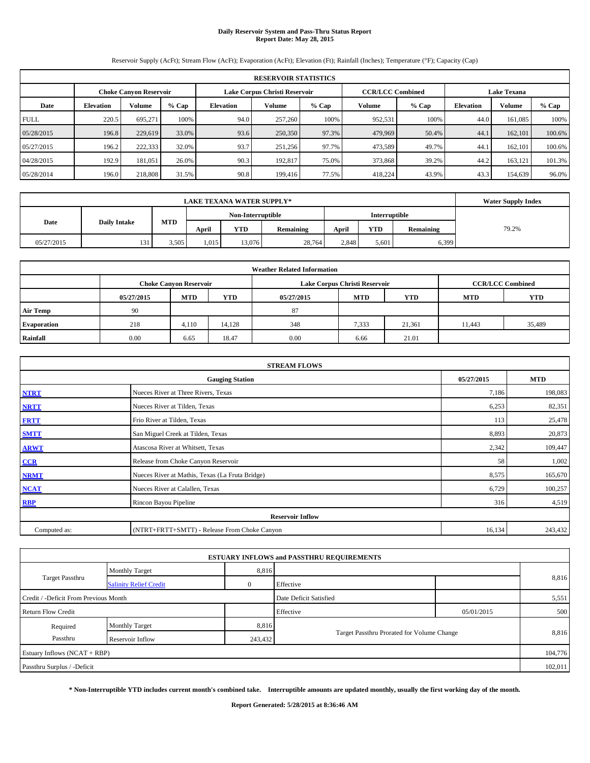# **Daily Reservoir System and Pass-Thru Status Report Report Date: May 28, 2015**

Reservoir Supply (AcFt); Stream Flow (AcFt); Evaporation (AcFt); Elevation (Ft); Rainfall (Inches); Temperature (°F); Capacity (Cap)

| <b>RESERVOIR STATISTICS</b> |                  |                               |         |                  |                               |         |                         |         |                    |         |         |
|-----------------------------|------------------|-------------------------------|---------|------------------|-------------------------------|---------|-------------------------|---------|--------------------|---------|---------|
|                             |                  | <b>Choke Canvon Reservoir</b> |         |                  | Lake Corpus Christi Reservoir |         | <b>CCR/LCC Combined</b> |         | <b>Lake Texana</b> |         |         |
| Date                        | <b>Elevation</b> | <b>Volume</b>                 | $%$ Cap | <b>Elevation</b> | Volume                        | $%$ Cap | Volume                  | $%$ Cap | <b>Elevation</b>   | Volume  | $%$ Cap |
| <b>FULL</b>                 | 220.5            | 695.271                       | 100%    | 94.0             | 257,260                       | 100%    | 952,531                 | 100%    | 44.0               | 161.085 | 100%    |
| 05/28/2015                  | 196.8            | 229,619                       | 33.0%   | 93.6             | 250,350                       | 97.3%   | 479,969                 | 50.4%   | 44.1               | 162,101 | 100.6%  |
| 05/27/2015                  | 196.2            | 222,333                       | 32.0%   | 93.7             | 251,256                       | 97.7%   | 473,589                 | 49.7%   | 44.1               | 162.101 | 100.6%  |
| 04/28/2015                  | 192.9            | 181.051                       | 26.0%   | 90.3             | 192.817                       | 75.0%   | 373,868                 | 39.2%   | 44.2               | 163,121 | 101.3%  |
| 05/28/2014                  | 196.0            | 218,808                       | 31.5%   | 90.8             | 199,416                       | 77.5%   | 418,224                 | 43.9%   | 43.3               | 154,639 | 96.0%   |

|            | <b>Water Supply Index</b> |       |       |                                    |           |       |       |           |       |
|------------|---------------------------|-------|-------|------------------------------------|-----------|-------|-------|-----------|-------|
|            |                           |       |       | Interruptible<br>Non-Interruptible |           |       |       |           |       |
| Date       | <b>Daily Intake</b>       | MTD   | April | <b>YTD</b>                         | Remaining | April | YTD   | Remaining | 79.2% |
| 05/27/2015 | 131                       | 3.505 | 1.015 | 13.076                             | 28.764    | 2.848 | 5.601 | 6,399     |       |

| <b>Weather Related Information</b> |            |                               |            |            |                               |                         |            |            |  |
|------------------------------------|------------|-------------------------------|------------|------------|-------------------------------|-------------------------|------------|------------|--|
|                                    |            | <b>Choke Canyon Reservoir</b> |            |            | Lake Corpus Christi Reservoir | <b>CCR/LCC Combined</b> |            |            |  |
|                                    | 05/27/2015 | <b>MTD</b>                    | <b>YTD</b> | 05/27/2015 | <b>MTD</b>                    | <b>YTD</b>              | <b>MTD</b> | <b>YTD</b> |  |
| <b>Air Temp</b>                    | 90         |                               |            | 87         |                               |                         |            |            |  |
| <b>Evaporation</b>                 | 218        | 4.110                         | 14.128     | 348        | 7,333                         | 21.361                  | 11,443     | 35,489     |  |
| Rainfall                           | 0.00       | 6.65                          | 18.47      | 0.00       | 6.66                          | 21.01                   |            |            |  |

| <b>STREAM FLOWS</b> |                                                 |        |         |  |  |  |  |  |  |
|---------------------|-------------------------------------------------|--------|---------|--|--|--|--|--|--|
|                     | <b>Gauging Station</b>                          |        |         |  |  |  |  |  |  |
| <b>NTRT</b>         | Nueces River at Three Rivers, Texas             | 7,186  | 198,083 |  |  |  |  |  |  |
| <b>NRTT</b>         | Nueces River at Tilden, Texas                   | 6,253  | 82,351  |  |  |  |  |  |  |
| <b>FRTT</b>         | Frio River at Tilden, Texas                     | 113    | 25,478  |  |  |  |  |  |  |
| <b>SMTT</b>         | San Miguel Creek at Tilden, Texas               | 8,893  | 20,873  |  |  |  |  |  |  |
| <b>ARWT</b>         | Atascosa River at Whitsett, Texas               | 2,342  | 109,447 |  |  |  |  |  |  |
| $CCR$               | Release from Choke Canyon Reservoir             | 58     | 1,002   |  |  |  |  |  |  |
| <b>NRMT</b>         | Nueces River at Mathis, Texas (La Fruta Bridge) | 8,575  | 165,670 |  |  |  |  |  |  |
| <b>NCAT</b>         | Nueces River at Calallen, Texas                 | 6,729  | 100,257 |  |  |  |  |  |  |
| <b>RBP</b>          | Rincon Bayou Pipeline                           | 316    | 4,519   |  |  |  |  |  |  |
|                     | <b>Reservoir Inflow</b>                         |        |         |  |  |  |  |  |  |
| Computed as:        | (NTRT+FRTT+SMTT) - Release From Choke Canyon    | 16,134 | 243,432 |  |  |  |  |  |  |

|                                       |                               |         | <b>ESTUARY INFLOWS and PASSTHRU REQUIREMENTS</b> |            |         |  |
|---------------------------------------|-------------------------------|---------|--------------------------------------------------|------------|---------|--|
|                                       | <b>Monthly Target</b>         | 8,816   |                                                  |            |         |  |
| <b>Target Passthru</b>                | <b>Salinity Relief Credit</b> |         | Effective                                        |            | 8,816   |  |
| Credit / -Deficit From Previous Month |                               |         | Date Deficit Satisfied                           |            | 5,551   |  |
| <b>Return Flow Credit</b>             |                               |         | Effective                                        | 05/01/2015 | 500     |  |
| Required                              | <b>Monthly Target</b>         | 8,816   |                                                  |            |         |  |
| Passthru                              | Reservoir Inflow              | 243,432 | Target Passthru Prorated for Volume Change       |            | 8.816   |  |
| Estuary Inflows (NCAT + RBP)          |                               |         |                                                  |            | 104,776 |  |
| Passthru Surplus / -Deficit           |                               |         |                                                  |            | 102,011 |  |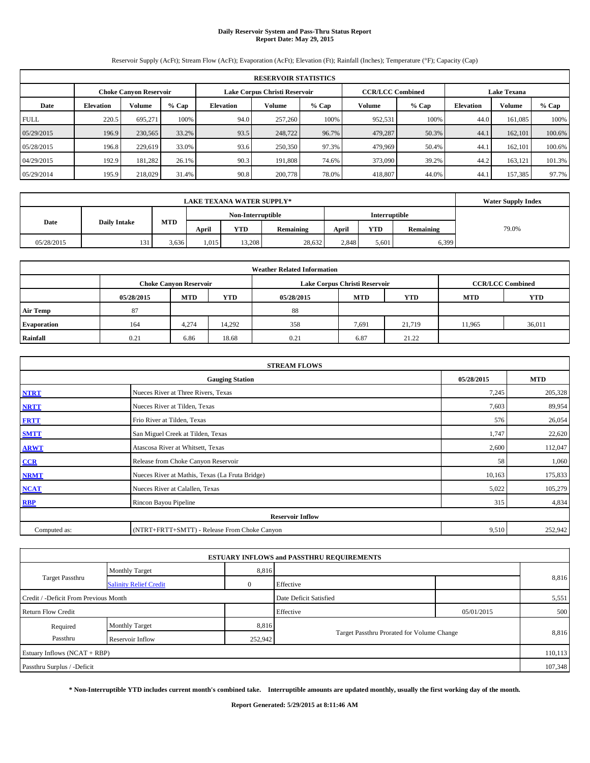# **Daily Reservoir System and Pass-Thru Status Report Report Date: May 29, 2015**

Reservoir Supply (AcFt); Stream Flow (AcFt); Evaporation (AcFt); Elevation (Ft); Rainfall (Inches); Temperature (°F); Capacity (Cap)

| <b>RESERVOIR STATISTICS</b> |                  |                               |         |                  |                               |         |         |                         |                    |         |         |
|-----------------------------|------------------|-------------------------------|---------|------------------|-------------------------------|---------|---------|-------------------------|--------------------|---------|---------|
|                             |                  | <b>Choke Canvon Reservoir</b> |         |                  | Lake Corpus Christi Reservoir |         |         | <b>CCR/LCC Combined</b> | <b>Lake Texana</b> |         |         |
| Date                        | <b>Elevation</b> | <b>Volume</b>                 | $%$ Cap | <b>Elevation</b> | Volume                        | $%$ Cap | Volume  | $%$ Cap                 | <b>Elevation</b>   | Volume  | $%$ Cap |
| <b>FULL</b>                 | 220.5            | 695.271                       | 100%    | 94.0             | 257,260                       | 100%    | 952,531 | 100%                    | 44.0               | 161.085 | 100%    |
| 05/29/2015                  | 196.9            | 230,565                       | 33.2%   | 93.5             | 248,722                       | 96.7%   | 479,287 | 50.3%                   | 44.1               | 162,101 | 100.6%  |
| 05/28/2015                  | 196.8            | 229,619                       | 33.0%   | 93.6             | 250,350                       | 97.3%   | 479,969 | 50.4%                   | 44.1               | 162.101 | 100.6%  |
| 04/29/2015                  | 192.9            | 181.282                       | 26.1%   | 90.3             | 191.808                       | 74.6%   | 373,090 | 39.2%                   | 44.2               | 163,121 | 101.3%  |
| 05/29/2014                  | 195.9            | 218,029                       | 31.4%   | 90.8             | 200,778                       | 78.0%   | 418,807 | 44.0%                   | 44.                | 157,385 | 97.7%   |

|            | <b>Water Supply Index</b> |       |       |                                           |           |       |            |           |       |
|------------|---------------------------|-------|-------|-------------------------------------------|-----------|-------|------------|-----------|-------|
|            |                           |       |       | <b>Interruptible</b><br>Non-Interruptible |           |       |            |           |       |
| Date       | <b>Daily Intake</b>       | MTD   | April | <b>YTD</b>                                | Remaining | April | <b>YTD</b> | Remaining | 79.0% |
| 05/28/2015 |                           | 3.636 | 1,015 | 13,208                                    | 28,632    | 2.848 | 5,601      | 6,399     |       |

| <b>Weather Related Information</b> |            |                               |            |            |                               |                         |            |            |  |  |
|------------------------------------|------------|-------------------------------|------------|------------|-------------------------------|-------------------------|------------|------------|--|--|
|                                    |            | <b>Choke Canyon Reservoir</b> |            |            | Lake Corpus Christi Reservoir | <b>CCR/LCC Combined</b> |            |            |  |  |
|                                    | 05/28/2015 | <b>MTD</b>                    | <b>YTD</b> | 05/28/2015 | <b>MTD</b>                    | <b>YTD</b>              | <b>MTD</b> | <b>YTD</b> |  |  |
| <b>Air Temp</b>                    | 87         |                               |            | 88         |                               |                         |            |            |  |  |
| <b>Evaporation</b>                 | 164        | 4.274                         | 14.292     | 358        | 7,691                         | 21,719                  | 11,965     | 36,011     |  |  |
| Rainfall                           | 0.21       | 6.86                          | 18.68      | 0.21       | 6.87                          | 21.22                   |            |            |  |  |

| <b>STREAM FLOWS</b> |                                                 |        |         |  |  |  |  |  |  |
|---------------------|-------------------------------------------------|--------|---------|--|--|--|--|--|--|
|                     | <b>Gauging Station</b>                          |        |         |  |  |  |  |  |  |
| <b>NTRT</b>         | Nueces River at Three Rivers, Texas             | 7,245  | 205,328 |  |  |  |  |  |  |
| <b>NRTT</b>         | Nueces River at Tilden, Texas                   | 7,603  | 89,954  |  |  |  |  |  |  |
| <b>FRTT</b>         | Frio River at Tilden, Texas                     | 576    | 26,054  |  |  |  |  |  |  |
| <b>SMTT</b>         | San Miguel Creek at Tilden, Texas               | 1,747  | 22,620  |  |  |  |  |  |  |
| <b>ARWT</b>         | Atascosa River at Whitsett, Texas               | 2,600  | 112,047 |  |  |  |  |  |  |
| CCR                 | Release from Choke Canyon Reservoir             | 58     | 1,060   |  |  |  |  |  |  |
| <b>NRMT</b>         | Nueces River at Mathis, Texas (La Fruta Bridge) | 10,163 | 175,833 |  |  |  |  |  |  |
| <b>NCAT</b>         | Nueces River at Calallen, Texas                 | 5,022  | 105,279 |  |  |  |  |  |  |
| <b>RBP</b>          | Rincon Bayou Pipeline                           | 315    | 4,834   |  |  |  |  |  |  |
|                     | <b>Reservoir Inflow</b>                         |        |         |  |  |  |  |  |  |
| Computed as:        | (NTRT+FRTT+SMTT) - Release From Choke Canyon    | 9,510  | 252,942 |  |  |  |  |  |  |

| <b>ESTUARY INFLOWS and PASSTHRU REQUIREMENTS</b> |                               |         |                                            |            |         |  |  |  |  |
|--------------------------------------------------|-------------------------------|---------|--------------------------------------------|------------|---------|--|--|--|--|
|                                                  | <b>Monthly Target</b>         | 8,816   |                                            |            |         |  |  |  |  |
| <b>Target Passthru</b>                           | <b>Salinity Relief Credit</b> |         | Effective                                  |            | 8,816   |  |  |  |  |
| Credit / -Deficit From Previous Month            |                               |         | Date Deficit Satisfied                     |            | 5,551   |  |  |  |  |
| <b>Return Flow Credit</b>                        |                               |         | Effective                                  | 05/01/2015 | 500     |  |  |  |  |
| Required                                         | <b>Monthly Target</b>         | 8,816   |                                            |            |         |  |  |  |  |
| Passthru                                         | Reservoir Inflow              | 252,942 | Target Passthru Prorated for Volume Change |            | 8.816   |  |  |  |  |
|                                                  | Estuary Inflows (NCAT + RBP)  |         |                                            |            |         |  |  |  |  |
| Passthru Surplus / -Deficit                      |                               |         |                                            |            | 107,348 |  |  |  |  |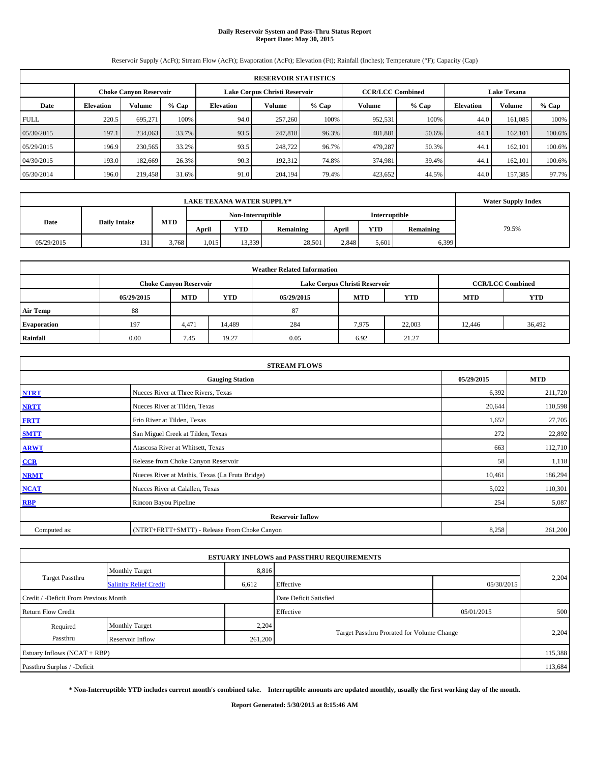# **Daily Reservoir System and Pass-Thru Status Report Report Date: May 30, 2015**

Reservoir Supply (AcFt); Stream Flow (AcFt); Evaporation (AcFt); Elevation (Ft); Rainfall (Inches); Temperature (°F); Capacity (Cap)

|             | <b>RESERVOIR STATISTICS</b>   |               |         |                               |         |         |                         |         |                    |         |         |  |
|-------------|-------------------------------|---------------|---------|-------------------------------|---------|---------|-------------------------|---------|--------------------|---------|---------|--|
|             | <b>Choke Canvon Reservoir</b> |               |         | Lake Corpus Christi Reservoir |         |         | <b>CCR/LCC Combined</b> |         | <b>Lake Texana</b> |         |         |  |
| Date        | <b>Elevation</b>              | <b>Volume</b> | $%$ Cap | <b>Elevation</b>              | Volume  | $%$ Cap | <b>Volume</b>           | $%$ Cap | <b>Elevation</b>   | Volume  | $%$ Cap |  |
| <b>FULL</b> | 220.5                         | 695.271       | 100%    | 94.0                          | 257,260 | 100%    | 952,531                 | 100%    | 44.0               | 161.085 | 100%    |  |
| 05/30/2015  | 197.1                         | 234,063       | 33.7%   | 93.5                          | 247,818 | 96.3%   | 481,881                 | 50.6%   | 44.1               | 162,101 | 100.6%  |  |
| 05/29/2015  | 196.9                         | 230,565       | 33.2%   | 93.5                          | 248,722 | 96.7%   | 479.287                 | 50.3%   | 44.1               | 162,101 | 100.6%  |  |
| 04/30/2015  | 193.0                         | 182.669       | 26.3%   | 90.3                          | 192,312 | 74.8%   | 374,981                 | 39.4%   | 44.1               | 162,101 | 100.6%  |  |
| 05/30/2014  | 196.0                         | 219,458       | 31.6%   | 91.0                          | 204,194 | 79.4%   | 423,652                 | 44.5%   | 44.0               | 157.385 | 97.7%   |  |

|            | <b>Water Supply Index</b> |       |                   |        |                  |                      |            |           |       |
|------------|---------------------------|-------|-------------------|--------|------------------|----------------------|------------|-----------|-------|
|            |                           |       | Non-Interruptible |        |                  | <b>Interruptible</b> |            |           |       |
| Date       | <b>Daily Intake</b>       | MTD   | April             | YTD    | <b>Remaining</b> | April                | <b>YTD</b> | Remaining | 79.5% |
| 05/29/2015 | 131                       | 3.768 | .015              | 13,339 | 28,501           | 2,848                | 5.601      | 6,399     |       |

| <b>Weather Related Information</b> |            |                               |            |            |                               |                         |            |            |  |  |
|------------------------------------|------------|-------------------------------|------------|------------|-------------------------------|-------------------------|------------|------------|--|--|
|                                    |            | <b>Choke Canyon Reservoir</b> |            |            | Lake Corpus Christi Reservoir | <b>CCR/LCC Combined</b> |            |            |  |  |
|                                    | 05/29/2015 | <b>MTD</b>                    | <b>YTD</b> | 05/29/2015 | <b>MTD</b>                    | <b>YTD</b>              | <b>MTD</b> | <b>YTD</b> |  |  |
| <b>Air Temp</b>                    | 88         |                               |            | 87         |                               |                         |            |            |  |  |
| <b>Evaporation</b>                 | 197        | 4,471                         | 14,489     | 284        | 7,975                         | 22,003                  | 12,446     | 36,492     |  |  |
| Rainfall                           | 0.00       | 7.45                          | 19.27      | 0.05       | 6.92                          | 21.27                   |            |            |  |  |

|              | <b>STREAM FLOWS</b>                             |            |            |  |  |  |  |  |
|--------------|-------------------------------------------------|------------|------------|--|--|--|--|--|
|              | <b>Gauging Station</b>                          | 05/29/2015 | <b>MTD</b> |  |  |  |  |  |
| <b>NTRT</b>  | Nueces River at Three Rivers, Texas             | 6,392      | 211,720    |  |  |  |  |  |
| <b>NRTT</b>  | Nueces River at Tilden, Texas                   | 20,644     | 110,598    |  |  |  |  |  |
| <b>FRTT</b>  | Frio River at Tilden, Texas                     | 1,652      | 27,705     |  |  |  |  |  |
| <b>SMTT</b>  | San Miguel Creek at Tilden, Texas               | 272        | 22,892     |  |  |  |  |  |
| <b>ARWT</b>  | Atascosa River at Whitsett, Texas               | 663        | 112,710    |  |  |  |  |  |
| $CCR$        | Release from Choke Canyon Reservoir             | 58         | 1,118      |  |  |  |  |  |
| <b>NRMT</b>  | Nueces River at Mathis, Texas (La Fruta Bridge) | 10,461     | 186,294    |  |  |  |  |  |
| <b>NCAT</b>  | Nueces River at Calallen, Texas                 | 5,022      | 110,301    |  |  |  |  |  |
| <b>RBP</b>   | Rincon Bayou Pipeline                           | 254        | 5,087      |  |  |  |  |  |
|              | <b>Reservoir Inflow</b>                         |            |            |  |  |  |  |  |
| Computed as: | (NTRT+FRTT+SMTT) - Release From Choke Canyon    | 8,258      | 261,200    |  |  |  |  |  |

| <b>ESTUARY INFLOWS and PASSTHRU REQUIREMENTS</b> |                               |         |                                            |            |         |  |  |  |  |  |
|--------------------------------------------------|-------------------------------|---------|--------------------------------------------|------------|---------|--|--|--|--|--|
|                                                  | <b>Monthly Target</b>         | 8,816   |                                            |            |         |  |  |  |  |  |
| <b>Target Passthru</b>                           | <b>Salinity Relief Credit</b> | 6,612   | Effective                                  | 05/30/2015 | 2,204   |  |  |  |  |  |
| Credit / -Deficit From Previous Month            |                               |         | Date Deficit Satisfied                     |            |         |  |  |  |  |  |
| <b>Return Flow Credit</b>                        |                               |         | Effective                                  | 05/01/2015 | 500     |  |  |  |  |  |
| Required                                         | <b>Monthly Target</b>         | 2,204   |                                            |            |         |  |  |  |  |  |
| Passthru                                         | Reservoir Inflow              | 261,200 | Target Passthru Prorated for Volume Change |            | 2,204   |  |  |  |  |  |
| Estuary Inflows (NCAT + RBP)                     |                               |         |                                            |            |         |  |  |  |  |  |
| Passthru Surplus / -Deficit                      |                               |         |                                            |            | 113,684 |  |  |  |  |  |